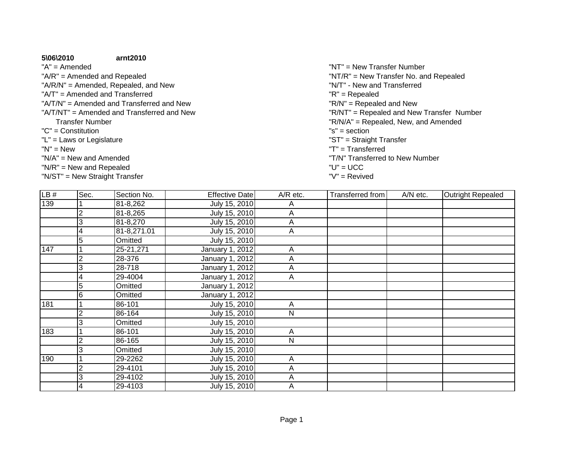## **5\06\2010**

## **arnt2010**

"A" = Amended"A/R" = Amended and Repealed

- "A/R/N" = Amended, Repealed, and New
- "A/T" = Amended and Transferred
- "A/T/N" = Amended and Transferred and New
- "A/T/NT" = Amended and Transferred and New
	- Transfer Number
- "C" = Constitution
- "L" = Laws or Legislature
- $"N" = New$
- "N/A" = New and Amended
- "N/R" = New and Repealed
- "N/ST" = New Straight Transfer
- "T/N" Transferred to New Number $d$   $'U'' = UCC$  "V" = Revived"ST" = Straight Transfer<br>"T" = Transferred w "T" = Transferred<br>"T" = Transferred "R/N/A" = Repealed, New, and Amended<br>"s" = section  $\mathsf{S}^{\mathsf{T}} = \mathsf{section}$  "R/N" = Repealed and New "R/NT" = Repealed and New Transfer Number "N/T" - New and Transferred "R" = Repealed "NT" = New Transfer Number "NT/R" = New Transfer No. and Repealed

| LB# | Sec.           | Section No. | Effective Date  | $A/R$ etc.   | Transferred from | A/N etc. | <b>Outright Repealed</b> |
|-----|----------------|-------------|-----------------|--------------|------------------|----------|--------------------------|
| 139 |                | 81-8,262    | July 15, 2010   | Α            |                  |          |                          |
|     | $\overline{c}$ | 81-8,265    | July 15, 2010   | A            |                  |          |                          |
|     | 3              | 81-8,270    | July 15, 2010   | A            |                  |          |                          |
|     | 4              | 81-8,271.01 | July 15, 2010   | Α            |                  |          |                          |
|     | 5              | Omitted     | July 15, 2010   |              |                  |          |                          |
| 147 |                | 25-21,271   | January 1, 2012 | A            |                  |          |                          |
|     | $\overline{2}$ | 28-376      | January 1, 2012 | Α            |                  |          |                          |
|     | 3              | 28-718      | January 1, 2012 | A            |                  |          |                          |
|     | 4              | 29-4004     | January 1, 2012 | A            |                  |          |                          |
|     | 5              | Omitted     | January 1, 2012 |              |                  |          |                          |
|     | 6              | Omitted     | January 1, 2012 |              |                  |          |                          |
| 181 |                | 86-101      | July 15, 2010   | A            |                  |          |                          |
|     | $\overline{2}$ | 86-164      | July 15, 2010   | ${\sf N}$    |                  |          |                          |
|     | 3              | Omitted     | July 15, 2010   |              |                  |          |                          |
| 183 |                | 86-101      | July 15, 2010   | Α            |                  |          |                          |
|     | 2              | 86-165      | July 15, 2010   | $\mathsf{N}$ |                  |          |                          |
|     | 3              | Omitted     | July 15, 2010   |              |                  |          |                          |
| 190 |                | 29-2262     | July 15, 2010   | Α            |                  |          |                          |
|     | 2              | 29-4101     | July 15, 2010   | A            |                  |          |                          |
|     | 3              | 29-4102     | July 15, 2010   | A            |                  |          |                          |
|     | 4              | 29-4103     | July 15, 2010   | Α            |                  |          |                          |
|     |                |             |                 |              |                  |          |                          |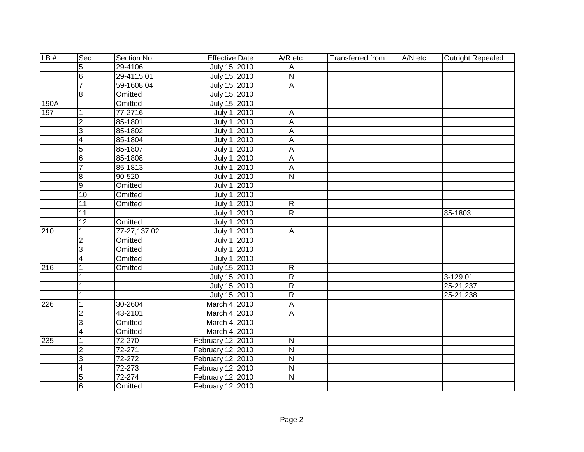| LB#  | Sec.            | Section No.  | <b>Effective Date</b> | A/R etc.                | Transferred from | A/N etc. | <b>Outright Repealed</b> |
|------|-----------------|--------------|-----------------------|-------------------------|------------------|----------|--------------------------|
|      | 5               | 29-4106      | July 15, 2010         | Α                       |                  |          |                          |
|      | 6               | 29-4115.01   | July 15, 2010         | $\overline{N}$          |                  |          |                          |
|      | 7               | 59-1608.04   | July 15, 2010         | $\overline{A}$          |                  |          |                          |
|      | œ               | Omitted      | July 15, 2010         |                         |                  |          |                          |
| 190A |                 | Omitted      | July 15, 2010         |                         |                  |          |                          |
| 197  | 1               | 77-2716      | July 1, 2010          | $\overline{A}$          |                  |          |                          |
|      | $\overline{2}$  | 85-1801      | July 1, 2010          | A                       |                  |          |                          |
|      | 3               | 85-1802      | July 1, 2010          | A                       |                  |          |                          |
|      | 4               | 85-1804      | July 1, 2010          | A                       |                  |          |                          |
|      | 5               | 85-1807      | July 1, 2010          | А                       |                  |          |                          |
|      | œ               | 85-1808      | July 1, 2010          | A                       |                  |          |                          |
|      | $\overline{7}$  | 85-1813      | July 1, 2010          | A                       |                  |          |                          |
|      | $\bf{8}$        | 90-520       | July 1, 2010          | $\overline{N}$          |                  |          |                          |
|      | $\overline{9}$  | Omitted      | July 1, 2010          |                         |                  |          |                          |
|      | $\overline{10}$ | Omitted      | July 1, 2010          |                         |                  |          |                          |
|      | 11              | Omitted      | July 1, 2010          | $\mathsf{R}$            |                  |          |                          |
|      | 11              |              | July 1, 2010          | $\overline{R}$          |                  |          | 85-1803                  |
|      | 12              | Omitted      | July 1, 2010          |                         |                  |          |                          |
| 210  | 1               | 77-27,137.02 | July 1, 2010          | $\mathsf{A}$            |                  |          |                          |
|      | $\overline{2}$  | Omitted      | July 1, 2010          |                         |                  |          |                          |
|      | 3               | Omitted      | July 1, 2010          |                         |                  |          |                          |
|      | 4               | Omitted      | July 1, 2010          |                         |                  |          |                          |
| 216  | $\overline{1}$  | Omitted      | July 15, 2010         | $\mathsf{R}$            |                  |          |                          |
|      | $\overline{1}$  |              | July 15, 2010         | $\overline{R}$          |                  |          | 3-129.01                 |
|      |                 |              | July 15, 2010         | $\overline{R}$          |                  |          | 25-21,237                |
|      | 1               |              | July 15, 2010         | R                       |                  |          | 25-21,238                |
| 226  | $\overline{1}$  | 30-2604      | March 4, 2010         | А                       |                  |          |                          |
|      | $\overline{2}$  | 43-2101      | March 4, 2010         | $\overline{A}$          |                  |          |                          |
|      | 3               | Omitted      | March 4, 2010         |                         |                  |          |                          |
|      | $\overline{4}$  | Omitted      | March 4, 2010         |                         |                  |          |                          |
| 235  | 1               | 72-270       | February 12, 2010     | $\overline{N}$          |                  |          |                          |
|      | $\overline{2}$  | 72-271       | February 12, 2010     | $\overline{\mathsf{N}}$ |                  |          |                          |
|      | 3               | 72-272       | February 12, 2010     | $\overline{N}$          |                  |          |                          |
|      | 4               | 72-273       | February 12, 2010     | $\mathsf{N}$            |                  |          |                          |
|      | $\overline{5}$  | 72-274       | February 12, 2010     | $\overline{\mathsf{N}}$ |                  |          |                          |
|      | 6               | Omitted      | February 12, 2010     |                         |                  |          |                          |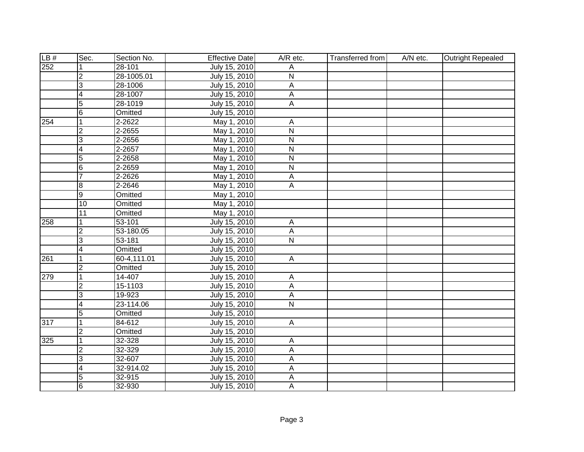| LB# | Sec.            | Section No. | <b>Effective Date</b> | A/R etc.                | <b>Transferred from</b> | A/N etc. | <b>Outright Repealed</b> |
|-----|-----------------|-------------|-----------------------|-------------------------|-------------------------|----------|--------------------------|
| 252 |                 | 28-101      | July 15, 2010         | Α                       |                         |          |                          |
|     | $\overline{2}$  | 28-1005.01  | July 15, 2010         | $\overline{\mathsf{N}}$ |                         |          |                          |
|     | $\overline{3}$  | 28-1006     | July 15, 2010         | $\overline{A}$          |                         |          |                          |
|     | $\overline{4}$  | 28-1007     | July 15, 2010         | $\overline{A}$          |                         |          |                          |
|     | $\overline{5}$  | 28-1019     | July 15, 2010         | A                       |                         |          |                          |
|     | $6\overline{6}$ | Omitted     | July 15, 2010         |                         |                         |          |                          |
| 254 | $\mathbf{1}$    | 2-2622      | May 1, 2010           | $\overline{A}$          |                         |          |                          |
|     | $\overline{2}$  | 2-2655      | May 1, 2010           | $\overline{\mathsf{N}}$ |                         |          |                          |
|     | 3               | 2-2656      | May 1, 2010           | $\overline{\mathsf{N}}$ |                         |          |                          |
|     | 4               | 2-2657      | May 1, 2010           | N                       |                         |          |                          |
|     | $\overline{5}$  | 2-2658      | May 1, 2010           | $\overline{\mathsf{N}}$ |                         |          |                          |
|     | $6\overline{6}$ | 2-2659      | May 1, 2010           | $\overline{\mathsf{N}}$ |                         |          |                          |
|     | $\overline{7}$  | 2-2626      | May 1, 2010           | $\overline{A}$          |                         |          |                          |
|     | 8               | 2-2646      | May 1, 2010           | A                       |                         |          |                          |
|     | $\overline{9}$  | Omitted     | May 1, 2010           |                         |                         |          |                          |
|     | 10              | Omitted     | May 1, 2010           |                         |                         |          |                          |
|     | 11              | Omitted     | May 1, 2010           |                         |                         |          |                          |
| 258 |                 | 53-101      | July 15, 2010         | $\overline{A}$          |                         |          |                          |
|     | $\overline{2}$  | 53-180.05   | July 15, 2010         | A                       |                         |          |                          |
|     | $\overline{3}$  | 53-181      | July 15, 2010         | $\overline{\mathsf{N}}$ |                         |          |                          |
|     | $\overline{4}$  | Omitted     | July 15, 2010         |                         |                         |          |                          |
| 261 | $\overline{1}$  | 60-4,111.01 | July 15, 2010         | $\overline{\mathsf{A}}$ |                         |          |                          |
|     | $\overline{2}$  | Omitted     | July 15, 2010         |                         |                         |          |                          |
| 279 | $\mathbf{1}$    | 14-407      | July 15, 2010         | $\overline{A}$          |                         |          |                          |
|     | $\overline{2}$  | 15-1103     | July 15, 2010         | $\overline{A}$          |                         |          |                          |
|     | 3               | 19-923      | July 15, 2010         | $\overline{A}$          |                         |          |                          |
|     | 4               | 23-114.06   | July 15, 2010         | $\overline{N}$          |                         |          |                          |
|     | $\overline{5}$  | Omitted     | July 15, 2010         |                         |                         |          |                          |
| 317 | $\mathbf{1}$    | 84-612      | July 15, 2010         | $\overline{A}$          |                         |          |                          |
|     | $\overline{2}$  | Omitted     | July 15, 2010         |                         |                         |          |                          |
| 325 | $\mathbf{1}$    | 32-328      | July 15, 2010         | $\overline{A}$          |                         |          |                          |
|     | $\overline{2}$  | 32-329      | July 15, 2010         | A                       |                         |          |                          |
|     | 3               | 32-607      | July 15, 2010         | $\mathsf{A}$            |                         |          |                          |
|     | 4               | 32-914.02   | July 15, 2010         | $\mathsf{A}$            |                         |          |                          |
|     | 5               | 32-915      | July 15, 2010         | $\overline{A}$          |                         |          |                          |
|     | $6\phantom{1}6$ | 32-930      | July 15, 2010         | A                       |                         |          |                          |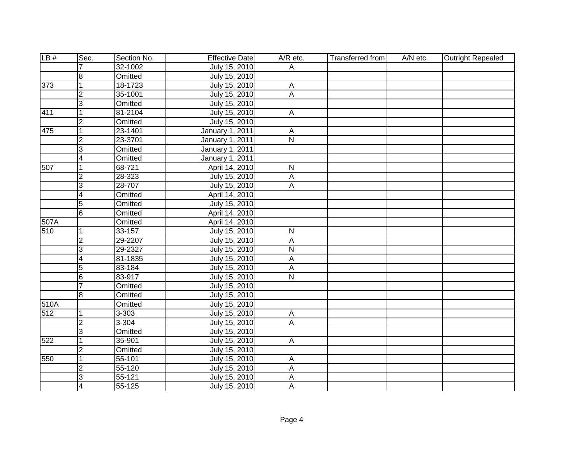| LB#  | Sec.                    | Section No. | <b>Effective Date</b> | A/R etc.                | <b>Transferred from</b> | A/N etc. | <b>Outright Repealed</b> |
|------|-------------------------|-------------|-----------------------|-------------------------|-------------------------|----------|--------------------------|
|      |                         | 32-1002     | July 15, 2010         | Α                       |                         |          |                          |
|      | $\overline{8}$          | Omitted     | July 15, 2010         |                         |                         |          |                          |
| 373  | $\overline{1}$          | 18-1723     | July 15, 2010         | $\overline{A}$          |                         |          |                          |
|      | 2                       | 35-1001     | July 15, 2010         | A                       |                         |          |                          |
|      | င                       | Omitted     | July 15, 2010         |                         |                         |          |                          |
| 411  | $\overline{1}$          | 81-2104     | July 15, 2010         | $\overline{A}$          |                         |          |                          |
|      | $\overline{2}$          | Omitted     | July 15, 2010         |                         |                         |          |                          |
| 475  | $\overline{1}$          | 23-1401     | January 1, 2011       | A                       |                         |          |                          |
|      | $\overline{2}$          | 23-3701     | January 1, 2011       | $\overline{\mathsf{N}}$ |                         |          |                          |
|      | $\overline{3}$          | Omitted     | January 1, 2011       |                         |                         |          |                          |
|      | $\overline{4}$          | Omitted     | January 1, 2011       |                         |                         |          |                          |
| 507  | $\overline{1}$          | 68-721      | April 14, 2010        | ${\sf N}$               |                         |          |                          |
|      | $\overline{2}$          | 28-323      | July 15, 2010         | $\mathsf A$             |                         |          |                          |
|      | 3                       | 28-707      | July 15, 2010         | $\mathsf{A}$            |                         |          |                          |
|      | $\overline{\mathbf{4}}$ | Omitted     | April 14, 2010        |                         |                         |          |                          |
|      | 5                       | Omitted     | July 15, 2010         |                         |                         |          |                          |
|      | 6                       | Omitted     | April 14, 2010        |                         |                         |          |                          |
| 507A |                         | Omitted     | April 14, 2010        |                         |                         |          |                          |
| 510  | 1                       | 33-157      | July 15, 2010         | ${\sf N}$               |                         |          |                          |
|      | $\overline{2}$          | 29-2207     | July 15, 2010         | Α                       |                         |          |                          |
|      | $\overline{3}$          | 29-2327     | July 15, 2010         | N                       |                         |          |                          |
|      | $\overline{4}$          | 81-1835     | July 15, 2010         | A                       |                         |          |                          |
|      | $\overline{5}$          | 83-184      | July 15, 2010         | A                       |                         |          |                          |
|      | $\overline{6}$          | 83-917      | July 15, 2010         | $\mathsf{N}$            |                         |          |                          |
|      | $\overline{7}$          | Omitted     | July 15, 2010         |                         |                         |          |                          |
|      | l8                      | Omitted     | July 15, 2010         |                         |                         |          |                          |
| 510A |                         | Omitted     | July 15, 2010         |                         |                         |          |                          |
| 512  | $\overline{1}$          | $3 - 303$   | July 15, 2010         | $\overline{A}$          |                         |          |                          |
|      | CV                      | 3-304       | July 15, 2010         | A                       |                         |          |                          |
|      | $\overline{3}$          | Omitted     | July 15, 2010         |                         |                         |          |                          |
| 522  | $\overline{1}$          | 35-901      | July 15, 2010         | $\overline{A}$          |                         |          |                          |
|      | $\overline{2}$          | Omitted     | July 15, 2010         |                         |                         |          |                          |
| 550  | $\overline{1}$          | 55-101      | July 15, 2010         | A                       |                         |          |                          |
|      | $\overline{2}$          | 55-120      | July 15, 2010         | $\mathsf A$             |                         |          |                          |
|      | င                       | $55 - 121$  | July 15, 2010         | $\mathsf A$             |                         |          |                          |
|      | 4                       | 55-125      | July 15, 2010         | A                       |                         |          |                          |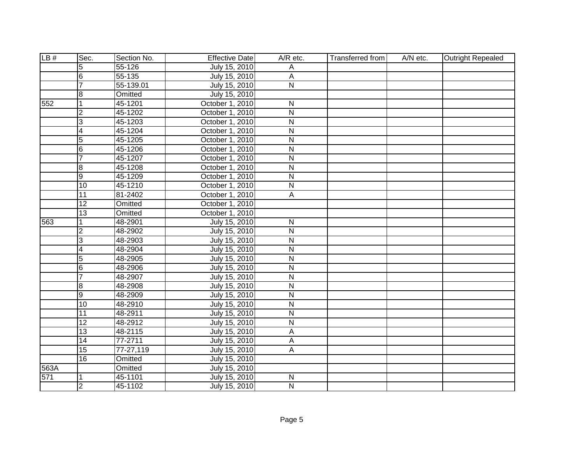| LB#  | Sec.            | Section No. | <b>Effective Date</b> | A/R etc.                | Transferred from | A/N etc. | Outright Repealed |
|------|-----------------|-------------|-----------------------|-------------------------|------------------|----------|-------------------|
|      | 5               | 55-126      | July 15, 2010         | Α                       |                  |          |                   |
|      | 6               | 55-135      | July 15, 2010         | Α                       |                  |          |                   |
|      | 7               | 55-139.01   | July 15, 2010         | $\overline{\mathsf{N}}$ |                  |          |                   |
|      | œ               | Omitted     | July 15, 2010         |                         |                  |          |                   |
| 552  | 1               | 45-1201     | October 1, 2010       | $\overline{\mathsf{N}}$ |                  |          |                   |
|      | $\overline{2}$  | 45-1202     | October 1, 2010       | $\overline{\mathsf{N}}$ |                  |          |                   |
|      | $\overline{3}$  | 45-1203     | October 1, 2010       | N                       |                  |          |                   |
|      | 4               | 45-1204     | October 1, 2010       | ${\sf N}$               |                  |          |                   |
|      | $\overline{5}$  | 45-1205     | October 1, 2010       | N                       |                  |          |                   |
|      | 6               | 45-1206     | October 1, 2010       | N                       |                  |          |                   |
|      | $\overline{7}$  | 45-1207     | October 1, 2010       | $\overline{\mathsf{N}}$ |                  |          |                   |
|      | $\overline{8}$  | 45-1208     | October 1, 2010       | $\overline{\mathsf{N}}$ |                  |          |                   |
|      | ОD              | 45-1209     | October 1, 2010       | ${\sf N}$               |                  |          |                   |
|      | 10              | 45-1210     | October 1, 2010       | $\overline{\mathsf{N}}$ |                  |          |                   |
|      | $\overline{11}$ | 81-2402     | October 1, 2010       | A                       |                  |          |                   |
|      | 12              | Omitted     | October 1, 2010       |                         |                  |          |                   |
|      | 13              | Omitted     | October 1, 2010       |                         |                  |          |                   |
| 563  | 1               | 48-2901     | July 15, 2010         | $\mathsf{N}$            |                  |          |                   |
|      | $\overline{2}$  | 48-2902     | July 15, 2010         | ${\sf N}$               |                  |          |                   |
|      | 3               | 48-2903     | July 15, 2010         | $\mathsf{N}$            |                  |          |                   |
|      | 4               | 48-2904     | July 15, 2010         | $\mathsf{N}$            |                  |          |                   |
|      | $\overline{5}$  | 48-2905     | July 15, 2010         | $\overline{N}$          |                  |          |                   |
|      | 6               | 48-2906     | July 15, 2010         | $\overline{N}$          |                  |          |                   |
|      | $\overline{7}$  | 48-2907     | July 15, 2010         | $\overline{N}$          |                  |          |                   |
|      | $\bf{8}$        | 48-2908     | July 15, 2010         | $\overline{N}$          |                  |          |                   |
|      | $\overline{9}$  | 48-2909     | July 15, 2010         | $\mathsf{N}$            |                  |          |                   |
|      | 10              | 48-2910     | July 15, 2010         | $\overline{N}$          |                  |          |                   |
|      | $\overline{11}$ | 48-2911     | July 15, 2010         | $\overline{\mathsf{N}}$ |                  |          |                   |
|      | $\overline{12}$ | 48-2912     | July 15, 2010         | N                       |                  |          |                   |
|      | 13              | 48-2115     | July 15, 2010         | A                       |                  |          |                   |
|      | $\overline{14}$ | 77-2711     | July 15, 2010         | A                       |                  |          |                   |
|      | 15              | 77-27,119   | July 15, 2010         | $\overline{A}$          |                  |          |                   |
|      | 16              | Omitted     | July 15, 2010         |                         |                  |          |                   |
| 563A |                 | Omitted     | July 15, 2010         |                         |                  |          |                   |
| 571  | 1               | 45-1101     | July 15, 2010         | ${\sf N}$               |                  |          |                   |
|      | ا C             | 45-1102     | July 15, 2010         | $\overline{N}$          |                  |          |                   |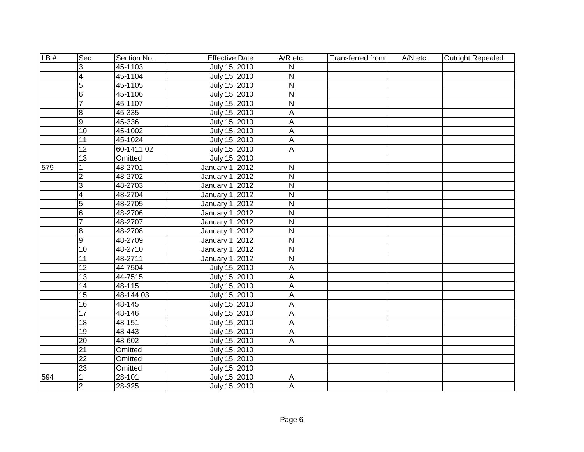| LB# | Sec.            | Section No. | <b>Effective Date</b> | A/R etc.                  | <b>Transferred from</b> | A/N etc. | <b>Outright Repealed</b> |
|-----|-----------------|-------------|-----------------------|---------------------------|-------------------------|----------|--------------------------|
|     | 3               | 45-1103     | July 15, 2010         | N                         |                         |          |                          |
|     | $\overline{4}$  | 45-1104     | July 15, 2010         | N                         |                         |          |                          |
|     | $\overline{5}$  | 45-1105     | July 15, 2010         | $\overline{\mathsf{N}}$   |                         |          |                          |
|     | $6\overline{6}$ | 45-1106     | July 15, 2010         | $\overline{\mathsf{N}}$   |                         |          |                          |
|     | $\overline{7}$  | 45-1107     | July 15, 2010         | $\overline{\mathsf{N}}$   |                         |          |                          |
|     | 8               | 45-335      | July 15, 2010         | Α                         |                         |          |                          |
|     | $\overline{9}$  | 45-336      | July 15, 2010         | A                         |                         |          |                          |
|     | $\overline{10}$ | 45-1002     | July 15, 2010         | A                         |                         |          |                          |
|     | $\overline{11}$ | 45-1024     | July 15, 2010         | $\boldsymbol{\mathsf{A}}$ |                         |          |                          |
|     | 12              | 60-1411.02  | July 15, 2010         | А                         |                         |          |                          |
|     | $\overline{13}$ | Omitted     | July 15, 2010         |                           |                         |          |                          |
| 579 | 1               | 48-2701     | January 1, 2012       | ${\sf N}$                 |                         |          |                          |
|     | $\overline{2}$  | 48-2702     | January 1, 2012       | $\overline{N}$            |                         |          |                          |
|     | 3               | 48-2703     | January 1, 2012       | ${\sf N}$                 |                         |          |                          |
|     | $\overline{4}$  | 48-2704     | January 1, 2012       | $\overline{\mathsf{N}}$   |                         |          |                          |
|     | $\overline{5}$  | 48-2705     | January 1, 2012       | $\mathsf{N}$              |                         |          |                          |
|     | $6 \overline{}$ | 48-2706     | January 1, 2012       | $\mathsf{N}$              |                         |          |                          |
|     | $\overline{7}$  | 48-2707     | January 1, 2012       | $\overline{\mathsf{N}}$   |                         |          |                          |
|     | 8               | 48-2708     | January 1, 2012       | $\mathsf{N}$              |                         |          |                          |
|     | $\overline{9}$  | 48-2709     | January 1, 2012       | $\overline{N}$            |                         |          |                          |
|     | $\overline{10}$ | 48-2710     | January 1, 2012       | $\overline{N}$            |                         |          |                          |
|     | $\overline{11}$ | 48-2711     | January 1, 2012       | $\overline{N}$            |                         |          |                          |
|     | $\overline{12}$ | 44-7504     | July 15, 2010         | A                         |                         |          |                          |
|     | 13              | 44-7515     | July 15, 2010         | A                         |                         |          |                          |
|     | $\overline{14}$ | 48-115      | July 15, 2010         | A                         |                         |          |                          |
|     | 15              | 48-144.03   | July 15, 2010         | A                         |                         |          |                          |
|     | 16              | 48-145      | July 15, 2010         | А                         |                         |          |                          |
|     | $\overline{17}$ | 48-146      | July 15, 2010         | A                         |                         |          |                          |
|     | 18              | 48-151      | July 15, 2010         | A                         |                         |          |                          |
|     | $\overline{19}$ | 48-443      | July 15, 2010         | A                         |                         |          |                          |
|     | 20              | 48-602      | July 15, 2010         | $\overline{A}$            |                         |          |                          |
|     | $\overline{21}$ | Omitted     | July 15, 2010         |                           |                         |          |                          |
|     | $\overline{22}$ | Omitted     | July 15, 2010         |                           |                         |          |                          |
|     | $\overline{23}$ | Omitted     | July 15, 2010         |                           |                         |          |                          |
| 594 |                 | 28-101      | July 15, 2010         | $\boldsymbol{\mathsf{A}}$ |                         |          |                          |
|     | $\overline{2}$  | 28-325      | July 15, 2010         | A                         |                         |          |                          |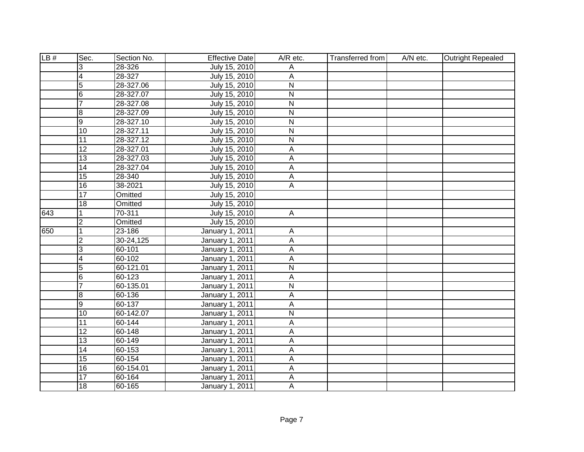| LB# | Sec.            | Section No.   | <b>Effective Date</b>  | A/R etc.                | Transferred from | A/N etc. | <b>Outright Repealed</b> |
|-----|-----------------|---------------|------------------------|-------------------------|------------------|----------|--------------------------|
|     | 3               | 28-326        | July 15, 2010          | Α                       |                  |          |                          |
|     | 4               | 28-327        | July 15, 2010          | A                       |                  |          |                          |
|     | $\overline{5}$  | 28-327.06     | July 15, 2010          | $\overline{N}$          |                  |          |                          |
|     | 6               | 28-327.07     | July 15, 2010          | $\overline{N}$          |                  |          |                          |
|     | 7               | 28-327.08     | July 15, 2010          | $\overline{\mathsf{N}}$ |                  |          |                          |
|     | œ               | 28-327.09     | July 15, 2010          | $\overline{\mathsf{N}}$ |                  |          |                          |
|     | Θ               | 28-327.10     | July 15, 2010          | N                       |                  |          |                          |
|     | 10              | 28-327.11     | July 15, 2010          | ${\sf N}$               |                  |          |                          |
|     | 11              | 28-327.12     | July 15, 2010          | $\overline{\mathsf{N}}$ |                  |          |                          |
|     | $\overline{12}$ | 28-327.01     | July 15, 2010          | А                       |                  |          |                          |
|     | 13              | 28-327.03     | July 15, 2010          | A                       |                  |          |                          |
|     | 14              | 28-327.04     | July 15, 2010          | A                       |                  |          |                          |
|     | 15              | 28-340        | July 15, 2010          | А                       |                  |          |                          |
|     | 16              | 38-2021       | July 15, 2010          | $\overline{A}$          |                  |          |                          |
|     | $\overline{17}$ | Omitted       | July 15, 2010          |                         |                  |          |                          |
|     | 18              | Omitted       | July 15, 2010          |                         |                  |          |                          |
| 643 | 1               | 70-311        | July 15, 2010          | $\mathsf{A}$            |                  |          |                          |
|     | $\overline{c}$  | Omitted       | July 15, 2010          |                         |                  |          |                          |
| 650 | $\overline{1}$  | 23-186        | January 1, 2011        | A                       |                  |          |                          |
|     | $\overline{2}$  | 30-24,125     | January 1, 2011        | A                       |                  |          |                          |
|     | 3               | 60-101        | January 1, 2011        | Α                       |                  |          |                          |
|     | 4               | 60-102        | January 1, 2011        | А                       |                  |          |                          |
|     | $\overline{5}$  | $60 - 121.01$ | January 1, 2011        | $\overline{N}$          |                  |          |                          |
|     | $6\overline{6}$ | 60-123        | January 1, 2011        | A                       |                  |          |                          |
|     | $\overline{7}$  | 60-135.01     | January 1, 2011        | $\overline{N}$          |                  |          |                          |
|     | $\overline{8}$  | 60-136        | January 1, 2011        | A                       |                  |          |                          |
|     | Θ               | 60-137        | <b>January 1, 2011</b> | A                       |                  |          |                          |
|     | $\overline{10}$ | 60-142.07     | <b>January 1, 2011</b> | $\overline{N}$          |                  |          |                          |
|     | $\overline{11}$ | 60-144        | January 1, 2011        | Α                       |                  |          |                          |
|     | 12              | 60-148        | <b>January 1, 2011</b> | A                       |                  |          |                          |
|     | $\overline{13}$ | 60-149        | January 1, 2011        | A                       |                  |          |                          |
|     | 14              | 60-153        | <b>January 1, 2011</b> | $\overline{A}$          |                  |          |                          |
|     | 15              | 60-154        | January 1, 2011        | A                       |                  |          |                          |
|     | 16              | 60-154.01     | January 1, 2011        | Α                       |                  |          |                          |
|     | 17              | 60-164        | January 1, 2011        | А                       |                  |          |                          |
|     | 18              | 60-165        | January 1, 2011        | A                       |                  |          |                          |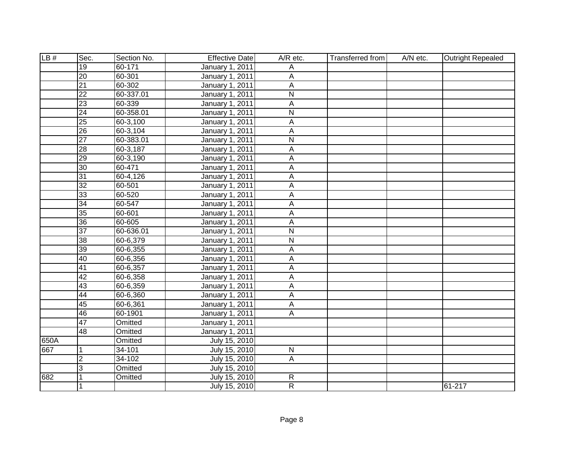| LB#  | Sec.            | Section No. | <b>Effective Date</b>  | $A/R$ etc.              | Transferred from | A/N etc. | <b>Outright Repealed</b> |
|------|-----------------|-------------|------------------------|-------------------------|------------------|----------|--------------------------|
|      | 19              | 60-171      | <b>January 1, 2011</b> | А                       |                  |          |                          |
|      | $\overline{20}$ | 60-301      | <b>January 1, 2011</b> | A                       |                  |          |                          |
|      | $\overline{21}$ | 60-302      | <b>January 1, 2011</b> | $\overline{A}$          |                  |          |                          |
|      | $\overline{22}$ | 60-337.01   | January 1, 2011        | $\overline{N}$          |                  |          |                          |
|      | 23              | 60-339      | <b>January 1, 2011</b> | $\overline{A}$          |                  |          |                          |
|      | 24              | 60-358.01   | <b>January 1, 2011</b> | $\overline{\mathsf{N}}$ |                  |          |                          |
|      | $\overline{25}$ | 60-3,100    | <b>January 1, 2011</b> | A                       |                  |          |                          |
|      | $\overline{26}$ | 60-3,104    | <b>January 1, 2011</b> | $\overline{A}$          |                  |          |                          |
|      | $\overline{27}$ | 60-383.01   | <b>January 1, 2011</b> | $\overline{\mathsf{N}}$ |                  |          |                          |
|      | 28              | 60-3,187    | <b>January 1, 2011</b> | A                       |                  |          |                          |
|      | 29              | 60-3,190    | January 1, 2011        | A                       |                  |          |                          |
|      | 30              | 60-471      | January 1, 2011        | A                       |                  |          |                          |
|      | 31              | 60-4,126    | January 1, 2011        | A                       |                  |          |                          |
|      | $\overline{32}$ | 60-501      | January 1, 2011        | Α                       |                  |          |                          |
|      | 33              | 60-520      | <b>January 1, 2011</b> | A                       |                  |          |                          |
|      | 34              | 60-547      | January 1, 2011        | A                       |                  |          |                          |
|      | 35              | 60-601      | January 1, 2011        | A                       |                  |          |                          |
|      | 36              | 60-605      | January 1, 2011        | A                       |                  |          |                          |
|      | $\overline{37}$ | 60-636.01   | January 1, 2011        | $\overline{\mathsf{N}}$ |                  |          |                          |
|      | 38              | 60-6,379    | January 1, 2011        | $\overline{\mathsf{N}}$ |                  |          |                          |
|      | 39              | 60-6,355    | January 1, 2011        | A                       |                  |          |                          |
|      | 40              | 60-6,356    | January 1, 2011        | $\overline{A}$          |                  |          |                          |
|      | 41              | 60-6,357    | January 1, 2011        | A                       |                  |          |                          |
|      | 42              | 60-6,358    | January 1, 2011        | A                       |                  |          |                          |
|      | 43              | 60-6,359    | January 1, 2011        | A                       |                  |          |                          |
|      | 44              | 60-6,360    | January 1, 2011        | A                       |                  |          |                          |
|      | 45              | 60-6,361    | January 1, 2011        | A                       |                  |          |                          |
|      | 46              | 60-1901     | January 1, 2011        | A                       |                  |          |                          |
|      | 47              | Omitted     | <b>January 1, 2011</b> |                         |                  |          |                          |
|      | 48              | Omitted     | <b>January 1, 2011</b> |                         |                  |          |                          |
| 650A |                 | Omitted     | July 15, 2010          |                         |                  |          |                          |
| 667  | 1               | 34-101      | July 15, 2010          | $\overline{N}$          |                  |          |                          |
|      | $\overline{2}$  | $34 - 102$  | July 15, 2010          | A                       |                  |          |                          |
|      | $\overline{3}$  | Omitted     | July 15, 2010          |                         |                  |          |                          |
| 682  | 1               | Omitted     | July 15, 2010          | $\mathsf{R}$            |                  |          |                          |
|      | $\mathbf 1$     |             | July 15, 2010          | $\overline{R}$          |                  |          | 61-217                   |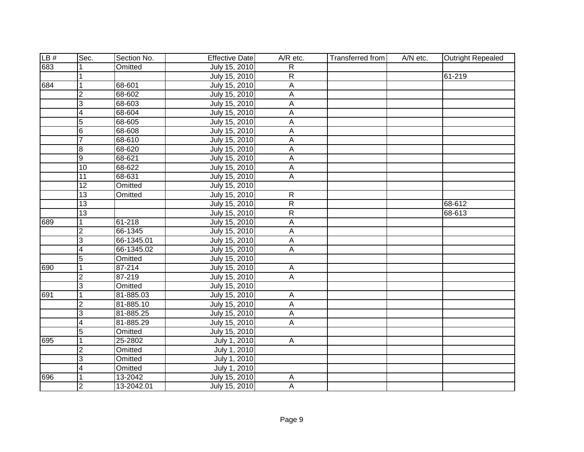| LB# | Sec.            | Section No. | <b>Effective Date</b> | A/R etc.                  | <b>Transferred from</b> | A/N etc. | Outright Repealed |
|-----|-----------------|-------------|-----------------------|---------------------------|-------------------------|----------|-------------------|
| 683 |                 | Omitted     | July 15, 2010         | R                         |                         |          |                   |
|     |                 |             | July 15, 2010         | $\overline{R}$            |                         |          | 61-219            |
| 684 | $\overline{1}$  | 68-601      | July 15, 2010         | $\overline{A}$            |                         |          |                   |
|     | 2               | 68-602      | July 15, 2010         | Α                         |                         |          |                   |
|     | င               | 68-603      | July 15, 2010         | A                         |                         |          |                   |
|     | $\overline{4}$  | 68-604      | July 15, 2010         | $\overline{A}$            |                         |          |                   |
|     | 5               | 68-605      | July 15, 2010         | A                         |                         |          |                   |
|     | $6\phantom{.}6$ | 68-608      | July 15, 2010         | Α                         |                         |          |                   |
|     | $\overline{7}$  | 68-610      | July 15, 2010         | A                         |                         |          |                   |
|     | $\overline{8}$  | 68-620      | July 15, 2010         | A                         |                         |          |                   |
|     | $\overline{9}$  | 68-621      | July 15, 2010         | $\boldsymbol{\mathsf{A}}$ |                         |          |                   |
|     | 10              | 68-622      | July 15, 2010         | $\overline{A}$            |                         |          |                   |
|     | 11              | 68-631      | July 15, 2010         | Α                         |                         |          |                   |
|     | 12              | Omitted     | July 15, 2010         |                           |                         |          |                   |
|     | 13              | Omitted     | July 15, 2010         | $\mathsf{R}$              |                         |          |                   |
|     | 13              |             | July 15, 2010         | $\overline{R}$            |                         |          | 68-612            |
|     | 13              |             | July 15, 2010         | $\overline{R}$            |                         |          | 68-613            |
| 689 | 1               | 61-218      | July 15, 2010         | A                         |                         |          |                   |
|     | $\overline{2}$  | 66-1345     | July 15, 2010         | A                         |                         |          |                   |
|     | 3               | 66-1345.01  | July 15, 2010         | A                         |                         |          |                   |
|     | 4               | 66-1345.02  | July 15, 2010         | Α                         |                         |          |                   |
|     | $\overline{5}$  | Omitted     | July 15, 2010         |                           |                         |          |                   |
| 690 | $\overline{1}$  | 87-214      | July 15, 2010         | $\overline{A}$            |                         |          |                   |
|     | $\overline{2}$  | 87-219      | July 15, 2010         | $\overline{A}$            |                         |          |                   |
|     | င               | Omitted     | July 15, 2010         |                           |                         |          |                   |
| 691 | 1               | 81-885.03   | July 15, 2010         | $\overline{A}$            |                         |          |                   |
|     | $\overline{2}$  | 81-885.10   | July 15, 2010         | A                         |                         |          |                   |
|     | င               | 81-885.25   | July 15, 2010         | $\overline{A}$            |                         |          |                   |
|     | $\overline{4}$  | 81-885.29   | July 15, 2010         | A                         |                         |          |                   |
|     | 5               | Omitted     | July 15, 2010         |                           |                         |          |                   |
| 695 | 1               | 25-2802     | July 1, 2010          | $\overline{A}$            |                         |          |                   |
|     | $\overline{2}$  | Omitted     | July 1, 2010          |                           |                         |          |                   |
|     | 3               | Omitted     | July 1, 2010          |                           |                         |          |                   |
|     | $\overline{4}$  | Omitted     | July 1, 2010          |                           |                         |          |                   |
| 696 | 1               | 13-2042     | July 15, 2010         | A                         |                         |          |                   |
|     | ا C             | 13-2042.01  | July 15, 2010         | $\overline{A}$            |                         |          |                   |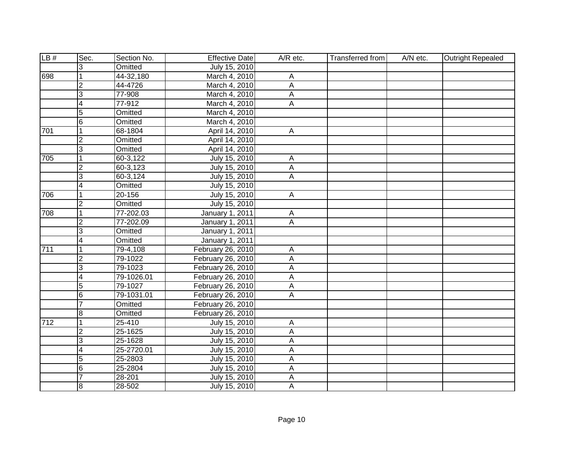| LB# | Sec.                     | Section No.             | <b>Effective Date</b> | A/R etc.                  | <b>Transferred from</b> | A/N etc. | <b>Outright Repealed</b> |
|-----|--------------------------|-------------------------|-----------------------|---------------------------|-------------------------|----------|--------------------------|
|     | 3                        | Omitted                 | July 15, 2010         |                           |                         |          |                          |
| 698 |                          | 44-32,180               | March 4, 2010         | Α                         |                         |          |                          |
|     | $\overline{2}$           | 44-4726                 | March 4, 2010         | $\overline{A}$            |                         |          |                          |
|     | $\overline{3}$           | 77-908                  | March 4, 2010         | А                         |                         |          |                          |
|     | $\overline{\mathbf{4}}$  | 77-912                  | March 4, 2010         | $\overline{A}$            |                         |          |                          |
|     | $\overline{5}$           | Omitted                 | March 4, 2010         |                           |                         |          |                          |
|     | $\overline{6}$           | Omitted                 | March 4, 2010         |                           |                         |          |                          |
| 701 | $\vert$ 1                | 68-1804                 | April 14, 2010        | A                         |                         |          |                          |
|     | $\overline{2}$           | Omitted                 | April 14, 2010        |                           |                         |          |                          |
|     | 3                        | Omitted                 | April 14, 2010        |                           |                         |          |                          |
| 705 | $\overline{1}$           | 60-3,122                | July 15, 2010         | $\boldsymbol{\mathsf{A}}$ |                         |          |                          |
|     | $\overline{2}$           | 60-3,123                | July 15, 2010         | $\mathsf A$               |                         |          |                          |
|     | င                        | 60-3,124                | July 15, 2010         | $\overline{A}$            |                         |          |                          |
|     | $\overline{\mathbf{4}}$  | Omitted                 | July 15, 2010         |                           |                         |          |                          |
| 706 | 1                        | 20-156                  | July 15, 2010         | $\overline{A}$            |                         |          |                          |
|     | $\overline{2}$           | Omitted                 | July 15, 2010         |                           |                         |          |                          |
| 708 | 1                        | 77-202.03               | January 1, 2011       | $\mathsf{A}$              |                         |          |                          |
|     | $\overline{2}$           | 77-202.09               | January 1, 2011       | A                         |                         |          |                          |
|     | 3                        | Omitted                 | January 1, 2011       |                           |                         |          |                          |
|     | $\overline{4}$           | Omitted                 | January 1, 2011       |                           |                         |          |                          |
| 711 | $\mathbf{1}$             | $\overline{79-4}$ , 108 | February 26, 2010     | Α                         |                         |          |                          |
|     | $\overline{2}$           | 79-1022                 | February 26, 2010     | A                         |                         |          |                          |
|     | $\overline{3}$           | 79-1023                 | February 26, 2010     | A                         |                         |          |                          |
|     | $\overline{4}$           | 79-1026.01              | February 26, 2010     | $\overline{A}$            |                         |          |                          |
|     | $\overline{5}$           | 79-1027                 | February 26, 2010     | $\mathsf{A}$              |                         |          |                          |
|     | 6                        | 79-1031.01              | February 26, 2010     | $\mathsf{A}$              |                         |          |                          |
|     | 7                        | Omitted                 | February 26, 2010     |                           |                         |          |                          |
|     | œ                        | Omitted                 | February 26, 2010     |                           |                         |          |                          |
| 712 | $\overline{1}$           | 25-410                  | July 15, 2010         | A                         |                         |          |                          |
|     | $\overline{2}$           | 25-1625                 | July 15, 2010         | $\overline{\mathsf{A}}$   |                         |          |                          |
|     | င                        | 25-1628                 | July 15, 2010         | A                         |                         |          |                          |
|     | $\overline{\mathcal{A}}$ | 25-2720.01              | July 15, 2010         | $\overline{A}$            |                         |          |                          |
|     | $\overline{5}$           | 25-2803                 | July 15, 2010         | $\overline{A}$            |                         |          |                          |
|     | $6\phantom{.}6$          | 25-2804                 | July 15, 2010         | $\overline{A}$            |                         |          |                          |
|     | 7                        | 28-201                  | July 15, 2010         | A                         |                         |          |                          |
|     | $\overline{8}$           | 28-502                  | July 15, 2010         | A                         |                         |          |                          |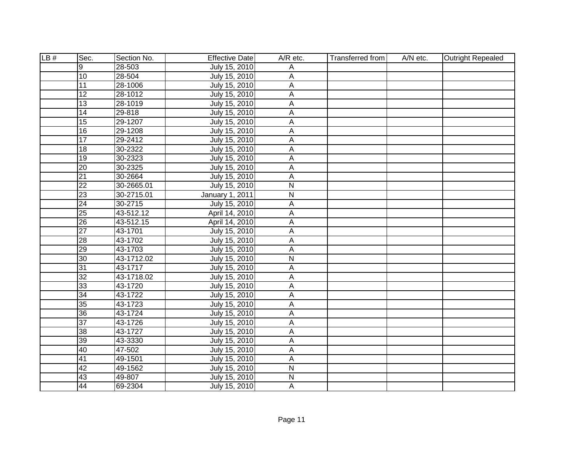| LB# | Sec.            | Section No.   | <b>Effective Date</b> | A/R etc.                  | <b>Transferred from</b> | A/N etc. | Outright Repealed |
|-----|-----------------|---------------|-----------------------|---------------------------|-------------------------|----------|-------------------|
|     | 9               | $28 - 503$    | July 15, 2010         | A                         |                         |          |                   |
|     | $\overline{10}$ | 28-504        | July 15, 2010         | А                         |                         |          |                   |
|     | 11              | 28-1006       | July 15, 2010         | A                         |                         |          |                   |
|     | $\overline{12}$ | 28-1012       | July 15, 2010         | A                         |                         |          |                   |
|     | 13              | 28-1019       | July 15, 2010         | А                         |                         |          |                   |
|     | 14              | 29-818        | July 15, 2010         | A                         |                         |          |                   |
|     | 15              | 29-1207       | July 15, 2010         | A                         |                         |          |                   |
|     | 16              | 29-1208       | July 15, 2010         | A                         |                         |          |                   |
|     | 17              | 29-2412       | July 15, 2010         | A                         |                         |          |                   |
|     | 18              | 30-2322       | July 15, 2010         | А                         |                         |          |                   |
|     | $\overline{19}$ | 30-2323       | July 15, 2010         | A                         |                         |          |                   |
|     | $\overline{20}$ | 30-2325       | July 15, 2010         | $\boldsymbol{\mathsf{A}}$ |                         |          |                   |
|     | $\overline{21}$ | 30-2664       | July 15, 2010         | $\boldsymbol{\mathsf{A}}$ |                         |          |                   |
|     | $\overline{22}$ | 30-2665.01    | July 15, 2010         | $\overline{\mathsf{N}}$   |                         |          |                   |
|     | $\overline{23}$ | 30-2715.01    | January 1, 2011       | $\mathsf{N}$              |                         |          |                   |
|     | 24              | 30-2715       | July 15, 2010         | A                         |                         |          |                   |
|     | 25              | 43-512.12     | April 14, 2010        | A                         |                         |          |                   |
|     | $\overline{26}$ | $43 - 512.15$ | April 14, 2010        | A                         |                         |          |                   |
|     | $\overline{27}$ | 43-1701       | July 15, 2010         | A                         |                         |          |                   |
|     | $\overline{28}$ | 43-1702       | July 15, 2010         | А                         |                         |          |                   |
|     | 29              | 43-1703       | July 15, 2010         | А                         |                         |          |                   |
|     | $\overline{30}$ | 43-1712.02    | July 15, 2010         | $\overline{\mathsf{N}}$   |                         |          |                   |
|     | 31              | 43-1717       | July 15, 2010         | A                         |                         |          |                   |
|     | $\overline{32}$ | 43-1718.02    | July 15, 2010         | А                         |                         |          |                   |
|     | 33              | 43-1720       | July 15, 2010         | A                         |                         |          |                   |
|     | $\overline{34}$ | 43-1722       | July 15, 2010         | A                         |                         |          |                   |
|     | 35              | 43-1723       | July 15, 2010         | А                         |                         |          |                   |
|     | 36              | 43-1724       | July 15, 2010         | A                         |                         |          |                   |
|     | $\overline{37}$ | 43-1726       | July 15, 2010         | A                         |                         |          |                   |
|     | 38              | 43-1727       | July 15, 2010         | A                         |                         |          |                   |
|     | 39              | 43-3330       | July 15, 2010         | Α                         |                         |          |                   |
|     | 40              | 47-502        | July 15, 2010         | A                         |                         |          |                   |
|     | $\overline{41}$ | 49-1501       | July 15, 2010         | A                         |                         |          |                   |
|     | 42              | 49-1562       | July 15, 2010         | $\mathsf{N}$              |                         |          |                   |
|     | 43              | 49-807        | July 15, 2010         | ${\sf N}$                 |                         |          |                   |
|     | 44              | 69-2304       | July 15, 2010         | $\overline{A}$            |                         |          |                   |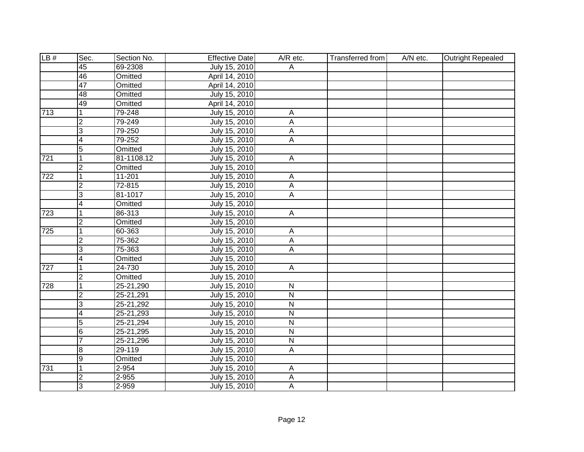| LB# | Sec.                    | Section No.   | <b>Effective Date</b> | A/R etc.                  | <b>Transferred from</b> | A/N etc. | <b>Outright Repealed</b> |
|-----|-------------------------|---------------|-----------------------|---------------------------|-------------------------|----------|--------------------------|
|     | 45                      | 69-2308       | July 15, 2010         | A                         |                         |          |                          |
|     | 46                      | Omitted       | April 14, 2010        |                           |                         |          |                          |
|     | 47                      | Omitted       | April 14, 2010        |                           |                         |          |                          |
|     | 48                      | Omitted       | July 15, 2010         |                           |                         |          |                          |
|     | 49                      | Omitted       | April 14, 2010        |                           |                         |          |                          |
| 713 | $\mathbf{1}$            | 79-248        | July 15, 2010         | $\overline{A}$            |                         |          |                          |
|     | 2                       | 79-249        | July 15, 2010         | A                         |                         |          |                          |
|     | င                       | 79-250        | July 15, 2010         | А                         |                         |          |                          |
|     | $\overline{\mathbf{4}}$ | 79-252        | July 15, 2010         | A                         |                         |          |                          |
|     | 5                       | Omitted       | July 15, 2010         |                           |                         |          |                          |
| 721 | $\overline{1}$          | 81-1108.12    | July 15, 2010         | $\boldsymbol{\mathsf{A}}$ |                         |          |                          |
|     | $\overline{2}$          | Omitted       | July 15, 2010         |                           |                         |          |                          |
| 722 | $\overline{1}$          | 11-201        | July 15, 2010         | A                         |                         |          |                          |
|     | $\overline{2}$          | 72-815        | July 15, 2010         | $\mathsf A$               |                         |          |                          |
|     | 3                       | 81-1017       | July 15, 2010         | A                         |                         |          |                          |
|     | $\overline{\mathbf{4}}$ | Omitted       | July 15, 2010         |                           |                         |          |                          |
| 723 | 1                       | 86-313        | July 15, 2010         | $\mathsf{A}$              |                         |          |                          |
|     | $\overline{2}$          | Omitted       | July 15, 2010         |                           |                         |          |                          |
| 725 | $\overline{1}$          | 60-363        | July 15, 2010         | $\overline{\mathsf{A}}$   |                         |          |                          |
|     | $\overline{2}$          | 75-362        | July 15, 2010         | A                         |                         |          |                          |
|     | 3                       | 75-363        | July 15, 2010         | A                         |                         |          |                          |
|     | $\overline{\mathbf{4}}$ | Omitted       | July 15, 2010         |                           |                         |          |                          |
| 727 | $\overline{1}$          | 24-730        | July 15, 2010         | $\overline{A}$            |                         |          |                          |
|     | $\overline{2}$          | Omitted       | July 15, 2010         |                           |                         |          |                          |
| 728 | $\overline{1}$          | 25-21,290     | July 15, 2010         | ${\sf N}$                 |                         |          |                          |
|     | $\overline{2}$          | 25-21,291     | July 15, 2010         | $\mathsf{N}$              |                         |          |                          |
|     | $\overline{3}$          | 25-21,292     | July 15, 2010         | N                         |                         |          |                          |
|     | $\overline{4}$          | 25-21,293     | July 15, 2010         | $\mathsf{N}$              |                         |          |                          |
|     | 5                       | $25 - 21,294$ | July 15, 2010         | N                         |                         |          |                          |
|     | $\overline{6}$          | 25-21,295     | July 15, 2010         | $\overline{\mathsf{N}}$   |                         |          |                          |
|     | $\overline{7}$          | 25-21,296     | July 15, 2010         | $\mathsf{N}$              |                         |          |                          |
|     | $\overline{8}$          | 29-119        | July 15, 2010         | $\overline{A}$            |                         |          |                          |
|     | o                       | Omitted       | July 15, 2010         |                           |                         |          |                          |
| 731 | $\overline{1}$          | 2-954         | July 15, 2010         | A                         |                         |          |                          |
|     | $\overline{2}$          | 2-955         | July 15, 2010         | A                         |                         |          |                          |
|     | င                       | 2-959         | July 15, 2010         | A                         |                         |          |                          |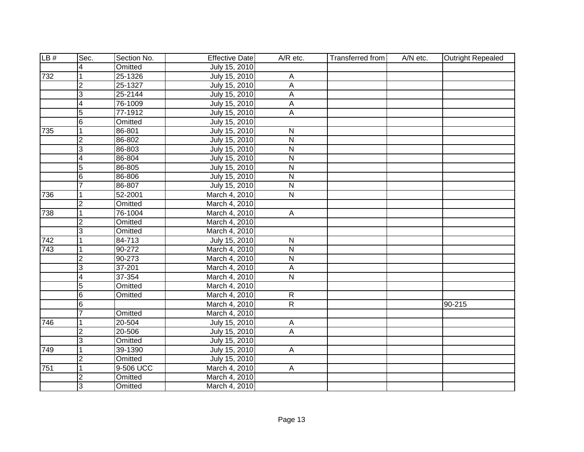| LB# | Sec.                     | Section No. | <b>Effective Date</b> | A/R etc.                | Transferred from | A/N etc. | Outright Repealed |
|-----|--------------------------|-------------|-----------------------|-------------------------|------------------|----------|-------------------|
|     | 4                        | Omitted     | July 15, 2010         |                         |                  |          |                   |
| 732 | $\mathbf 1$              | 25-1326     | July 15, 2010         | $\overline{A}$          |                  |          |                   |
|     | $\overline{2}$           | 25-1327     | July 15, 2010         | $\overline{A}$          |                  |          |                   |
|     | $\overline{3}$           | 25-2144     | July 15, 2010         | $\overline{A}$          |                  |          |                   |
|     | $\overline{\mathsf{r}}$  | 76-1009     | July 15, 2010         | A                       |                  |          |                   |
|     | $\overline{5}$           | 77-1912     | July 15, 2010         | $\overline{A}$          |                  |          |                   |
|     | $\overline{6}$           | Omitted     | July 15, 2010         |                         |                  |          |                   |
| 735 | $\overline{1}$           | 86-801      | July 15, 2010         | N                       |                  |          |                   |
|     | $\overline{2}$           | 86-802      | July 15, 2010         | $\overline{\mathsf{N}}$ |                  |          |                   |
|     | 3                        | 86-803      | July 15, 2010         | N                       |                  |          |                   |
|     | $\overline{\mathcal{A}}$ | 86-804      | July 15, 2010         | $\overline{N}$          |                  |          |                   |
|     | 5                        | 86-805      | July 15, 2010         | $\overline{\mathsf{N}}$ |                  |          |                   |
|     | $\overline{6}$           | 86-806      | July 15, 2010         | $\overline{\mathsf{N}}$ |                  |          |                   |
|     | 7                        | 86-807      | July 15, 2010         | $\overline{\mathsf{N}}$ |                  |          |                   |
| 736 | $\vert$ 1                | 52-2001     | March 4, 2010         | $\overline{\mathsf{N}}$ |                  |          |                   |
|     | $\overline{2}$           | Omitted     | March 4, 2010         |                         |                  |          |                   |
| 738 | $\overline{1}$           | 76-1004     | March 4, 2010         | $\mathsf{A}$            |                  |          |                   |
|     | $\overline{2}$           | Omitted     | March 4, 2010         |                         |                  |          |                   |
|     | $\overline{3}$           | Omitted     | March 4, 2010         |                         |                  |          |                   |
| 742 | $\mathbf{1}$             | 84-713      | July 15, 2010         | $\mathsf{N}$            |                  |          |                   |
| 743 | $\mathbf{1}$             | $90 - 272$  | March 4, 2010         | $\mathsf{N}$            |                  |          |                   |
|     | $\overline{2}$           | $90 - 273$  | March 4, 2010         | $\overline{\mathsf{N}}$ |                  |          |                   |
|     | $\overline{3}$           | $37 - 201$  | March 4, 2010         | $\overline{A}$          |                  |          |                   |
|     | $\overline{4}$           | 37-354      | March 4, 2010         | $\overline{N}$          |                  |          |                   |
|     | 5                        | Omitted     | March 4, 2010         |                         |                  |          |                   |
|     | $\overline{6}$           | Omitted     | March 4, 2010         | $\mathsf{R}$            |                  |          |                   |
|     | 6                        |             | March 4, 2010         | $\overline{R}$          |                  |          | $90 - 215$        |
|     | 7                        | Omitted     | March 4, 2010         |                         |                  |          |                   |
| 746 | $\overline{1}$           | 20-504      | July 15, 2010         | $\mathsf{A}$            |                  |          |                   |
|     | 2                        | 20-506      | July 15, 2010         | $\overline{A}$          |                  |          |                   |
|     | င                        | Omitted     | July 15, 2010         |                         |                  |          |                   |
| 749 | $\overline{1}$           | 39-1390     | July 15, 2010         | $\overline{A}$          |                  |          |                   |
|     | CV.                      | Omitted     | July 15, 2010         |                         |                  |          |                   |
| 751 | $\overline{1}$           | $9-506$ UCC | March 4, 2010         | $\mathsf{A}$            |                  |          |                   |
|     | $\overline{2}$           | Omitted     | March 4, 2010         |                         |                  |          |                   |
|     | င                        | Omitted     | March 4, 2010         |                         |                  |          |                   |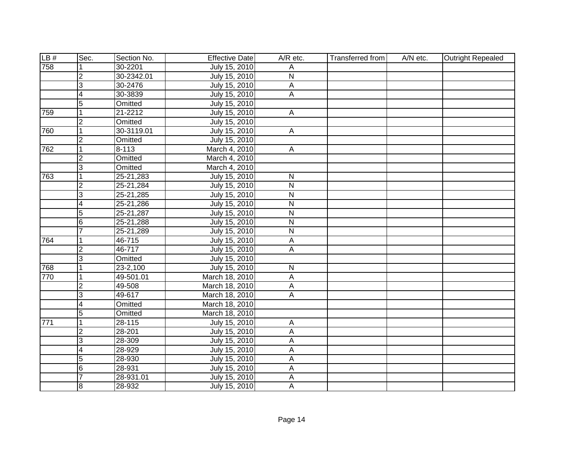| LB# | Sec.                    | Section No.  | <b>Effective Date</b> | A/R etc.       | <b>Transferred from</b> | A/N etc. | <b>Outright Repealed</b> |
|-----|-------------------------|--------------|-----------------------|----------------|-------------------------|----------|--------------------------|
| 758 |                         | 30-2201      | July 15, 2010         | Α              |                         |          |                          |
|     | CV                      | 30-2342.01   | July 15, 2010         | N              |                         |          |                          |
|     | $\overline{3}$          | 30-2476      | July 15, 2010         | $\overline{A}$ |                         |          |                          |
|     | $\overline{4}$          | 30-3839      | July 15, 2010         | A              |                         |          |                          |
|     | 5                       | Omitted      | July 15, 2010         |                |                         |          |                          |
| 759 | $\overline{1}$          | 21-2212      | July 15, 2010         | $\overline{A}$ |                         |          |                          |
|     | 2                       | Omitted      | July 15, 2010         |                |                         |          |                          |
| 760 | $\overline{1}$          | 30-3119.01   | July 15, 2010         | $\mathsf{A}$   |                         |          |                          |
|     | $\overline{2}$          | Omitted      | July 15, 2010         |                |                         |          |                          |
| 762 | $\vert$ 1               | $8 - 113$    | March 4, 2010         | A              |                         |          |                          |
|     | <u>ر</u>                | Omitted      | March 4, 2010         |                |                         |          |                          |
|     | င                       | Omitted      | March 4, 2010         |                |                         |          |                          |
| 763 | $\overline{1}$          | 25-21,283    | July 15, 2010         | $\mathsf{N}$   |                         |          |                          |
|     | $\overline{2}$          | 25-21,284    | July 15, 2010         | $\mathsf{N}$   |                         |          |                          |
|     | 3                       | 25-21,285    | July 15, 2010         | N              |                         |          |                          |
|     | $\overline{\mathbf{4}}$ | 25-21,286    | July 15, 2010         | $\mathsf{N}$   |                         |          |                          |
|     | 5                       | 25-21,287    | July 15, 2010         | N              |                         |          |                          |
|     | 6                       | 25-21,288    | July 15, 2010         | N              |                         |          |                          |
|     | $\overline{7}$          | 25-21,289    | July 15, 2010         | N              |                         |          |                          |
| 764 | 1                       | 46-715       | July 15, 2010         | А              |                         |          |                          |
|     | $\overline{2}$          | 46-717       | July 15, 2010         | A              |                         |          |                          |
|     | $\overline{3}$          | Omitted      | July 15, 2010         |                |                         |          |                          |
| 768 | $\overline{1}$          | $23 - 2,100$ | July 15, 2010         | N              |                         |          |                          |
| 770 | 1                       | 49-501.01    | March 18, 2010        | A              |                         |          |                          |
|     | $\overline{2}$          | 49-508       | March 18, 2010        | $\mathsf A$    |                         |          |                          |
|     | င                       | 49-617       | March 18, 2010        | A              |                         |          |                          |
|     | $\overline{4}$          | Omitted      | March 18, 2010        |                |                         |          |                          |
|     | 5                       | Omitted      | March 18, 2010        |                |                         |          |                          |
| 771 | 1                       | $28 - 115$   | July 15, 2010         | A              |                         |          |                          |
|     | $\overline{2}$          | 28-201       | July 15, 2010         | A              |                         |          |                          |
|     | ပြ                      | 28-309       | July 15, 2010         | A              |                         |          |                          |
|     | 4                       | 28-929       | July 15, 2010         | A              |                         |          |                          |
|     | 5                       | 28-930       | July 15, 2010         | $\mathsf A$    |                         |          |                          |
|     | 6                       | 28-931       | July 15, 2010         | A              |                         |          |                          |
|     | $\overline{7}$          | 28-931.01    | July 15, 2010         | $\mathsf A$    |                         |          |                          |
|     | $\overline{8}$          | 28-932       | July 15, 2010         | A              |                         |          |                          |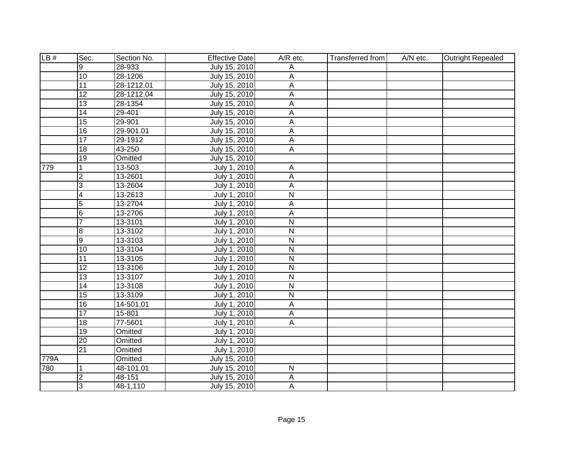| LB#  | Sec.            | Section No. | <b>Effective Date</b> | A/R etc.                | Transferred from | A/N etc. | <b>Outright Repealed</b> |
|------|-----------------|-------------|-----------------------|-------------------------|------------------|----------|--------------------------|
|      | 9               | 28-933      | July 15, 2010         | Α                       |                  |          |                          |
|      | 10              | 28-1206     | July 15, 2010         | A                       |                  |          |                          |
|      | 11              | 28-1212.01  | July 15, 2010         | А                       |                  |          |                          |
|      | 12              | 28-1212.04  | July 15, 2010         | $\overline{A}$          |                  |          |                          |
|      | 13              | 28-1354     | July 15, 2010         | A                       |                  |          |                          |
|      | 14              | 29-401      | July 15, 2010         | А                       |                  |          |                          |
|      | 15              | 29-901      | July 15, 2010         | $\overline{A}$          |                  |          |                          |
|      | $\overline{16}$ | 29-901.01   | July 15, 2010         | A                       |                  |          |                          |
|      | 17              | 29-1912     | July 15, 2010         | $\mathsf A$             |                  |          |                          |
|      | $\overline{18}$ | 43-250      | July 15, 2010         | $\overline{A}$          |                  |          |                          |
|      | 19              | Omitted     | July 15, 2010         |                         |                  |          |                          |
| 779  | 1               | 13-503      | July 1, 2010          | А                       |                  |          |                          |
|      | $\overline{2}$  | 13-2601     | July 1, 2010          | A                       |                  |          |                          |
|      | 3               | 13-2604     | July 1, 2010          | A                       |                  |          |                          |
|      | $\overline{4}$  | 13-2613     | July 1, 2010          | $\overline{\mathsf{N}}$ |                  |          |                          |
|      | $\overline{5}$  | 13-2704     | July 1, 2010          | A                       |                  |          |                          |
|      | $6\phantom{.}6$ | 13-2706     | July 1, 2010          | Α                       |                  |          |                          |
|      | $\overline{7}$  | 13-3101     | July 1, 2010          | $\overline{\mathsf{N}}$ |                  |          |                          |
|      | 8               | 13-3102     | July 1, 2010          | $\mathsf{N}$            |                  |          |                          |
|      | $\overline{9}$  | 13-3103     | July 1, 2010          | ${\sf N}$               |                  |          |                          |
|      | 10              | 13-3104     | July 1, 2010          | $\overline{\mathsf{N}}$ |                  |          |                          |
|      | $\overline{11}$ | 13-3105     | July 1, 2010          | $\overline{\mathsf{N}}$ |                  |          |                          |
|      | 12              | 13-3106     | July 1, 2010          | $\overline{N}$          |                  |          |                          |
|      | $\overline{13}$ | 13-3107     | July 1, 2010          | $\overline{\mathsf{N}}$ |                  |          |                          |
|      | 14              | 13-3108     | July 1, 2010          | $\mathsf{N}$            |                  |          |                          |
|      | $\overline{15}$ | 13-3109     | July 1, 2010          | $\overline{\mathsf{N}}$ |                  |          |                          |
|      | 16              | 14-501.01   | July 1, 2010          | A                       |                  |          |                          |
|      | $\overline{17}$ | 15-801      | July 1, 2010          | A                       |                  |          |                          |
|      | $\overline{18}$ | 77-5601     | July 1, 2010          | $\overline{A}$          |                  |          |                          |
|      | $\overline{19}$ | Omitted     | July 1, 2010          |                         |                  |          |                          |
|      | $\overline{20}$ | Omitted     | July 1, 2010          |                         |                  |          |                          |
|      | 21              | Omitted     | July 1, 2010          |                         |                  |          |                          |
| 779A |                 | Omitted     | July 15, 2010         |                         |                  |          |                          |
| 780  | 1               | 48-101.01   | July 15, 2010         | ${\sf N}$               |                  |          |                          |
|      | $\overline{2}$  | 48-151      | July 15, 2010         | А                       |                  |          |                          |
|      | 3               | 48-1,110    | July 15, 2010         | A                       |                  |          |                          |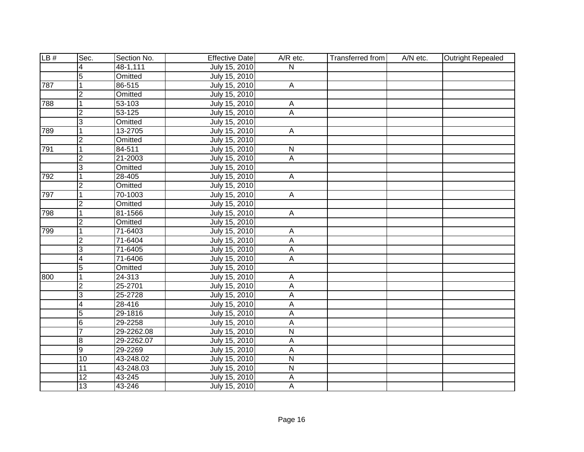| LB# | Sec.           | Section No. | <b>Effective Date</b> | A/R etc.                  | <b>Transferred from</b> | A/N etc. | <b>Outright Repealed</b> |
|-----|----------------|-------------|-----------------------|---------------------------|-------------------------|----------|--------------------------|
|     | 4              | 48-1,111    | July 15, 2010         | $\overline{\mathsf{N}}$   |                         |          |                          |
|     | $\overline{5}$ | Omitted     | July 15, 2010         |                           |                         |          |                          |
| 787 | $\mathbf 1$    | 86-515      | July 15, 2010         | $\overline{A}$            |                         |          |                          |
|     | $\overline{2}$ | Omitted     | July 15, 2010         |                           |                         |          |                          |
| 788 | $\mathbf{1}$   | 53-103      | July 15, 2010         | $\mathsf{A}$              |                         |          |                          |
|     | $\overline{2}$ | $53 - 125$  | July 15, 2010         | $\overline{A}$            |                         |          |                          |
|     | 3              | Omitted     | July 15, 2010         |                           |                         |          |                          |
| 789 | $\mathbf{1}$   | 13-2705     | July 15, 2010         | $\mathsf{A}$              |                         |          |                          |
|     | $\overline{2}$ | Omitted     | July 15, 2010         |                           |                         |          |                          |
| 791 | $\vert$ 1      | 84-511      | July 15, 2010         | $\mathsf{N}$              |                         |          |                          |
|     | $\overline{2}$ | 21-2003     | July 15, 2010         | $\boldsymbol{\mathsf{A}}$ |                         |          |                          |
|     | 3              | Omitted     | July 15, 2010         |                           |                         |          |                          |
| 792 | $\vert$ 1      | 28-405      | July 15, 2010         | $\mathsf{A}$              |                         |          |                          |
|     | $\overline{2}$ | Omitted     | July 15, 2010         |                           |                         |          |                          |
| 797 | $\vert$ 1      | 70-1003     | July 15, 2010         | $\overline{A}$            |                         |          |                          |
|     | $\overline{c}$ | Omitted     | July 15, 2010         |                           |                         |          |                          |
| 798 | $\mathbf{1}$   | 81-1566     | July 15, 2010         | $\mathsf{A}$              |                         |          |                          |
|     | $\overline{2}$ | Omitted     | July 15, 2010         |                           |                         |          |                          |
| 799 | 1              | 71-6403     | July 15, 2010         | $\overline{A}$            |                         |          |                          |
|     | $\overline{2}$ | 71-6404     | July 15, 2010         | A                         |                         |          |                          |
|     | 3              | 71-6405     | July 15, 2010         | A                         |                         |          |                          |
|     | $\overline{4}$ | 71-6406     | July 15, 2010         | $\mathsf{A}$              |                         |          |                          |
|     | $\overline{5}$ | Omitted     | July 15, 2010         |                           |                         |          |                          |
| 800 | $\overline{1}$ | 24-313      | July 15, 2010         | A                         |                         |          |                          |
|     | $\overline{2}$ | 25-2701     | July 15, 2010         | $\mathsf{A}$              |                         |          |                          |
|     | 3              | 25-2728     | July 15, 2010         | $\overline{A}$            |                         |          |                          |
|     | $\overline{4}$ | 28-416      | July 15, 2010         | $\overline{A}$            |                         |          |                          |
|     | $\overline{5}$ | 29-1816     | July 15, 2010         | $\overline{A}$            |                         |          |                          |
|     | 6              | 29-2258     | July 15, 2010         | $\overline{A}$            |                         |          |                          |
|     | $\overline{7}$ | 29-2262.08  | July 15, 2010         | $\overline{N}$            |                         |          |                          |
|     | 8              | 29-2262.07  | July 15, 2010         | A                         |                         |          |                          |
|     | $\overline{9}$ | 29-2269     | July 15, 2010         | $\overline{A}$            |                         |          |                          |
|     | 10             | 43-248.02   | July 15, 2010         | $\overline{\mathsf{N}}$   |                         |          |                          |
|     | 11             | 43-248.03   | July 15, 2010         | N                         |                         |          |                          |
|     | 12             | 43-245      | July 15, 2010         | $\mathsf{A}$              |                         |          |                          |
|     | 13             | 43-246      | July 15, 2010         | A                         |                         |          |                          |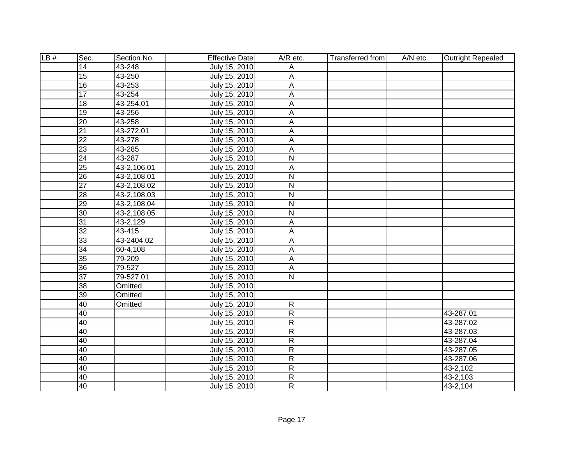| LB# | Sec.            | Section No. | <b>Effective Date</b> | A/R etc.       | <b>Transferred from</b> | A/N etc. | <b>Outright Repealed</b> |
|-----|-----------------|-------------|-----------------------|----------------|-------------------------|----------|--------------------------|
|     | $\overline{14}$ | 43-248      | July 15, 2010         | Α              |                         |          |                          |
|     | 15              | 43-250      | July 15, 2010         | A              |                         |          |                          |
|     | 16              | 43-253      | July 15, 2010         | A              |                         |          |                          |
|     | 17              | 43-254      | July 15, 2010         | A              |                         |          |                          |
|     | $\overline{18}$ | 43-254.01   | July 15, 2010         | A              |                         |          |                          |
|     | $\overline{19}$ | 43-256      | July 15, 2010         | A              |                         |          |                          |
|     | 20              | 43-258      | July 15, 2010         | Α              |                         |          |                          |
|     | $\overline{21}$ | 43-272.01   | July 15, 2010         | $\mathsf A$    |                         |          |                          |
|     | $\overline{22}$ | 43-278      | July 15, 2010         | $\mathsf A$    |                         |          |                          |
|     | 23              | 43-285      | July 15, 2010         | A              |                         |          |                          |
|     | 24              | 43-287      | July 15, 2010         | N              |                         |          |                          |
|     | 25              | 43-2,106.01 | July 15, 2010         | Α              |                         |          |                          |
|     | $\overline{26}$ | 43-2,108.01 | July 15, 2010         | $\mathsf{N}$   |                         |          |                          |
|     | $\overline{27}$ | 43-2,108.02 | July 15, 2010         | $\mathsf{N}$   |                         |          |                          |
|     | 28              | 43-2,108.03 | July 15, 2010         | N              |                         |          |                          |
|     | 29              | 43-2,108.04 | July 15, 2010         | N              |                         |          |                          |
|     | 30              | 43-2,108.05 | July 15, 2010         | N              |                         |          |                          |
|     | 31              | 43-2,129    | July 15, 2010         | Α              |                         |          |                          |
|     | 32              | 43-415      | July 15, 2010         | Α              |                         |          |                          |
|     | 33              | 43-2404.02  | July 15, 2010         | A              |                         |          |                          |
|     | 34              | 60-4,108    | July 15, 2010         | A              |                         |          |                          |
|     | 35              | 79-209      | July 15, 2010         | A              |                         |          |                          |
|     | 36              | 79-527      | July 15, 2010         | A              |                         |          |                          |
|     | $\overline{37}$ | 79-527.01   | July 15, 2010         | N              |                         |          |                          |
|     | 38              | Omitted     | July 15, 2010         |                |                         |          |                          |
|     | 39              | Omitted     | July 15, 2010         |                |                         |          |                          |
|     | 40              | Omitted     | July 15, 2010         | $\overline{R}$ |                         |          |                          |
|     | 40              |             | July 15, 2010         | $\overline{R}$ |                         |          | 43-287.01                |
|     | 40              |             | July 15, 2010         | $\overline{R}$ |                         |          | 43-287.02                |
|     | 40              |             | July 15, 2010         | $\overline{R}$ |                         |          | 43-287.03                |
|     | 40              |             | July 15, 2010         | $\overline{R}$ |                         |          | 43-287.04                |
|     | 40              |             | July 15, 2010         | $\overline{R}$ |                         |          | 43-287.05                |
|     | 40              |             | July 15, 2010         | $\overline{R}$ |                         |          | 43-287.06                |
|     | 40              |             | July 15, 2010         | $\overline{R}$ |                         |          | 43-2,102                 |
|     | 40              |             | July 15, 2010         | $\overline{R}$ |                         |          | 43-2,103                 |
|     | $\overline{40}$ |             | July 15, 2010         | $\overline{R}$ |                         |          | 43-2,104                 |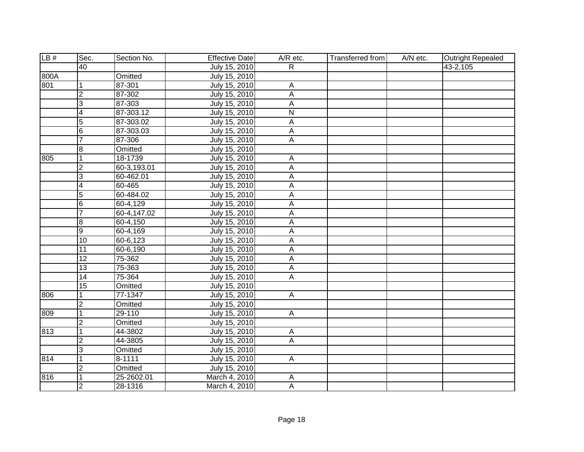| LB#  | Sec.            | Section No. | <b>Effective Date</b> | A/R etc.                | Transferred from | A/N etc. | <b>Outright Repealed</b> |
|------|-----------------|-------------|-----------------------|-------------------------|------------------|----------|--------------------------|
|      | $\overline{40}$ |             | July 15, 2010         | $\mathsf{R}$            |                  |          | 43-2,105                 |
| 800A |                 | Omitted     | July 15, 2010         |                         |                  |          |                          |
| 801  | 1               | 87-301      | July 15, 2010         | А                       |                  |          |                          |
|      | $\overline{2}$  | 87-302      | July 15, 2010         | А                       |                  |          |                          |
|      | 3               | 87-303      | July 15, 2010         | A                       |                  |          |                          |
|      | $\overline{4}$  | 87-303.12   | July 15, 2010         | $\overline{\mathsf{N}}$ |                  |          |                          |
|      | 5               | 87-303.02   | July 15, 2010         | A                       |                  |          |                          |
|      | $6\overline{6}$ | 87-303.03   | July 15, 2010         | А                       |                  |          |                          |
|      | $\overline{7}$  | 87-306      | July 15, 2010         | A                       |                  |          |                          |
|      | $\overline{8}$  | Omitted     | July 15, 2010         |                         |                  |          |                          |
| 805  | $\mathbf{1}$    | 18-1739     | July 15, 2010         | A                       |                  |          |                          |
|      | $\overline{2}$  | 60-3,193.01 | July 15, 2010         | A                       |                  |          |                          |
|      | $\overline{3}$  | 60-462.01   | July 15, 2010         | А                       |                  |          |                          |
|      | $\overline{4}$  | 60-465      | July 15, 2010         | A                       |                  |          |                          |
|      | 5               | 60-484.02   | July 15, 2010         | A                       |                  |          |                          |
|      | $6\overline{6}$ | 60-4,129    | July 15, 2010         | А                       |                  |          |                          |
|      | $\overline{7}$  | 60-4,147.02 | July 15, 2010         | А                       |                  |          |                          |
|      | $\overline{8}$  | 60-4,150    | July 15, 2010         | A                       |                  |          |                          |
|      | $\overline{9}$  | 60-4,169    | July 15, 2010         | A                       |                  |          |                          |
|      | $\overline{10}$ | 60-6,123    | July 15, 2010         | A                       |                  |          |                          |
|      | 11              | 60-6,190    | July 15, 2010         | Α                       |                  |          |                          |
|      | 12              | $75 - 362$  | July 15, 2010         | А                       |                  |          |                          |
|      | $\overline{13}$ | 75-363      | July 15, 2010         | A                       |                  |          |                          |
|      | $\overline{14}$ | 75-364      | July 15, 2010         | $\overline{A}$          |                  |          |                          |
|      | 15              | Omitted     | July 15, 2010         |                         |                  |          |                          |
| 806  | $\mathbf{1}$    | 77-1347     | July 15, 2010         | A                       |                  |          |                          |
|      | $\overline{2}$  | Omitted     | July 15, 2010         |                         |                  |          |                          |
| 809  | $\overline{1}$  | 29-110      | July 15, 2010         | $\overline{A}$          |                  |          |                          |
|      | $\overline{2}$  | Omitted     | July 15, 2010         |                         |                  |          |                          |
| 813  | $\overline{1}$  | 44-3802     | July 15, 2010         | $\overline{A}$          |                  |          |                          |
|      | $\overline{2}$  | 44-3805     | July 15, 2010         | A                       |                  |          |                          |
|      | $\overline{3}$  | Omitted     | July 15, 2010         |                         |                  |          |                          |
| 814  | $\mathbf{1}$    | 8-1111      | July 15, 2010         | $\mathsf{A}$            |                  |          |                          |
|      | $\overline{c}$  | Omitted     | July 15, 2010         |                         |                  |          |                          |
| 816  | $\mathbf{1}$    | 25-2602.01  | March 4, 2010         | Α                       |                  |          |                          |
|      | $\overline{2}$  | 28-1316     | March 4, 2010         | $\overline{A}$          |                  |          |                          |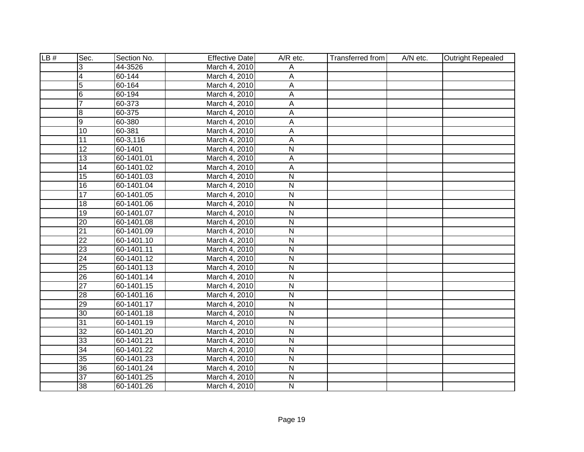| LB# | Sec.            | Section No. | <b>Effective Date</b> | A/R etc.                | <b>Transferred from</b> | A/N etc. | <b>Outright Repealed</b> |
|-----|-----------------|-------------|-----------------------|-------------------------|-------------------------|----------|--------------------------|
|     | 3               | 44-3526     | March 4, 2010         | Α                       |                         |          |                          |
|     | $\overline{4}$  | 60-144      | March 4, 2010         | A                       |                         |          |                          |
|     | $\overline{5}$  | 60-164      | March 4, 2010         | A                       |                         |          |                          |
|     | 6               | 60-194      | March 4, 2010         | A                       |                         |          |                          |
|     | $\overline{7}$  | 60-373      | March 4, 2010         | A                       |                         |          |                          |
|     | 8               | 60-375      | March 4, 2010         | A                       |                         |          |                          |
|     | $\overline{9}$  | 60-380      | March 4, 2010         | A                       |                         |          |                          |
|     | $\overline{10}$ | 60-381      | March 4, 2010         | A                       |                         |          |                          |
|     | 11              | 60-3,116    | March 4, 2010         | A                       |                         |          |                          |
|     | 12              | 60-1401     | March 4, 2010         | N                       |                         |          |                          |
|     | $\overline{13}$ | 60-1401.01  | March 4, 2010         | A                       |                         |          |                          |
|     | $\overline{14}$ | 60-1401.02  | March 4, 2010         | A                       |                         |          |                          |
|     | 15              | 60-1401.03  | March 4, 2010         | $\overline{N}$          |                         |          |                          |
|     | 16              | 60-1401.04  | March 4, 2010         | $\mathsf{N}$            |                         |          |                          |
|     | 17              | 60-1401.05  | March 4, 2010         | $\overline{N}$          |                         |          |                          |
|     | $\overline{18}$ | 60-1401.06  | March 4, 2010         | $\mathsf{N}$            |                         |          |                          |
|     | 19              | 60-1401.07  | March 4, 2010         | $\mathsf{N}$            |                         |          |                          |
|     | $\overline{20}$ | 60-1401.08  | March 4, 2010         | $\overline{N}$          |                         |          |                          |
|     | $\overline{21}$ | 60-1401.09  | March 4, 2010         | $\mathsf{N}$            |                         |          |                          |
|     | $\overline{22}$ | 60-1401.10  | March 4, 2010         | $\overline{N}$          |                         |          |                          |
|     | $\overline{23}$ | 60-1401.11  | March 4, 2010         | $\overline{N}$          |                         |          |                          |
|     | $\overline{24}$ | 60-1401.12  | March 4, 2010         | $\overline{N}$          |                         |          |                          |
|     | $\overline{25}$ | 60-1401.13  | March 4, 2010         | $\overline{\mathsf{N}}$ |                         |          |                          |
|     | 26              | 60-1401.14  | March 4, 2010         | $\mathsf{N}$            |                         |          |                          |
|     | $\overline{27}$ | 60-1401.15  | March 4, 2010         | N                       |                         |          |                          |
|     | 28              | 60-1401.16  | March 4, 2010         | N                       |                         |          |                          |
|     | $\overline{29}$ | 60-1401.17  | March 4, 2010         | N                       |                         |          |                          |
|     | $\overline{30}$ | 60-1401.18  | March 4, 2010         | N                       |                         |          |                          |
|     | 31              | 60-1401.19  | March 4, 2010         | N                       |                         |          |                          |
|     | $\overline{32}$ | 60-1401.20  | March 4, 2010         | $\overline{N}$          |                         |          |                          |
|     | 33              | 60-1401.21  | March 4, 2010         | $\overline{N}$          |                         |          |                          |
|     | $\overline{34}$ | 60-1401.22  | March 4, 2010         | N                       |                         |          |                          |
|     | $\overline{35}$ | 60-1401.23  | March 4, 2010         | N                       |                         |          |                          |
|     | 36              | 60-1401.24  | March 4, 2010         | N                       |                         |          |                          |
|     | $\overline{37}$ | 60-1401.25  | March 4, 2010         | $\overline{N}$          |                         |          |                          |
|     | 38              | 60-1401.26  | March 4, 2010         | N                       |                         |          |                          |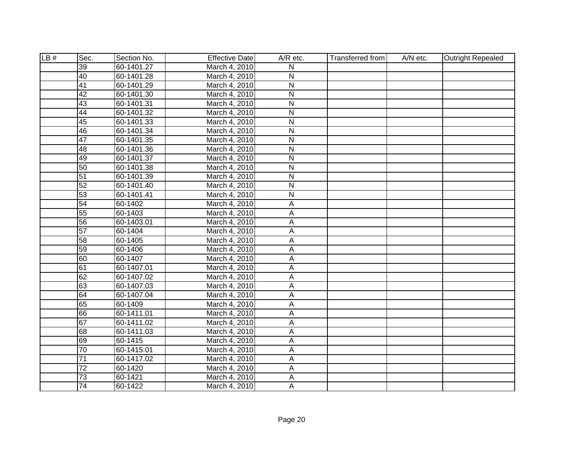| LB# | Sec.            | Section No. | <b>Effective Date</b> | A/R etc.                | <b>Transferred from</b> | A/N etc. | <b>Outright Repealed</b> |
|-----|-----------------|-------------|-----------------------|-------------------------|-------------------------|----------|--------------------------|
|     | $\overline{39}$ | 60-1401.27  | March 4, 2010         | N                       |                         |          |                          |
|     | 40              | 60-1401.28  | March 4, 2010         | N                       |                         |          |                          |
|     | 41              | 60-1401.29  | March 4, 2010         | $\overline{\mathsf{N}}$ |                         |          |                          |
|     | 42              | 60-1401.30  | March 4, 2010         | N                       |                         |          |                          |
|     | 43              | 60-1401.31  | March 4, 2010         | N                       |                         |          |                          |
|     | 44              | 60-1401.32  | March 4, 2010         | N                       |                         |          |                          |
|     | 45              | 60-1401.33  | March 4, 2010         | N                       |                         |          |                          |
|     | 46              | 60-1401.34  | March 4, 2010         | N                       |                         |          |                          |
|     | $\overline{47}$ | 60-1401.35  | March 4, 2010         | N                       |                         |          |                          |
|     | 48              | 60-1401.36  | March 4, 2010         | N                       |                         |          |                          |
|     | 49              | 60-1401.37  | March 4, 2010         | N                       |                         |          |                          |
|     | 50              | 60-1401.38  | March 4, 2010         | $\mathsf{N}$            |                         |          |                          |
|     | 51              | 60-1401.39  | March 4, 2010         | $\overline{N}$          |                         |          |                          |
|     | 52              | 60-1401.40  | March 4, 2010         | $\mathsf{N}$            |                         |          |                          |
|     | 53              | 60-1401.41  | March 4, 2010         | N                       |                         |          |                          |
|     | 54              | 60-1402     | March 4, 2010         | A                       |                         |          |                          |
|     | 55              | 60-1403     | March 4, 2010         | A                       |                         |          |                          |
|     | 56              | 60-1403.01  | March 4, 2010         | A                       |                         |          |                          |
|     | 57              | 60-1404     | March 4, 2010         | Α                       |                         |          |                          |
|     | 58              | 60-1405     | March 4, 2010         | Α                       |                         |          |                          |
|     | 59              | 60-1406     | March 4, 2010         | A                       |                         |          |                          |
|     | 60              | 60-1407     | March 4, 2010         | А                       |                         |          |                          |
|     | 61              | 60-1407.01  | March 4, 2010         | A                       |                         |          |                          |
|     | 62              | 60-1407.02  | March 4, 2010         | A                       |                         |          |                          |
|     | 63              | 60-1407.03  | March 4, 2010         | A                       |                         |          |                          |
|     | 64              | 60-1407.04  | March 4, 2010         | A                       |                         |          |                          |
|     | 65              | 60-1409     | March 4, 2010         | А                       |                         |          |                          |
|     | 66              | 60-1411.01  | March 4, 2010         | A                       |                         |          |                          |
|     | 67              | 60-1411.02  | March 4, 2010         | Α                       |                         |          |                          |
|     | 68              | 60-1411.03  | March 4, 2010         | A                       |                         |          |                          |
|     | 69              | 60-1415     | March 4, 2010         | A                       |                         |          |                          |
|     | 70              | 60-1415.01  | March 4, 2010         | Α                       |                         |          |                          |
|     | $\overline{71}$ | 60-1417.02  | March 4, 2010         | A                       |                         |          |                          |
|     | 72              | 60-1420     | March 4, 2010         | A                       |                         |          |                          |
|     | $\overline{73}$ | 60-1421     | March 4, 2010         | A                       |                         |          |                          |
|     | 74              | 60-1422     | March 4, 2010         | Α                       |                         |          |                          |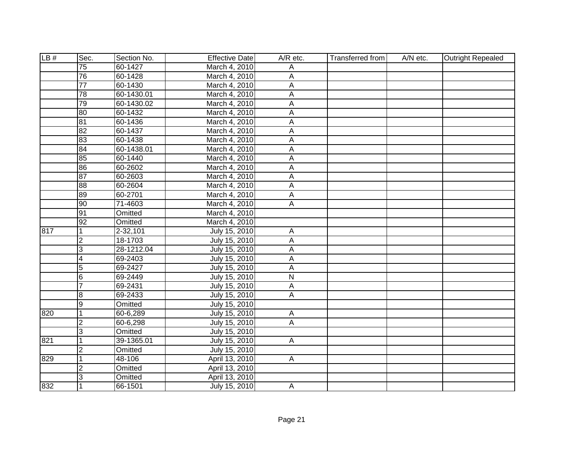| LB# | Sec.            | Section No. | <b>Effective Date</b> | A/R etc.       | Transferred from | A/N etc. | <b>Outright Repealed</b> |
|-----|-----------------|-------------|-----------------------|----------------|------------------|----------|--------------------------|
|     | $\overline{75}$ | 60-1427     | March 4, 2010         | Α              |                  |          |                          |
|     | 76              | 60-1428     | March 4, 2010         | A              |                  |          |                          |
|     | $\overline{77}$ | 60-1430     | March 4, 2010         | $\overline{A}$ |                  |          |                          |
|     | 78              | 60-1430.01  | March 4, 2010         | А              |                  |          |                          |
|     | 79              | 60-1430.02  | March 4, 2010         | A              |                  |          |                          |
|     | 80              | 60-1432     | March 4, 2010         | $\overline{A}$ |                  |          |                          |
|     | 81              | 60-1436     | March 4, 2010         | $\overline{A}$ |                  |          |                          |
|     | 82              | 60-1437     | March 4, 2010         | A              |                  |          |                          |
|     | 83              | 60-1438     | March 4, 2010         | A              |                  |          |                          |
|     | $\overline{84}$ | 60-1438.01  | March 4, 2010         | А              |                  |          |                          |
|     | 85              | 60-1440     | March 4, 2010         | A              |                  |          |                          |
|     | 86              | 60-2602     | March 4, 2010         | A              |                  |          |                          |
|     | 87              | 60-2603     | March 4, 2010         | А              |                  |          |                          |
|     | 88              | 60-2604     | March 4, 2010         | A              |                  |          |                          |
|     | 89              | 60-2701     | March 4, 2010         | A              |                  |          |                          |
|     | 90              | 71-4603     | March 4, 2010         | A              |                  |          |                          |
|     | 91              | Omitted     | March 4, 2010         |                |                  |          |                          |
|     | $\overline{92}$ | Omitted     | March 4, 2010         |                |                  |          |                          |
| 817 | 1               | 2-32,101    | July 15, 2010         | A              |                  |          |                          |
|     | $\overline{2}$  | 18-1703     | July 15, 2010         | Α              |                  |          |                          |
|     | 3               | 28-1212.04  | July 15, 2010         | Α              |                  |          |                          |
|     | $\overline{4}$  | 69-2403     | July 15, 2010         | А              |                  |          |                          |
|     | $\overline{5}$  | 69-2427     | July 15, 2010         | A              |                  |          |                          |
|     | $6\overline{6}$ | 69-2449     | July 15, 2010         | $\overline{N}$ |                  |          |                          |
|     | $\overline{7}$  | 69-2431     | July 15, 2010         | A              |                  |          |                          |
|     | $\overline{8}$  | 69-2433     | July 15, 2010         | A              |                  |          |                          |
|     | 9               | Omitted     | July 15, 2010         |                |                  |          |                          |
| 820 | $\overline{1}$  | 60-6,289    | July 15, 2010         | A              |                  |          |                          |
|     | $\overline{2}$  | 60-6,298    | July 15, 2010         | $\overline{A}$ |                  |          |                          |
|     | $\overline{3}$  | Omitted     | July 15, 2010         |                |                  |          |                          |
| 821 | 1               | 39-1365.01  | July 15, 2010         | $\overline{A}$ |                  |          |                          |
|     | $\overline{2}$  | Omitted     | July 15, 2010         |                |                  |          |                          |
| 829 | $\mathbf{1}$    | 48-106      | April 13, 2010        | $\mathsf{A}$   |                  |          |                          |
|     | $\overline{c}$  | Omitted     | April 13, 2010        |                |                  |          |                          |
|     | 3               | Omitted     | April 13, 2010        |                |                  |          |                          |
| 832 | 1               | 66-1501     | July 15, 2010         | A              |                  |          |                          |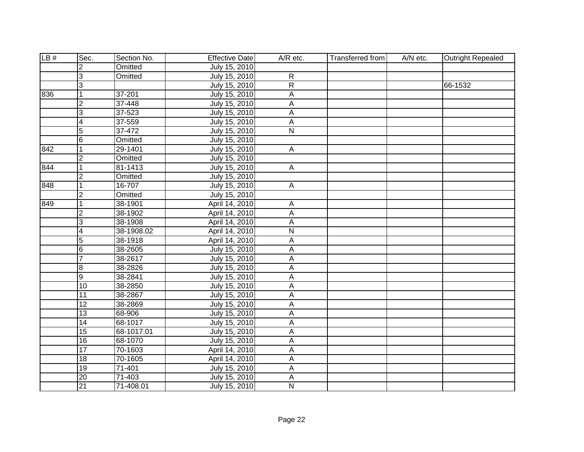| LB# | Sec.            | Section No. | <b>Effective Date</b> | A/R etc.                | <b>Transferred from</b> | A/N etc. | <b>Outright Repealed</b> |
|-----|-----------------|-------------|-----------------------|-------------------------|-------------------------|----------|--------------------------|
|     | $\overline{2}$  | Omitted     | July 15, 2010         |                         |                         |          |                          |
|     | 3               | Omitted     | July 15, 2010         | $\overline{R}$          |                         |          |                          |
|     | $\overline{3}$  |             | July 15, 2010         | $\overline{R}$          |                         |          | 66-1532                  |
| 836 | 1               | 37-201      | July 15, 2010         | $\overline{A}$          |                         |          |                          |
|     | $\overline{2}$  | 37-448      | July 15, 2010         | A                       |                         |          |                          |
|     | $\overline{3}$  | 37-523      | July 15, 2010         | $\overline{A}$          |                         |          |                          |
|     | $\overline{4}$  | 37-559      | July 15, 2010         | А                       |                         |          |                          |
|     | 5               | 37-472      | July 15, 2010         | N                       |                         |          |                          |
|     | $6\overline{6}$ | Omitted     | July 15, 2010         |                         |                         |          |                          |
| 842 | 1               | 29-1401     | July 15, 2010         | $\mathsf{A}$            |                         |          |                          |
|     | $\overline{2}$  | Omitted     | July 15, 2010         |                         |                         |          |                          |
| 844 | $\mathbf 1$     | 81-1413     | July 15, 2010         | $\mathsf{A}$            |                         |          |                          |
|     | $\overline{2}$  | Omitted     | July 15, 2010         |                         |                         |          |                          |
| 848 | $\overline{1}$  | 16-707      | July 15, 2010         | $\mathsf{A}$            |                         |          |                          |
|     | $\overline{2}$  | Omitted     | July 15, 2010         |                         |                         |          |                          |
| 849 | $\mathbf{1}$    | 38-1901     | April 14, 2010        | $\overline{A}$          |                         |          |                          |
|     | $\overline{2}$  | 38-1902     | April 14, 2010        | $\mathsf A$             |                         |          |                          |
|     | 3               | 38-1908     | April 14, 2010        | A                       |                         |          |                          |
|     | 4               | 38-1908.02  | April 14, 2010        | $\overline{\mathsf{N}}$ |                         |          |                          |
|     | 5               | 38-1918     | April 14, 2010        | А                       |                         |          |                          |
|     | $\overline{6}$  | 38-2605     | July 15, 2010         | А                       |                         |          |                          |
|     | $\overline{7}$  | 38-2617     | July 15, 2010         | A                       |                         |          |                          |
|     | ø               | 38-2826     | July 15, 2010         | A                       |                         |          |                          |
|     | g               | 38-2841     | July 15, 2010         | $\mathsf A$             |                         |          |                          |
|     | $\overline{10}$ | 38-2850     | July 15, 2010         | A                       |                         |          |                          |
|     | 11              | 38-2867     | July 15, 2010         | A                       |                         |          |                          |
|     | $\overline{12}$ | 38-2869     | July 15, 2010         | A                       |                         |          |                          |
|     | $\overline{13}$ | 68-906      | July 15, 2010         | A                       |                         |          |                          |
|     | $\overline{14}$ | 68-1017     | July 15, 2010         | A                       |                         |          |                          |
|     | $\overline{15}$ | 68-1017.01  | July 15, 2010         | A                       |                         |          |                          |
|     | 16              | 68-1070     | July 15, 2010         | A                       |                         |          |                          |
|     | 17              | 70-1603     | April 14, 2010        | A                       |                         |          |                          |
|     | 18              | 70-1605     | April 14, 2010        | $\overline{A}$          |                         |          |                          |
|     | 19              | 71-401      | July 15, 2010         | $\overline{A}$          |                         |          |                          |
|     | 20              | 71-403      | July 15, 2010         | A                       |                         |          |                          |
|     | 21              | 71-408.01   | July 15, 2010         | N                       |                         |          |                          |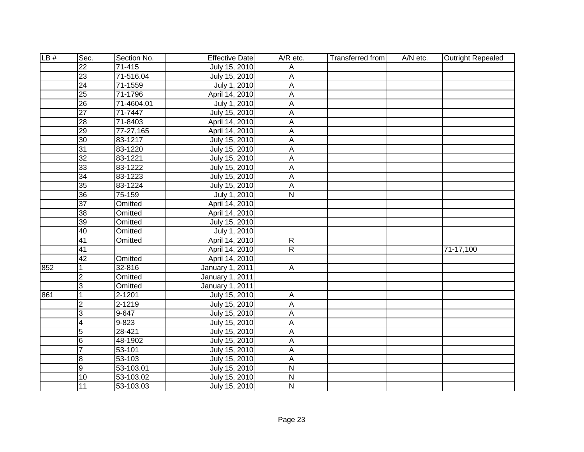| LB# | Sec.            | Section No. | <b>Effective Date</b> | A/R etc.                  | <b>Transferred from</b> | A/N etc. | <b>Outright Repealed</b> |
|-----|-----------------|-------------|-----------------------|---------------------------|-------------------------|----------|--------------------------|
|     | $\overline{22}$ | $71 - 415$  | July 15, 2010         | Α                         |                         |          |                          |
|     | 23              | 71-516.04   | July 15, 2010         | А                         |                         |          |                          |
|     | 24              | 71-1559     | July 1, 2010          | Α                         |                         |          |                          |
|     | 25              | 71-1796     | April 14, 2010        | A                         |                         |          |                          |
|     | 26              | 71-4604.01  | July 1, 2010          | A                         |                         |          |                          |
|     | $\overline{27}$ | 71-7447     | July 15, 2010         | $\overline{A}$            |                         |          |                          |
|     | 28              | 71-8403     | April 14, 2010        | A                         |                         |          |                          |
|     | 29              | 77-27,165   | April 14, 2010        | A                         |                         |          |                          |
|     | 30              | 83-1217     | July 15, 2010         | A                         |                         |          |                          |
|     | 31              | 83-1220     | July 15, 2010         | A                         |                         |          |                          |
|     | $\overline{32}$ | 83-1221     | July 15, 2010         | A                         |                         |          |                          |
|     | 33              | 83-1222     | July 15, 2010         | $\boldsymbol{\mathsf{A}}$ |                         |          |                          |
|     | 34              | 83-1223     | July 15, 2010         | $\boldsymbol{\mathsf{A}}$ |                         |          |                          |
|     | 35              | 83-1224     | July 15, 2010         | $\boldsymbol{\mathsf{A}}$ |                         |          |                          |
|     | 36              | 75-159      | July 1, 2010          | $\overline{N}$            |                         |          |                          |
|     | $\overline{37}$ | Omitted     | April 14, 2010        |                           |                         |          |                          |
|     | 38              | Omitted     | April 14, 2010        |                           |                         |          |                          |
|     | $\overline{39}$ | Omitted     | July 15, 2010         |                           |                         |          |                          |
|     | 40              | Omitted     | July 1, 2010          |                           |                         |          |                          |
|     | 41              | Omitted     | April 14, 2010        | $\mathsf{R}$              |                         |          |                          |
|     | 41              |             | April 14, 2010        | $\mathsf{R}$              |                         |          | 71-17,100                |
|     | 42              | Omitted     | April 14, 2010        |                           |                         |          |                          |
| 852 | 1               | 32-816      | January 1, 2011       | A                         |                         |          |                          |
|     | $\overline{2}$  | Omitted     | January 1, 2011       |                           |                         |          |                          |
|     | 3               | Omitted     | January 1, 2011       |                           |                         |          |                          |
| 861 | 1               | 2-1201      | July 15, 2010         | A                         |                         |          |                          |
|     | $\overline{2}$  | $2 - 1219$  | July 15, 2010         | A                         |                         |          |                          |
|     | 3               | $9 - 647$   | July 15, 2010         | A                         |                         |          |                          |
|     | 4               | $9 - 823$   | July 15, 2010         | A                         |                         |          |                          |
|     | $\overline{5}$  | $28 - 421$  | July 15, 2010         | A                         |                         |          |                          |
|     | $6\phantom{.}6$ | 48-1902     | July 15, 2010         | A                         |                         |          |                          |
|     | $\overline{7}$  | 53-101      | July 15, 2010         | A                         |                         |          |                          |
|     | $\bf{8}$        | 53-103      | July 15, 2010         | A                         |                         |          |                          |
|     | 9               | 53-103.01   | July 15, 2010         | $\mathsf{N}$              |                         |          |                          |
|     | 10              | 53-103.02   | July 15, 2010         | ${\sf N}$                 |                         |          |                          |
|     | 11              | 53-103.03   | July 15, 2010         | $\overline{N}$            |                         |          |                          |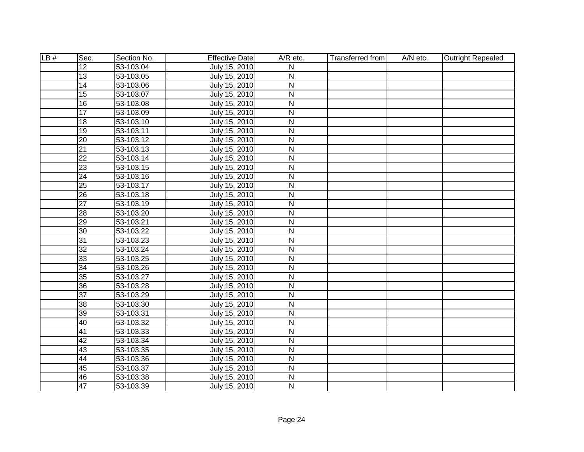| LB# | Sec.            | Section No.   | <b>Effective Date</b> | A/R etc.                | <b>Transferred from</b> | A/N etc. | <b>Outright Repealed</b> |
|-----|-----------------|---------------|-----------------------|-------------------------|-------------------------|----------|--------------------------|
|     | $\overline{12}$ | 53-103.04     | July 15, 2010         | N                       |                         |          |                          |
|     | $\overline{13}$ | 53-103.05     | July 15, 2010         | N                       |                         |          |                          |
|     | 14              | 53-103.06     | July 15, 2010         | $\overline{\mathsf{N}}$ |                         |          |                          |
|     | 15              | 53-103.07     | July 15, 2010         | N                       |                         |          |                          |
|     | 16              | 53-103.08     | July 15, 2010         | N                       |                         |          |                          |
|     | 17              | 53-103.09     | July 15, 2010         | $\overline{\mathsf{N}}$ |                         |          |                          |
|     | $\overline{18}$ | $53 - 103.10$ | July 15, 2010         | $\overline{\mathsf{N}}$ |                         |          |                          |
|     | $\overline{19}$ | 53-103.11     | July 15, 2010         | N                       |                         |          |                          |
|     | $\overline{20}$ | 53-103.12     | July 15, 2010         | N                       |                         |          |                          |
|     | $\overline{21}$ | 53-103.13     | July 15, 2010         | $\mathsf{N}$            |                         |          |                          |
|     | $\overline{22}$ | 53-103.14     | July 15, 2010         | $\overline{N}$          |                         |          |                          |
|     | 23              | 53-103.15     | July 15, 2010         | $\mathsf{N}$            |                         |          |                          |
|     | $\overline{24}$ | 53-103.16     | July 15, 2010         | $\overline{\mathsf{N}}$ |                         |          |                          |
|     | $\overline{25}$ | 53-103.17     | July 15, 2010         | ${\sf N}$               |                         |          |                          |
|     | $\overline{26}$ | 53-103.18     | July 15, 2010         | $\overline{\mathsf{N}}$ |                         |          |                          |
|     | $\overline{27}$ | 53-103.19     | July 15, 2010         | $\mathsf{N}$            |                         |          |                          |
|     | 28              | 53-103.20     | July 15, 2010         | $\mathsf{N}$            |                         |          |                          |
|     | $\overline{29}$ | 53-103.21     | July 15, 2010         | $\overline{N}$          |                         |          |                          |
|     | 30              | 53-103.22     | July 15, 2010         | $\mathsf{N}$            |                         |          |                          |
|     | $\overline{31}$ | 53-103.23     | July 15, 2010         | $\overline{N}$          |                         |          |                          |
|     | $\overline{32}$ | 53-103.24     | July 15, 2010         | $\overline{N}$          |                         |          |                          |
|     | 33              | 53-103.25     | July 15, 2010         | $\overline{N}$          |                         |          |                          |
|     | $\overline{34}$ | 53-103.26     | July 15, 2010         | $\overline{\mathsf{N}}$ |                         |          |                          |
|     | 35              | 53-103.27     | July 15, 2010         | $\mathsf{N}$            |                         |          |                          |
|     | $\overline{36}$ | 53-103.28     | July 15, 2010         | $\mathsf{N}$            |                         |          |                          |
|     | $\overline{37}$ | 53-103.29     | July 15, 2010         | $\mathsf{N}$            |                         |          |                          |
|     | $\overline{38}$ | 53-103.30     | July 15, 2010         | N                       |                         |          |                          |
|     | 39              | 53-103.31     | July 15, 2010         | N                       |                         |          |                          |
|     | 40              | 53-103.32     | July 15, 2010         | N                       |                         |          |                          |
|     | 41              | 53-103.33     | July 15, 2010         | $\overline{N}$          |                         |          |                          |
|     | 42              | 53-103.34     | July 15, 2010         | $\overline{N}$          |                         |          |                          |
|     | 43              | 53-103.35     | July 15, 2010         | N                       |                         |          |                          |
|     | 44              | 53-103.36     | July 15, 2010         | N                       |                         |          |                          |
|     | 45              | 53-103.37     | July 15, 2010         | $\mathsf{N}$            |                         |          |                          |
|     | 46              | 53-103.38     | July 15, 2010         | $\overline{N}$          |                         |          |                          |
|     | 47              | 53-103.39     | July 15, 2010         | N                       |                         |          |                          |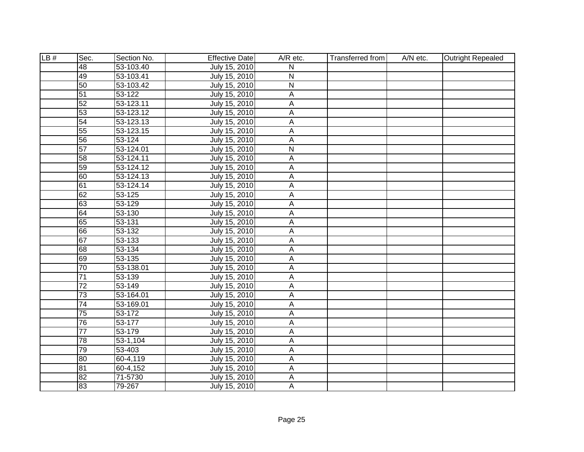| LB# | Sec.            | Section No.             | <b>Effective Date</b> | A/R etc.                  | <b>Transferred from</b> | A/N etc. | <b>Outright Repealed</b> |
|-----|-----------------|-------------------------|-----------------------|---------------------------|-------------------------|----------|--------------------------|
|     | $\overline{48}$ | 53-103.40               | July 15, 2010         | N                         |                         |          |                          |
|     | 49              | 53-103.41               | July 15, 2010         | N                         |                         |          |                          |
|     | 50              | 53-103.42               | July 15, 2010         | $\overline{\mathsf{N}}$   |                         |          |                          |
|     | 51              | $53 - 122$              | July 15, 2010         | A                         |                         |          |                          |
|     | 52              | 53-123.11               | July 15, 2010         | А                         |                         |          |                          |
|     | 53              | 53-123.12               | July 15, 2010         | A                         |                         |          |                          |
|     | 54              | $\overline{53-123.13}$  | July 15, 2010         | A                         |                         |          |                          |
|     | 55              | $\overline{53}$ -123.15 | July 15, 2010         | A                         |                         |          |                          |
|     | 56              | 53-124                  | July 15, 2010         | A                         |                         |          |                          |
|     | 57              | 53-124.01               | July 15, 2010         | ${\sf N}$                 |                         |          |                          |
|     | 58              | 53-124.11               | July 15, 2010         | A                         |                         |          |                          |
|     | 59              | 53-124.12               | July 15, 2010         | $\boldsymbol{\mathsf{A}}$ |                         |          |                          |
|     | 60              | 53-124.13               | July 15, 2010         | $\boldsymbol{\mathsf{A}}$ |                         |          |                          |
|     | 61              | 53-124.14               | July 15, 2010         | $\boldsymbol{\mathsf{A}}$ |                         |          |                          |
|     | 62              | $\overline{53} - 125$   | July 15, 2010         | A                         |                         |          |                          |
|     | 63              | 53-129                  | July 15, 2010         | A                         |                         |          |                          |
|     | 64              | 53-130                  | July 15, 2010         | $\boldsymbol{\mathsf{A}}$ |                         |          |                          |
|     | 65              | 53-131                  | July 15, 2010         | A                         |                         |          |                          |
|     | 66              | 53-132                  | July 15, 2010         | A                         |                         |          |                          |
|     | 67              | 53-133                  | July 15, 2010         | А                         |                         |          |                          |
|     | 68              | 53-134                  | July 15, 2010         | А                         |                         |          |                          |
|     | 69              | 53-135                  | July 15, 2010         | A                         |                         |          |                          |
|     | $\overline{70}$ | 53-138.01               | July 15, 2010         | A                         |                         |          |                          |
|     | $\overline{71}$ | 53-139                  | July 15, 2010         | Α                         |                         |          |                          |
|     | $\overline{72}$ | 53-149                  | July 15, 2010         | A                         |                         |          |                          |
|     | 73              | 53-164.01               | July 15, 2010         | A                         |                         |          |                          |
|     | 74              | 53-169.01               | July 15, 2010         | Α                         |                         |          |                          |
|     | 75              | 53-172                  | July 15, 2010         | A                         |                         |          |                          |
|     | 76              | 53-177                  | July 15, 2010         | A                         |                         |          |                          |
|     | $\overline{77}$ | 53-179                  | July 15, 2010         | A                         |                         |          |                          |
|     | 78              | 53-1,104                | July 15, 2010         | Α                         |                         |          |                          |
|     | 79              | 53-403                  | July 15, 2010         | A                         |                         |          |                          |
|     | 80              | 60-4,119                | July 15, 2010         | A                         |                         |          |                          |
|     | 81              | 60-4,152                | July 15, 2010         | A                         |                         |          |                          |
|     | 82              | 71-5730                 | July 15, 2010         | $\mathsf A$               |                         |          |                          |
|     | 83              | 79-267                  | July 15, 2010         | A                         |                         |          |                          |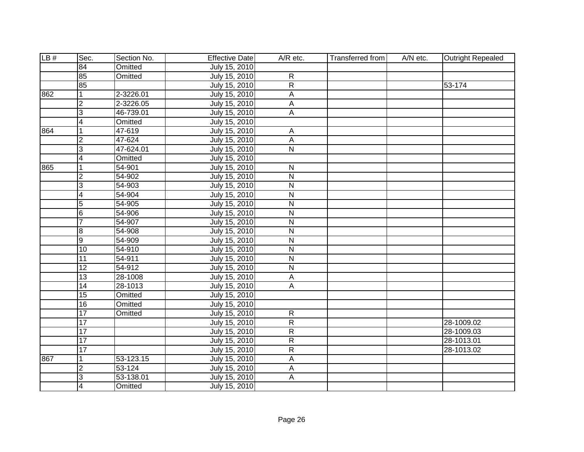| LB# | Sec.                    | Section No. | <b>Effective Date</b> | A/R etc.                | <b>Transferred from</b> | A/N etc. | <b>Outright Repealed</b> |
|-----|-------------------------|-------------|-----------------------|-------------------------|-------------------------|----------|--------------------------|
|     | $\overline{84}$         | Omitted     | July 15, 2010         |                         |                         |          |                          |
|     | 85                      | Omitted     | July 15, 2010         | $\overline{R}$          |                         |          |                          |
|     | 85                      |             | July 15, 2010         | $\overline{\mathsf{R}}$ |                         |          | 53-174                   |
| 862 | $\mathbf{1}$            | 2-3226.01   | July 15, 2010         | $\overline{A}$          |                         |          |                          |
|     | $\overline{2}$          | 2-3226.05   | July 15, 2010         | А                       |                         |          |                          |
|     | $\overline{3}$          | 46-739.01   | July 15, 2010         | $\overline{A}$          |                         |          |                          |
|     | $\overline{4}$          | Omitted     | July 15, 2010         |                         |                         |          |                          |
| 864 | 1                       | 47-619      | July 15, 2010         | A                       |                         |          |                          |
|     | $\overline{\mathbf{c}}$ | 47-624      | July 15, 2010         | A                       |                         |          |                          |
|     | $\overline{3}$          | 47-624.01   | July 15, 2010         | N                       |                         |          |                          |
|     | $\overline{4}$          | Omitted     | July 15, 2010         |                         |                         |          |                          |
| 865 | 1                       | 54-901      | July 15, 2010         | $\mathsf{N}$            |                         |          |                          |
|     | $\overline{2}$          | 54-902      | July 15, 2010         | N                       |                         |          |                          |
|     | $\overline{3}$          | 54-903      | July 15, 2010         | $\mathsf{N}$            |                         |          |                          |
|     | $\overline{4}$          | 54-904      | July 15, 2010         | N                       |                         |          |                          |
|     | $\overline{5}$          | 54-905      | July 15, 2010         | $\mathsf{N}$            |                         |          |                          |
|     | $6\overline{6}$         | 54-906      | July 15, 2010         | $\mathsf{N}$            |                         |          |                          |
|     | $\overline{7}$          | 54-907      | July 15, 2010         | $\overline{\mathsf{N}}$ |                         |          |                          |
|     | 8                       | 54-908      | July 15, 2010         | $\mathsf{N}$            |                         |          |                          |
|     | $\overline{9}$          | 54-909      | July 15, 2010         | $\mathsf{N}$            |                         |          |                          |
|     | 10                      | 54-910      | July 15, 2010         | N                       |                         |          |                          |
|     | $\overline{11}$         | 54-911      | July 15, 2010         | N                       |                         |          |                          |
|     | $\overline{12}$         | 54-912      | July 15, 2010         | $\overline{\mathsf{N}}$ |                         |          |                          |
|     | 13                      | 28-1008     | July 15, 2010         | A                       |                         |          |                          |
|     | $\overline{14}$         | 28-1013     | July 15, 2010         | A                       |                         |          |                          |
|     | 15                      | Omitted     | July 15, 2010         |                         |                         |          |                          |
|     | $\overline{16}$         | Omitted     | July 15, 2010         |                         |                         |          |                          |
|     | 17                      | Omitted     | July 15, 2010         | $\overline{R}$          |                         |          |                          |
|     | $\overline{17}$         |             | July 15, 2010         | $\overline{R}$          |                         |          | 28-1009.02               |
|     | 17                      |             | July 15, 2010         | $\overline{R}$          |                         |          | 28-1009.03               |
|     | $\overline{17}$         |             | July 15, 2010         | $\overline{R}$          |                         |          | 28-1013.01               |
|     | $\overline{17}$         |             | July 15, 2010         | $\mathsf{R}$            |                         |          | 28-1013.02               |
| 867 | 1                       | 53-123.15   | July 15, 2010         | $\mathsf A$             |                         |          |                          |
|     | $\overline{2}$          | 53-124      | July 15, 2010         | A                       |                         |          |                          |
|     | 3                       | 53-138.01   | July 15, 2010         | $\mathsf A$             |                         |          |                          |
|     | 4                       | Omitted     | July 15, 2010         |                         |                         |          |                          |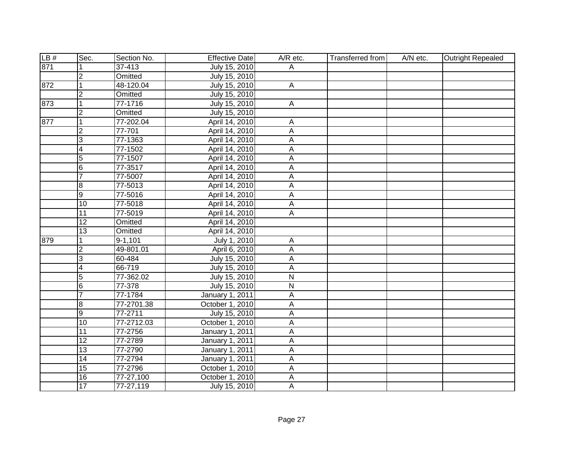| LB# | Sec.                    | Section No. | <b>Effective Date</b>  | A/R etc.       | Transferred from | A/N etc. | <b>Outright Repealed</b> |
|-----|-------------------------|-------------|------------------------|----------------|------------------|----------|--------------------------|
| 871 |                         | 37-413      | July 15, 2010          | Α              |                  |          |                          |
|     | $\overline{2}$          | Omitted     | July 15, 2010          |                |                  |          |                          |
| 872 | $\overline{1}$          | 48-120.04   | July 15, 2010          | $\overline{A}$ |                  |          |                          |
|     | $\overline{2}$          | Omitted     | July 15, 2010          |                |                  |          |                          |
| 873 | 1                       | 77-1716     | July 15, 2010          | A              |                  |          |                          |
|     | $\overline{2}$          | Omitted     | July 15, 2010          |                |                  |          |                          |
| 877 | $\overline{1}$          | 77-202.04   | April 14, 2010         | Α              |                  |          |                          |
|     | $\overline{c}$          | 77-701      | April 14, 2010         | A              |                  |          |                          |
|     | 3                       | 77-1363     | April 14, 2010         | A              |                  |          |                          |
|     | 4                       | 77-1502     | April 14, 2010         | А              |                  |          |                          |
|     | $\overline{5}$          | 77-1507     | April 14, 2010         | A              |                  |          |                          |
|     | 6                       | 77-3517     | April 14, 2010         | A              |                  |          |                          |
|     | $\overline{7}$          | 77-5007     | April 14, 2010         | А              |                  |          |                          |
|     | ø                       | 77-5013     | April 14, 2010         | A              |                  |          |                          |
|     | Θ                       | 77-5016     | April 14, 2010         | A              |                  |          |                          |
|     | 10                      | 77-5018     | April 14, 2010         | A              |                  |          |                          |
|     | $\overline{11}$         | 77-5019     | April 14, 2010         | A              |                  |          |                          |
|     | $\overline{12}$         | Omitted     | April 14, 2010         |                |                  |          |                          |
|     | 13                      | Omitted     | April 14, 2010         |                |                  |          |                          |
| 879 |                         | $9 - 1,101$ | July 1, 2010           | A              |                  |          |                          |
|     | $\overline{\mathbf{c}}$ | 49-801.01   | April 6, 2010          | A              |                  |          |                          |
|     | 3                       | 60-484      | July 15, 2010          | А              |                  |          |                          |
|     | $\overline{4}$          | 66-719      | July 15, 2010          | A              |                  |          |                          |
|     | $\overline{5}$          | 77-362.02   | July 15, 2010          | $\overline{N}$ |                  |          |                          |
|     | $6\overline{6}$         | 77-378      | July 15, 2010          | $\overline{N}$ |                  |          |                          |
|     | $\overline{7}$          | 77-1784     | January 1, 2011        | Α              |                  |          |                          |
|     | œ                       | 77-2701.38  | October 1, 2010        | A              |                  |          |                          |
|     | Θ                       | 77-2711     | July 15, 2010          | A              |                  |          |                          |
|     | $\overline{10}$         | 77-2712.03  | October 1, 2010        | A              |                  |          |                          |
|     | 11                      | 77-2756     | <b>January 1, 2011</b> | A              |                  |          |                          |
|     | $\overline{12}$         | 77-2789     | January 1, 2011        | A              |                  |          |                          |
|     | 13                      | 77-2790     | <b>January 1, 2011</b> | $\overline{A}$ |                  |          |                          |
|     | $\overline{14}$         | 77-2794     | January 1, 2011        | A              |                  |          |                          |
|     | 15                      | 77-2796     | October 1, 2010        | Α              |                  |          |                          |
|     | 16                      | 77-27,100   | October 1, 2010        | А              |                  |          |                          |
|     | $\overline{17}$         | 77-27,119   | July 15, 2010          | $\overline{A}$ |                  |          |                          |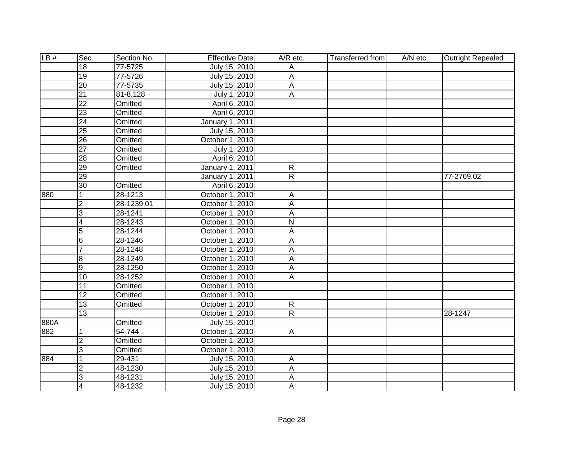| LB#  | Sec.            | Section No.  | <b>Effective Date</b> | A/R etc.       | Transferred from | A/N etc. | <b>Outright Repealed</b> |
|------|-----------------|--------------|-----------------------|----------------|------------------|----------|--------------------------|
|      | 18              | 77-5725      | July 15, 2010         | Α              |                  |          |                          |
|      | 19              | 77-5726      | July 15, 2010         | А              |                  |          |                          |
|      | $\overline{20}$ | 77-5735      | July 15, 2010         | $\overline{A}$ |                  |          |                          |
|      | $\overline{21}$ | $81 - 8,128$ | July 1, 2010          | А              |                  |          |                          |
|      | $\overline{22}$ | Omitted      | April 6, 2010         |                |                  |          |                          |
|      | $\overline{23}$ | Omitted      | April 6, 2010         |                |                  |          |                          |
|      | $\overline{24}$ | Omitted      | January 1, 2011       |                |                  |          |                          |
|      | $\overline{25}$ | Omitted      | July 15, 2010         |                |                  |          |                          |
|      | $\overline{26}$ | Omitted      | October 1, 2010       |                |                  |          |                          |
|      | $\overline{27}$ | Omitted      | July 1, 2010          |                |                  |          |                          |
|      | $\overline{28}$ | Omitted      | April 6, 2010         |                |                  |          |                          |
|      | 29              | Omitted      | January 1, 2011       | $\overline{R}$ |                  |          |                          |
|      | 29              |              | January 1, 2011       | $\overline{R}$ |                  |          | 77-2769.02               |
|      | 30              | Omitted      | April 6, 2010         |                |                  |          |                          |
| 880  | 1               | 28-1213      | October 1, 2010       | Α              |                  |          |                          |
|      | $\overline{c}$  | 28-1239.01   | October 1, 2010       | А              |                  |          |                          |
|      | 3               | 28-1241      | October 1, 2010       | А              |                  |          |                          |
|      | 4               | 28-1243      | October 1, 2010       | ${\sf N}$      |                  |          |                          |
|      | $\overline{5}$  | 28-1244      | October 1, 2010       | A              |                  |          |                          |
|      | $\overline{6}$  | 28-1246      | October 1, 2010       | Α              |                  |          |                          |
|      | $\overline{7}$  | 28-1248      | October 1, 2010       | Α              |                  |          |                          |
|      | 8               | 28-1249      | October 1, 2010       | А              |                  |          |                          |
|      | $\overline{9}$  | 28-1250      | October 1, 2010       | A              |                  |          |                          |
|      | 10              | 28-1252      | October 1, 2010       | A              |                  |          |                          |
|      | $\overline{11}$ | Omitted      | October 1, 2010       |                |                  |          |                          |
|      | 12              | Omitted      | October 1, 2010       |                |                  |          |                          |
|      | 13              | Omitted      | October 1, 2010       | $\overline{R}$ |                  |          |                          |
|      | 13              |              | October 1, 2010       | $\overline{R}$ |                  |          | 28-1247                  |
| 880A |                 | Omitted      | July 15, 2010         |                |                  |          |                          |
| 882  | 1               | 54-744       | October 1, 2010       | $\overline{A}$ |                  |          |                          |
|      | $\overline{2}$  | Omitted      | October 1, 2010       |                |                  |          |                          |
|      | $\overline{3}$  | Omitted      | October 1, 2010       |                |                  |          |                          |
| 884  | 1               | 29-431       | July 15, 2010         | A              |                  |          |                          |
|      | $\overline{2}$  | 48-1230      | July 15, 2010         | А              |                  |          |                          |
|      | 3               | 48-1231      | July 15, 2010         | А              |                  |          |                          |
|      | $\overline{4}$  | 48-1232      | July 15, 2010         | $\overline{A}$ |                  |          |                          |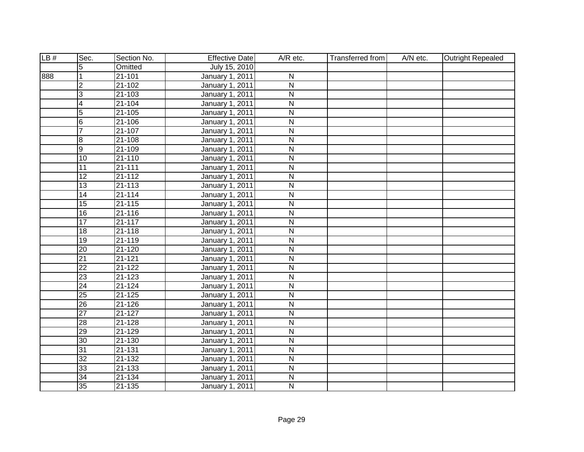| LB# | Sec.            | Section No. | <b>Effective Date</b>  | A/R etc.                | Transferred from | A/N etc. | <b>Outright Repealed</b> |
|-----|-----------------|-------------|------------------------|-------------------------|------------------|----------|--------------------------|
|     | 5               | Omitted     | July 15, 2010          |                         |                  |          |                          |
| 888 |                 | $21 - 101$  | <b>January 1, 2011</b> | $\overline{\mathsf{N}}$ |                  |          |                          |
|     | $\overline{2}$  | $21 - 102$  | <b>January 1, 2011</b> | $\overline{\mathsf{N}}$ |                  |          |                          |
|     | 3               | $21 - 103$  | <b>January 1, 2011</b> | $\overline{\mathsf{N}}$ |                  |          |                          |
|     | 4               | $21 - 104$  | <b>January 1, 2011</b> | $\overline{\mathsf{N}}$ |                  |          |                          |
|     | $\overline{5}$  | $21 - 105$  | <b>January 1, 2011</b> | $\overline{\mathsf{N}}$ |                  |          |                          |
|     | $\overline{6}$  | $21 - 106$  | January 1, 2011        | $\overline{\mathsf{N}}$ |                  |          |                          |
|     | $\overline{7}$  | $21 - 107$  | January 1, 2011        | $\overline{\mathsf{N}}$ |                  |          |                          |
|     | 8               | 21-108      | January 1, 2011        | $\overline{N}$          |                  |          |                          |
|     | $\overline{9}$  | 21-109      | January 1, 2011        | $\overline{\mathsf{N}}$ |                  |          |                          |
|     | $\overline{10}$ | 21-110      | January 1, 2011        | $\overline{N}$          |                  |          |                          |
|     | 11              | $21 - 111$  | January 1, 2011        | $\overline{\mathsf{N}}$ |                  |          |                          |
|     | 12              | $21 - 112$  | January 1, 2011        | $\overline{\mathsf{N}}$ |                  |          |                          |
|     | 13              | 21-113      | January 1, 2011        | $\overline{\mathsf{N}}$ |                  |          |                          |
|     | 14              | $21 - 114$  | January 1, 2011        | $\overline{\mathsf{N}}$ |                  |          |                          |
|     | 15              | $21 - 115$  | January 1, 2011        | $\mathsf{N}$            |                  |          |                          |
|     | $\overline{16}$ | 21-116      | January 1, 2011        | ${\sf N}$               |                  |          |                          |
|     | 17              | $21 - 117$  | January 1, 2011        | $\overline{N}$          |                  |          |                          |
|     | 18              | $21 - 118$  | January 1, 2011        | $\overline{N}$          |                  |          |                          |
|     | $\overline{19}$ | $21 - 119$  | January 1, 2011        | $\overline{N}$          |                  |          |                          |
|     | $\overline{20}$ | $21 - 120$  | January 1, 2011        | $\overline{N}$          |                  |          |                          |
|     | $\overline{21}$ | $21 - 121$  | January 1, 2011        | $\overline{N}$          |                  |          |                          |
|     | $\overline{22}$ | $21 - 122$  | January 1, 2011        | $\overline{\mathsf{N}}$ |                  |          |                          |
|     | $\overline{23}$ | 21-123      | January 1, 2011        | $\overline{N}$          |                  |          |                          |
|     | $\overline{24}$ | $21 - 124$  | January 1, 2011        | $\overline{\mathsf{N}}$ |                  |          |                          |
|     | $\overline{25}$ | 21-125      | January 1, 2011        | N                       |                  |          |                          |
|     | $\overline{26}$ | $21 - 126$  | January 1, 2011        | N                       |                  |          |                          |
|     | $\overline{27}$ | $21 - 127$  | <b>January 1, 2011</b> | $\overline{\mathsf{N}}$ |                  |          |                          |
|     | 28              | 21-128      | January 1, 2011        | N                       |                  |          |                          |
|     | 29              | $21 - 129$  | <b>January 1, 2011</b> | $\overline{N}$          |                  |          |                          |
|     | 30              | $21 - 130$  | <b>January 1, 2011</b> | $\overline{\mathsf{N}}$ |                  |          |                          |
|     | 31              | 21-131      | January 1, 2011        | $\overline{\mathsf{N}}$ |                  |          |                          |
|     | $\overline{32}$ | 21-132      | January 1, 2011        | $\overline{N}$          |                  |          |                          |
|     | 33              | 21-133      | January 1, 2011        | $\overline{N}$          |                  |          |                          |
|     | $\overline{34}$ | $21 - 134$  | January 1, 2011        | $\overline{\mathsf{N}}$ |                  |          |                          |
|     | $\overline{35}$ | 21-135      | January 1, 2011        | N                       |                  |          |                          |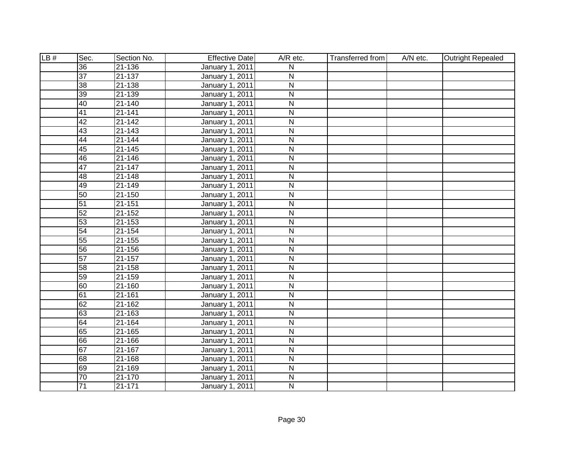| LB# | Sec.            | Section No. | <b>Effective Date</b>  | A/R etc.                | <b>Transferred from</b> | A/N etc. | <b>Outright Repealed</b> |
|-----|-----------------|-------------|------------------------|-------------------------|-------------------------|----------|--------------------------|
|     | 36              | $21 - 136$  | January 1, 2011        | N                       |                         |          |                          |
|     | $\overline{37}$ | $21 - 137$  | <b>January 1, 2011</b> | $\overline{\mathsf{N}}$ |                         |          |                          |
|     | 38              | $21 - 138$  | <b>January 1, 2011</b> | $\overline{N}$          |                         |          |                          |
|     | 39              | $21 - 139$  | <b>January 1, 2011</b> | $\overline{\mathsf{N}}$ |                         |          |                          |
|     | 40              | $21 - 140$  | January 1, 2011        | $\overline{\mathsf{N}}$ |                         |          |                          |
|     | 41              | $21 - 141$  | <b>January 1, 2011</b> | $\overline{\mathsf{N}}$ |                         |          |                          |
|     | 42              | $21 - 142$  | <b>January 1, 2011</b> | $\overline{\mathsf{N}}$ |                         |          |                          |
|     | 43              | 21-143      | January 1, 2011        | $\overline{\mathsf{N}}$ |                         |          |                          |
|     | 44              | $21 - 144$  | January 1, 2011        | $\overline{\mathsf{N}}$ |                         |          |                          |
|     | 45              | 21-145      | January 1, 2011        | $\overline{\mathsf{N}}$ |                         |          |                          |
|     | 46              | 21-146      | January 1, 2011        | $\overline{\mathsf{N}}$ |                         |          |                          |
|     | 47              | 21-147      | January 1, 2011        | $\overline{\mathsf{N}}$ |                         |          |                          |
|     | 48              | 21-148      | January 1, 2011        | $\overline{\mathsf{N}}$ |                         |          |                          |
|     | 49              | $21 - 149$  | January 1, 2011        | $\overline{N}$          |                         |          |                          |
|     | 50              | 21-150      | January 1, 2011        | $\overline{N}$          |                         |          |                          |
|     | 51              | 21-151      | January 1, 2011        | ${\sf N}$               |                         |          |                          |
|     | 52              | 21-152      | January 1, 2011        | $\overline{N}$          |                         |          |                          |
|     | 53              | 21-153      | January 1, 2011        | ${\sf N}$               |                         |          |                          |
|     | 54              | $21 - 154$  | January 1, 2011        | $\overline{\mathsf{N}}$ |                         |          |                          |
|     | 55              | 21-155      | January 1, 2011        | $\overline{N}$          |                         |          |                          |
|     | 56              | 21-156      | January 1, 2011        | ${\sf N}$               |                         |          |                          |
|     | 57              | $21 - 157$  | January 1, 2011        | $\overline{N}$          |                         |          |                          |
|     | 58              | 21-158      | January 1, 2011        | $\overline{\mathsf{N}}$ |                         |          |                          |
|     | 59              | $21 - 159$  | January 1, 2011        | $\overline{\mathsf{N}}$ |                         |          |                          |
|     | 60              | $21 - 160$  | January 1, 2011        | $\overline{\mathsf{N}}$ |                         |          |                          |
|     | 61              | 21-161      | January 1, 2011        | ${\sf N}$               |                         |          |                          |
|     | 62              | $21 - 162$  | <b>January 1, 2011</b> | $\overline{\mathsf{N}}$ |                         |          |                          |
|     | 63              | $21 - 163$  | January 1, 2011        | N                       |                         |          |                          |
|     | 64              | $21 - 164$  | January 1, 2011        | N                       |                         |          |                          |
|     | 65              | $21 - 165$  | <b>January 1, 2011</b> | $\overline{\mathsf{N}}$ |                         |          |                          |
|     | 66              | 21-166      | January 1, 2011        | $\overline{\mathsf{N}}$ |                         |          |                          |
|     | 67              | $21 - 167$  | <b>January 1, 2011</b> | $\overline{N}$          |                         |          |                          |
|     | 68              | 21-168      | January 1, 2011        | $\overline{\mathsf{N}}$ |                         |          |                          |
|     | 69              | 21-169      | January 1, 2011        | $\mathsf{N}$            |                         |          |                          |
|     | $\overline{70}$ | 21-170      | January 1, 2011        | $\overline{\mathsf{N}}$ |                         |          |                          |
|     | $\overline{71}$ | 21-171      | January 1, 2011        | $\overline{N}$          |                         |          |                          |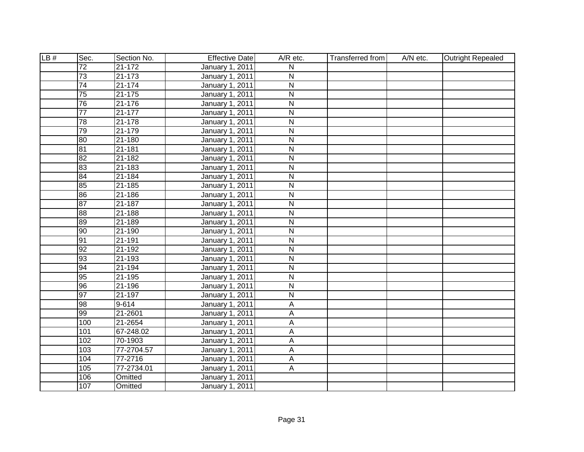| LB# | Sec.            | Section No. | <b>Effective Date</b>  | A/R etc.                | <b>Transferred from</b> | A/N etc. | <b>Outright Repealed</b> |
|-----|-----------------|-------------|------------------------|-------------------------|-------------------------|----------|--------------------------|
|     | $\overline{72}$ | $21 - 172$  | January 1, 2011        | N                       |                         |          |                          |
|     | $\overline{73}$ | $21 - 173$  | <b>January 1, 2011</b> | $\overline{\mathsf{N}}$ |                         |          |                          |
|     | $\overline{74}$ | $21 - 174$  | <b>January 1, 2011</b> | $\overline{N}$          |                         |          |                          |
|     | $\overline{75}$ | $21 - 175$  | <b>January 1, 2011</b> | $\overline{\mathsf{N}}$ |                         |          |                          |
|     | 76              | $21 - 176$  | January 1, 2011        | $\overline{\mathsf{N}}$ |                         |          |                          |
|     | $\overline{77}$ | $21 - 177$  | <b>January 1, 2011</b> | $\overline{\mathsf{N}}$ |                         |          |                          |
|     | 78              | $21 - 178$  | January 1, 2011        | $\overline{\mathsf{N}}$ |                         |          |                          |
|     | 79              | 21-179      | January 1, 2011        | $\overline{\mathsf{N}}$ |                         |          |                          |
|     | 80              | $21 - 180$  | January 1, 2011        | $\overline{\mathsf{N}}$ |                         |          |                          |
|     | 81              | 21-181      | January 1, 2011        | $\overline{\mathsf{N}}$ |                         |          |                          |
|     | 82              | $21 - 182$  | January 1, 2011        | $\overline{\mathsf{N}}$ |                         |          |                          |
|     | 83              | 21-183      | January 1, 2011        | $\overline{\mathsf{N}}$ |                         |          |                          |
|     | 84              | 21-184      | January 1, 2011        | $\overline{\mathsf{N}}$ |                         |          |                          |
|     | 85              | $21 - 185$  | January 1, 2011        | $\overline{\mathsf{N}}$ |                         |          |                          |
|     | 86              | 21-186      | January 1, 2011        | $\overline{N}$          |                         |          |                          |
|     | 87              | 21-187      | January 1, 2011        | ${\sf N}$               |                         |          |                          |
|     | 88              | 21-188      | January 1, 2011        | $\overline{\mathsf{N}}$ |                         |          |                          |
|     | 89              | 21-189      | January 1, 2011        | $\mathsf{N}$            |                         |          |                          |
|     | 90              | $21 - 190$  | January 1, 2011        | $\overline{\mathsf{N}}$ |                         |          |                          |
|     | 91              | 21-191      | January 1, 2011        | $\overline{N}$          |                         |          |                          |
|     | 92              | 21-192      | January 1, 2011        | ${\sf N}$               |                         |          |                          |
|     | 93              | 21-193      | January 1, 2011        | $\overline{N}$          |                         |          |                          |
|     | 94              | 21-194      | January 1, 2011        | $\overline{\mathsf{N}}$ |                         |          |                          |
|     | 95              | $21 - 195$  | January 1, 2011        | $\overline{\mathsf{N}}$ |                         |          |                          |
|     | 96              | 21-196      | January 1, 2011        | $\overline{\mathsf{N}}$ |                         |          |                          |
|     | 97              | 21-197      | January 1, 2011        | ${\sf N}$               |                         |          |                          |
|     | 98              | $9 - 614$   | <b>January 1, 2011</b> | A                       |                         |          |                          |
|     | 99              | 21-2601     | January 1, 2011        | A                       |                         |          |                          |
|     | 100             | 21-2654     | January 1, 2011        | A                       |                         |          |                          |
|     | 101             | 67-248.02   | <b>January 1, 2011</b> | $\overline{\mathsf{A}}$ |                         |          |                          |
|     | 102             | 70-1903     | January 1, 2011        | A                       |                         |          |                          |
|     | 103             | 77-2704.57  | <b>January 1, 2011</b> | $\overline{A}$          |                         |          |                          |
|     | 104             | 77-2716     | January 1, 2011        | A                       |                         |          |                          |
|     | 105             | 77-2734.01  | January 1, 2011        | $\mathsf{A}$            |                         |          |                          |
|     | 106             | Omitted     | January 1, 2011        |                         |                         |          |                          |
|     | 107             | Omitted     | January 1, 2011        |                         |                         |          |                          |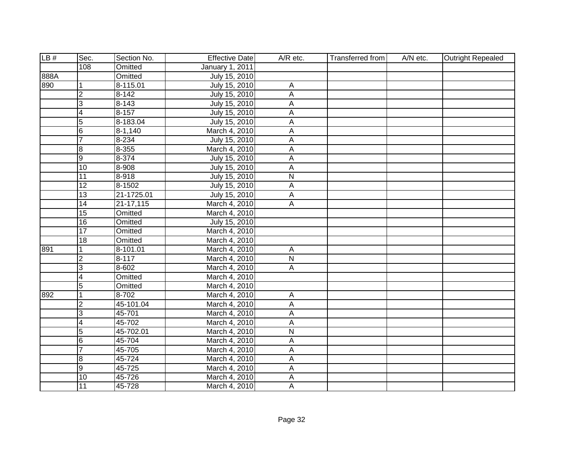| LB#  | Sec.                    | Section No.  | <b>Effective Date</b> | A/R etc.                | Transferred from | A/N etc. | <b>Outright Repealed</b> |
|------|-------------------------|--------------|-----------------------|-------------------------|------------------|----------|--------------------------|
|      | 108                     | Omitted      | January 1, 2011       |                         |                  |          |                          |
| 888A |                         | Omitted      | July 15, 2010         |                         |                  |          |                          |
| 890  | 1                       | $8 - 115.01$ | July 15, 2010         | А                       |                  |          |                          |
|      | $\overline{2}$          | $8 - 142$    | July 15, 2010         | A                       |                  |          |                          |
|      | 3                       | $8 - 143$    | July 15, 2010         | A                       |                  |          |                          |
|      | $\overline{4}$          | $8 - 157$    | July 15, 2010         | $\overline{A}$          |                  |          |                          |
|      | 5                       | 8-183.04     | July 15, 2010         | A                       |                  |          |                          |
|      | 6                       | $8 - 1,140$  | March 4, 2010         | A                       |                  |          |                          |
|      | $\overline{7}$          | $8 - 234$    | July 15, 2010         | A                       |                  |          |                          |
|      | $\bf{8}$                | 8-355        | March 4, 2010         | А                       |                  |          |                          |
|      | $\overline{9}$          | $8 - 374$    | July 15, 2010         | A                       |                  |          |                          |
|      | 10                      | 8-908        | July 15, 2010         | A                       |                  |          |                          |
|      | $\overline{11}$         | $8 - 918$    | July 15, 2010         | $\overline{N}$          |                  |          |                          |
|      | 12                      | 8-1502       | July 15, 2010         | A                       |                  |          |                          |
|      | 13                      | 21-1725.01   | July 15, 2010         | А                       |                  |          |                          |
|      | $\overline{14}$         | 21-17,115    | March 4, 2010         | A                       |                  |          |                          |
|      | $\overline{15}$         | Omitted      | March 4, 2010         |                         |                  |          |                          |
|      | $\overline{16}$         | Omitted      | July 15, 2010         |                         |                  |          |                          |
|      | $\overline{17}$         | Omitted      | March 4, 2010         |                         |                  |          |                          |
|      | $\overline{18}$         | Omitted      | March 4, 2010         |                         |                  |          |                          |
| 891  | 1                       | $8 - 101.01$ | March 4, 2010         | A                       |                  |          |                          |
|      | $\overline{2}$          | $8 - 117$    | March 4, 2010         | $\overline{\mathsf{N}}$ |                  |          |                          |
|      | $\overline{3}$          | $8 - 602$    | March 4, 2010         | A                       |                  |          |                          |
|      | $\overline{\mathbf{4}}$ | Omitted      | March 4, 2010         |                         |                  |          |                          |
|      | $\overline{5}$          | Omitted      | March 4, 2010         |                         |                  |          |                          |
| 892  | 1                       | $8 - 702$    | March 4, 2010         | A                       |                  |          |                          |
|      | $\overline{2}$          | 45-101.04    | March 4, 2010         | A                       |                  |          |                          |
|      | $\overline{3}$          | 45-701       | March 4, 2010         | $\overline{A}$          |                  |          |                          |
|      | $\overline{4}$          | 45-702       | March 4, 2010         | A                       |                  |          |                          |
|      | $\overline{5}$          | 45-702.01    | March 4, 2010         | $\overline{\mathsf{N}}$ |                  |          |                          |
|      | $6\overline{6}$         | 45-704       | March 4, 2010         | A                       |                  |          |                          |
|      | 7                       | 45-705       | March 4, 2010         | A                       |                  |          |                          |
|      | $\bf{8}$                | 45-724       | March 4, 2010         | A                       |                  |          |                          |
|      | $\overline{9}$          | 45-725       | March 4, 2010         | A                       |                  |          |                          |
|      | 10                      | 45-726       | March 4, 2010         | A                       |                  |          |                          |
|      | $\overline{11}$         | 45-728       | March 4, 2010         | A                       |                  |          |                          |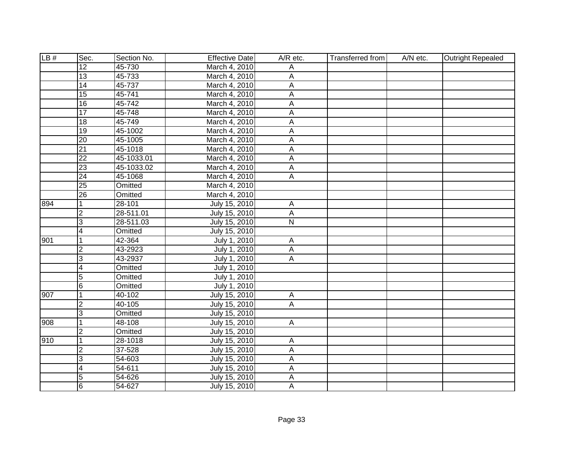| LB# | Sec.                    | Section No. | <b>Effective Date</b> | A/R etc.       | Transferred from | A/N etc. | <b>Outright Repealed</b> |
|-----|-------------------------|-------------|-----------------------|----------------|------------------|----------|--------------------------|
|     | $\overline{12}$         | 45-730      | March 4, 2010         | Α              |                  |          |                          |
|     | 13                      | 45-733      | March 4, 2010         | A              |                  |          |                          |
|     | 14                      | 45-737      | March 4, 2010         | $\overline{A}$ |                  |          |                          |
|     | 15                      | 45-741      | March 4, 2010         | А              |                  |          |                          |
|     | 16                      | 45-742      | March 4, 2010         | A              |                  |          |                          |
|     | 17                      | 45-748      | March 4, 2010         | $\overline{A}$ |                  |          |                          |
|     | 18                      | 45-749      | March 4, 2010         | $\overline{A}$ |                  |          |                          |
|     | $\overline{19}$         | 45-1002     | March 4, 2010         | A              |                  |          |                          |
|     | $\overline{20}$         | 45-1005     | March 4, 2010         | A              |                  |          |                          |
|     | $\overline{21}$         | 45-1018     | March 4, 2010         | А              |                  |          |                          |
|     | $\overline{22}$         | 45-1033.01  | March 4, 2010         | A              |                  |          |                          |
|     | 23                      | 45-1033.02  | March 4, 2010         | $\overline{A}$ |                  |          |                          |
|     | $\overline{24}$         | 45-1068     | March 4, 2010         | $\overline{A}$ |                  |          |                          |
|     | $\overline{25}$         | Omitted     | March 4, 2010         |                |                  |          |                          |
|     | $\overline{26}$         | Omitted     | March 4, 2010         |                |                  |          |                          |
| 894 | $\mathbf 1$             | 28-101      | July 15, 2010         | $\mathsf{A}$   |                  |          |                          |
|     | $\overline{2}$          | 28-511.01   | July 15, 2010         | A              |                  |          |                          |
|     | 3                       | 28-511.03   | July 15, 2010         | $\mathsf{N}$   |                  |          |                          |
|     | 4                       | Omitted     | July 15, 2010         |                |                  |          |                          |
| 901 | 1                       | 42-364      | July 1, 2010          | A              |                  |          |                          |
|     | $\overline{\mathbf{c}}$ | 43-2923     | July 1, 2010          | A              |                  |          |                          |
|     | 3                       | 43-2937     | July 1, 2010          | A              |                  |          |                          |
|     | $\overline{4}$          | Omitted     | July 1, 2010          |                |                  |          |                          |
|     | $\overline{5}$          | Omitted     | July 1, 2010          |                |                  |          |                          |
|     | $6\overline{6}$         | Omitted     | July 1, 2010          |                |                  |          |                          |
| 907 | $\mathbf{1}$            | 40-102      | July 15, 2010         | $\mathsf{A}$   |                  |          |                          |
|     | $\overline{2}$          | 40-105      | July 15, 2010         | $\overline{A}$ |                  |          |                          |
|     | 3                       | Omitted     | July 15, 2010         |                |                  |          |                          |
| 908 | $\overline{1}$          | 48-108      | July 15, 2010         | $\overline{A}$ |                  |          |                          |
|     | $\overline{2}$          | Omitted     | July 15, 2010         |                |                  |          |                          |
| 910 | $\overline{1}$          | 28-1018     | July 15, 2010         | Α              |                  |          |                          |
|     | $\overline{2}$          | 37-528      | July 15, 2010         | $\overline{A}$ |                  |          |                          |
|     | 3                       | 54-603      | July 15, 2010         | A              |                  |          |                          |
|     | 4                       | 54-611      | July 15, 2010         | А              |                  |          |                          |
|     | 5                       | 54-626      | July 15, 2010         | A              |                  |          |                          |
|     | 6                       | 54-627      | July 15, 2010         | A              |                  |          |                          |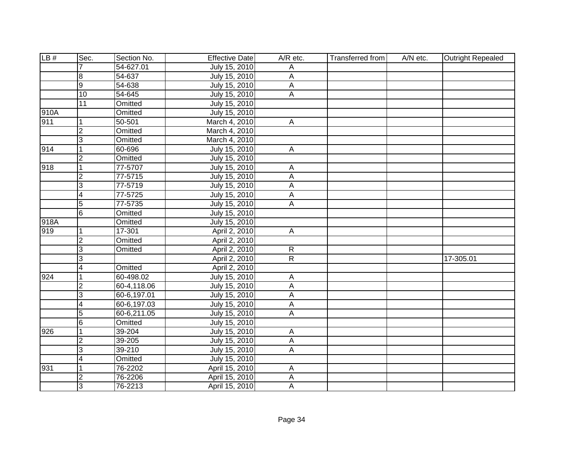| LB#  | Sec.                    | Section No. | <b>Effective Date</b> | A/R etc.       | <b>Transferred from</b> | A/N etc. | <b>Outright Repealed</b> |
|------|-------------------------|-------------|-----------------------|----------------|-------------------------|----------|--------------------------|
|      |                         | 54-627.01   | July 15, 2010         | Α              |                         |          |                          |
|      | $\overline{8}$          | 54-637      | July 15, 2010         | А              |                         |          |                          |
|      | g                       | 54-638      | July 15, 2010         | $\overline{A}$ |                         |          |                          |
|      | 10                      | 54-645      | July 15, 2010         | $\overline{A}$ |                         |          |                          |
|      | 11                      | Omitted     | July 15, 2010         |                |                         |          |                          |
| 910A |                         | Omitted     | July 15, 2010         |                |                         |          |                          |
| 911  | $\mathbf{1}$            | $50 - 501$  | March 4, 2010         | $\overline{A}$ |                         |          |                          |
|      | $\overline{2}$          | Omitted     | March 4, 2010         |                |                         |          |                          |
|      | င                       | Omitted     | March 4, 2010         |                |                         |          |                          |
| 914  | $\mathbf{1}$            | 60-696      | July 15, 2010         | $\mathsf{A}$   |                         |          |                          |
|      | $\overline{2}$          | Omitted     | July 15, 2010         |                |                         |          |                          |
| 918  | $\overline{1}$          | 77-5707     | July 15, 2010         | $\overline{A}$ |                         |          |                          |
|      | $\overline{2}$          | 77-5715     | July 15, 2010         | A              |                         |          |                          |
|      | င                       | 77-5719     | July 15, 2010         | $\mathsf A$    |                         |          |                          |
|      | $\overline{\mathbf{4}}$ | 77-5725     | July 15, 2010         | $\mathsf A$    |                         |          |                          |
|      | 5                       | 77-5735     | July 15, 2010         | A              |                         |          |                          |
|      | 6                       | Omitted     | July 15, 2010         |                |                         |          |                          |
| 918A |                         | Omitted     | July 15, 2010         |                |                         |          |                          |
| 919  | $\mathbf{1}$            | $17 - 301$  | April 2, 2010         | $\mathsf{A}$   |                         |          |                          |
|      | $\overline{2}$          | Omitted     | April 2, 2010         |                |                         |          |                          |
|      | 3                       | Omitted     | April 2, 2010         | $\mathsf{R}$   |                         |          |                          |
|      | 3                       |             | April 2, 2010         | $\overline{R}$ |                         |          | 17-305.01                |
|      | $\overline{4}$          | Omitted     | April 2, 2010         |                |                         |          |                          |
| 924  | $\overline{1}$          | 60-498.02   | July 15, 2010         | $\overline{A}$ |                         |          |                          |
|      | CV.                     | 60-4,118.06 | July 15, 2010         | A              |                         |          |                          |
|      | $\overline{3}$          | 60-6,197.01 | July 15, 2010         | A              |                         |          |                          |
|      | $\overline{4}$          | 60-6,197.03 | July 15, 2010         | $\overline{A}$ |                         |          |                          |
|      | 5                       | 60-6,211.05 | July 15, 2010         | $\overline{A}$ |                         |          |                          |
|      | $\overline{6}$          | Omitted     | July 15, 2010         |                |                         |          |                          |
| 926  | $\overline{1}$          | 39-204      | July 15, 2010         | $\overline{A}$ |                         |          |                          |
|      | $\overline{2}$          | 39-205      | July 15, 2010         | $\overline{A}$ |                         |          |                          |
|      | $\overline{3}$          | 39-210      | July 15, 2010         | $\overline{A}$ |                         |          |                          |
|      | $\overline{4}$          | Omitted     | July 15, 2010         |                |                         |          |                          |
| 931  | $\overline{1}$          | 76-2202     | April 15, 2010        | A              |                         |          |                          |
|      | $\overline{2}$          | 76-2206     | April 15, 2010        | A              |                         |          |                          |
|      | င                       | 76-2213     | April 15, 2010        | A              |                         |          |                          |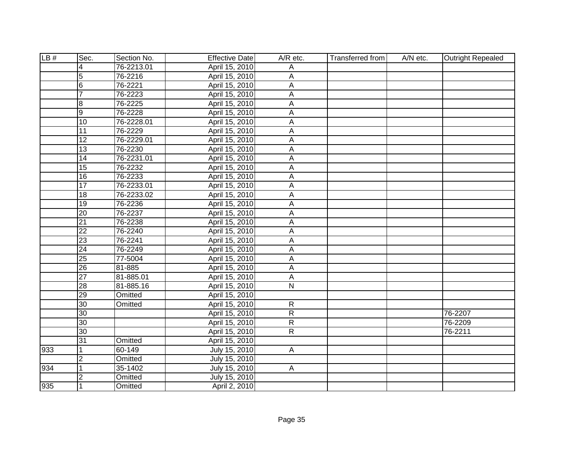| LB# | Sec.            | Section No. | <b>Effective Date</b> | $A/R$ etc.     | <b>Transferred from</b> | A/N etc. | <b>Outright Repealed</b> |
|-----|-----------------|-------------|-----------------------|----------------|-------------------------|----------|--------------------------|
|     | 4               | 76-2213.01  | April 15, 2010        | Α              |                         |          |                          |
|     | $\overline{5}$  | 76-2216     | April 15, 2010        | Α              |                         |          |                          |
|     | $6\phantom{.}6$ | 76-2221     | April 15, 2010        | A              |                         |          |                          |
|     | $\overline{7}$  | 76-2223     | April 15, 2010        | $\overline{A}$ |                         |          |                          |
|     | 8               | 76-2225     | April 15, 2010        | A              |                         |          |                          |
|     | 9               | 76-2228     | April 15, 2010        | Α              |                         |          |                          |
|     | 10              | 76-2228.01  | April 15, 2010        | $\overline{A}$ |                         |          |                          |
|     | 11              | 76-2229     | April 15, 2010        | А              |                         |          |                          |
|     | $\overline{12}$ | 76-2229.01  | April 15, 2010        | А              |                         |          |                          |
|     | $\overline{13}$ | 76-2230     | April 15, 2010        | A              |                         |          |                          |
|     | $\overline{14}$ | 76-2231.01  | April 15, 2010        | А              |                         |          |                          |
|     | 15              | 76-2232     | April 15, 2010        | A              |                         |          |                          |
|     | 16              | 76-2233     | April 15, 2010        | A              |                         |          |                          |
|     | $\overline{17}$ | 76-2233.01  | April 15, 2010        | A              |                         |          |                          |
|     | $\overline{18}$ | 76-2233.02  | April 15, 2010        | А              |                         |          |                          |
|     | 19              | 76-2236     | April 15, 2010        | A              |                         |          |                          |
|     | 20              | 76-2237     | April 15, 2010        | Α              |                         |          |                          |
|     | $\overline{21}$ | 76-2238     | April 15, 2010        | A              |                         |          |                          |
|     | $\overline{22}$ | 76-2240     | April 15, 2010        | Α              |                         |          |                          |
|     | 23              | 76-2241     | April 15, 2010        | Α              |                         |          |                          |
|     | $\overline{24}$ | 76-2249     | April 15, 2010        | А              |                         |          |                          |
|     | $\overline{25}$ | 77-5004     | April 15, 2010        | A              |                         |          |                          |
|     | $\overline{26}$ | 81-885      | April 15, 2010        | Α              |                         |          |                          |
|     | $\overline{27}$ | 81-885.01   | April 15, 2010        | А              |                         |          |                          |
|     | 28              | 81-885.16   | April 15, 2010        | $\mathsf{N}$   |                         |          |                          |
|     | 29              | Omitted     | April 15, 2010        |                |                         |          |                          |
|     | 30              | Omitted     | April 15, 2010        | $\overline{R}$ |                         |          |                          |
|     | 30              |             | April 15, 2010        | $\overline{R}$ |                         |          | 76-2207                  |
|     | 30              |             | April 15, 2010        | $\overline{R}$ |                         |          | 76-2209                  |
|     | 30              |             | April 15, 2010        | R              |                         |          | 76-2211                  |
|     | 31              | Omitted     | April 15, 2010        |                |                         |          |                          |
| 933 | 1               | 60-149      | July 15, 2010         | $\overline{A}$ |                         |          |                          |
|     | $\overline{2}$  | Omitted     | July 15, 2010         |                |                         |          |                          |
| 934 | 1               | 35-1402     | July 15, 2010         | A              |                         |          |                          |
|     | $\overline{2}$  | Omitted     | July 15, 2010         |                |                         |          |                          |
| 935 | 1               | Omitted     | April 2, 2010         |                |                         |          |                          |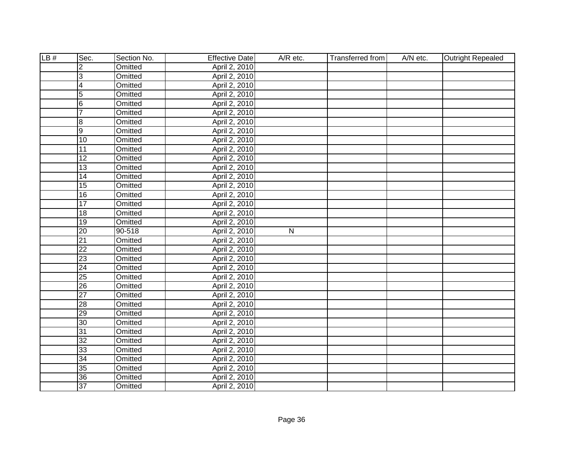| LB# | Sec.                    | Section No.    | <b>Effective Date</b> | A/R etc.  | Transferred from | A/N etc. | <b>Outright Repealed</b> |
|-----|-------------------------|----------------|-----------------------|-----------|------------------|----------|--------------------------|
|     | $\overline{2}$          | Omitted        | April 2, 2010         |           |                  |          |                          |
|     | 3                       | <b>Omitted</b> | April 2, 2010         |           |                  |          |                          |
|     | $\overline{\mathbf{4}}$ | <b>Omitted</b> | April 2, 2010         |           |                  |          |                          |
|     | $\overline{5}$          | Omitted        | April 2, 2010         |           |                  |          |                          |
|     | $6\phantom{.}6$         | Omitted        | April 2, 2010         |           |                  |          |                          |
|     | $\overline{7}$          | Omitted        | April 2, 2010         |           |                  |          |                          |
|     | 8                       | Omitted        | April 2, 2010         |           |                  |          |                          |
|     | $\overline{9}$          | Omitted        | April 2, 2010         |           |                  |          |                          |
|     | $\overline{10}$         | Omitted        | April 2, 2010         |           |                  |          |                          |
|     | 11                      | Omitted        | April 2, 2010         |           |                  |          |                          |
|     | $\overline{12}$         | Omitted        | April 2, 2010         |           |                  |          |                          |
|     | $\overline{13}$         | Omitted        | April 2, 2010         |           |                  |          |                          |
|     | $\overline{14}$         | Omitted        | April 2, 2010         |           |                  |          |                          |
|     | $\overline{15}$         | Omitted        | April 2, 2010         |           |                  |          |                          |
|     | 16                      | Omitted        | April 2, 2010         |           |                  |          |                          |
|     | $\overline{17}$         | Omitted        | April 2, 2010         |           |                  |          |                          |
|     | 18                      | Omitted        | April 2, 2010         |           |                  |          |                          |
|     | $\overline{19}$         | Omitted        | April 2, 2010         |           |                  |          |                          |
|     | 20                      | 90-518         | April 2, 2010         | ${\sf N}$ |                  |          |                          |
|     | $\overline{21}$         | Omitted        | April 2, 2010         |           |                  |          |                          |
|     | $\overline{22}$         | Omitted        | April 2, 2010         |           |                  |          |                          |
|     | $\overline{23}$         | Omitted        | April 2, 2010         |           |                  |          |                          |
|     | $\overline{24}$         | Omitted        | April 2, 2010         |           |                  |          |                          |
|     | 25                      | Omitted        | April 2, 2010         |           |                  |          |                          |
|     | $\overline{26}$         | Omitted        | April 2, 2010         |           |                  |          |                          |
|     | $\overline{27}$         | Omitted        | April 2, 2010         |           |                  |          |                          |
|     | 28                      | Omitted        | April 2, 2010         |           |                  |          |                          |
|     | $\overline{29}$         | <b>Omitted</b> | April 2, 2010         |           |                  |          |                          |
|     | 30                      | Omitted        | April 2, 2010         |           |                  |          |                          |
|     | 31                      | Omitted        | April 2, 2010         |           |                  |          |                          |
|     | 32                      | Omitted        | April 2, 2010         |           |                  |          |                          |
|     | 33                      | Omitted        | April 2, 2010         |           |                  |          |                          |
|     | $\overline{34}$         | Omitted        | April 2, 2010         |           |                  |          |                          |
|     | 35                      | Omitted        | April 2, 2010         |           |                  |          |                          |
|     | $\overline{36}$         | Omitted        | April 2, 2010         |           |                  |          |                          |
|     | 37                      | Omitted        | April 2, 2010         |           |                  |          |                          |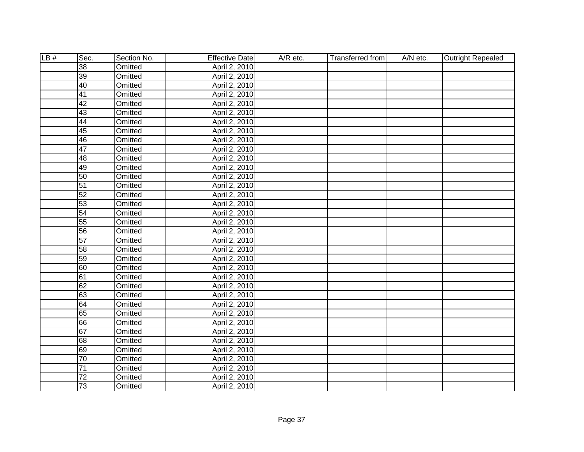| LB# | Sec.            | Section No.    | <b>Effective Date</b> | A/R etc. | Transferred from | A/N etc. | <b>Outright Repealed</b> |
|-----|-----------------|----------------|-----------------------|----------|------------------|----------|--------------------------|
|     | 38              | Omitted        | April 2, 2010         |          |                  |          |                          |
|     | 39              | <b>Omitted</b> | April 2, 2010         |          |                  |          |                          |
|     | 40              | <b>Omitted</b> | April 2, 2010         |          |                  |          |                          |
|     | 41              | Omitted        | April 2, 2010         |          |                  |          |                          |
|     | 42              | Omitted        | April 2, 2010         |          |                  |          |                          |
|     | 43              | Omitted        | April 2, 2010         |          |                  |          |                          |
|     | 44              | Omitted        | April 2, 2010         |          |                  |          |                          |
|     | 45              | Omitted        | April 2, 2010         |          |                  |          |                          |
|     | 46              | Omitted        | April 2, 2010         |          |                  |          |                          |
|     | $\overline{47}$ | Omitted        | April 2, 2010         |          |                  |          |                          |
|     | 48              | Omitted        | April 2, 2010         |          |                  |          |                          |
|     | 49              | Omitted        | April 2, 2010         |          |                  |          |                          |
|     | 50              | Omitted        | April 2, 2010         |          |                  |          |                          |
|     | 51              | Omitted        | April 2, 2010         |          |                  |          |                          |
|     | 52              | Omitted        | April 2, 2010         |          |                  |          |                          |
|     | 53              | Omitted        | April 2, 2010         |          |                  |          |                          |
|     | 54              | Omitted        | April 2, 2010         |          |                  |          |                          |
|     | 55              | Omitted        | April 2, 2010         |          |                  |          |                          |
|     | 56              | Omitted        | April 2, 2010         |          |                  |          |                          |
|     | 57              | Omitted        | April 2, 2010         |          |                  |          |                          |
|     | 58              | Omitted        | April 2, 2010         |          |                  |          |                          |
|     | 59              | Omitted        | April 2, 2010         |          |                  |          |                          |
|     | 60              | Omitted        | April 2, 2010         |          |                  |          |                          |
|     | 61              | Omitted        | April 2, 2010         |          |                  |          |                          |
|     | 62              | Omitted        | April 2, 2010         |          |                  |          |                          |
|     | 63              | Omitted        | April 2, 2010         |          |                  |          |                          |
|     | 64              | Omitted        | April 2, 2010         |          |                  |          |                          |
|     | 65              | Omitted        | April 2, 2010         |          |                  |          |                          |
|     | 66              | Omitted        | April 2, 2010         |          |                  |          |                          |
|     | 67              | Omitted        | April 2, 2010         |          |                  |          |                          |
|     | 68              | Omitted        | April 2, 2010         |          |                  |          |                          |
|     | 69              | Omitted        | April 2, 2010         |          |                  |          |                          |
|     | 70              | Omitted        | April 2, 2010         |          |                  |          |                          |
|     | $\overline{71}$ | Omitted        | April 2, 2010         |          |                  |          |                          |
|     | $\overline{72}$ | Omitted        | April 2, 2010         |          |                  |          |                          |
|     | 73              | Omitted        | April 2, 2010         |          |                  |          |                          |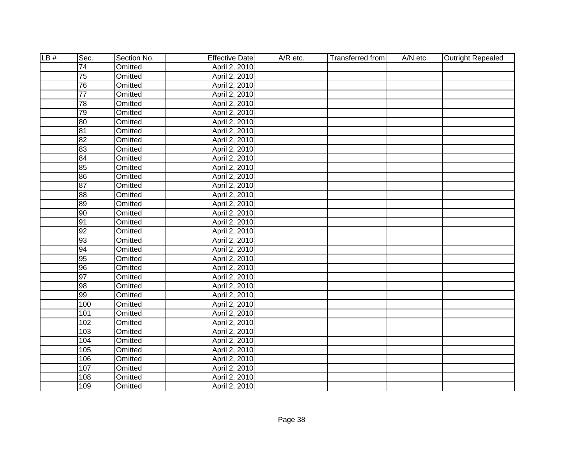| LB# | Sec.            | Section No.    | <b>Effective Date</b> | A/R etc. | Transferred from | A/N etc. | <b>Outright Repealed</b> |
|-----|-----------------|----------------|-----------------------|----------|------------------|----------|--------------------------|
|     | $\overline{74}$ | Omitted        | April 2, 2010         |          |                  |          |                          |
|     | $\overline{75}$ | Omitted        | April 2, 2010         |          |                  |          |                          |
|     | 76              | <b>Omitted</b> | April 2, 2010         |          |                  |          |                          |
|     | $\overline{77}$ | Omitted        | April 2, 2010         |          |                  |          |                          |
|     | 78              | Omitted        | April 2, 2010         |          |                  |          |                          |
|     | 79              | Omitted        | April 2, 2010         |          |                  |          |                          |
|     | 80              | Omitted        | April 2, 2010         |          |                  |          |                          |
|     | $\overline{81}$ | Omitted        | April 2, 2010         |          |                  |          |                          |
|     | 82              | Omitted        | April 2, 2010         |          |                  |          |                          |
|     | 83              | Omitted        | April 2, 2010         |          |                  |          |                          |
|     | 84              | Omitted        | April 2, 2010         |          |                  |          |                          |
|     | 85              | Omitted        | April 2, 2010         |          |                  |          |                          |
|     | 86              | Omitted        | April 2, 2010         |          |                  |          |                          |
|     | 87              | Omitted        | April 2, 2010         |          |                  |          |                          |
|     | 88              | Omitted        | April 2, 2010         |          |                  |          |                          |
|     | 89              | Omitted        | April 2, 2010         |          |                  |          |                          |
|     | 90              | Omitted        | April 2, 2010         |          |                  |          |                          |
|     | 91              | Omitted        | April 2, 2010         |          |                  |          |                          |
|     | 92              | Omitted        | April 2, 2010         |          |                  |          |                          |
|     | 93              | Omitted        | April 2, 2010         |          |                  |          |                          |
|     | 94              | Omitted        | April 2, 2010         |          |                  |          |                          |
|     | 95              | Omitted        | April 2, 2010         |          |                  |          |                          |
|     | 96              | Omitted        | April 2, 2010         |          |                  |          |                          |
|     | 97              | Omitted        | April 2, 2010         |          |                  |          |                          |
|     | 98              | Omitted        | April 2, 2010         |          |                  |          |                          |
|     | 99              | Omitted        | April 2, 2010         |          |                  |          |                          |
|     | 100             | <b>Omitted</b> | April 2, 2010         |          |                  |          |                          |
|     | 101             | Omitted        | April 2, 2010         |          |                  |          |                          |
|     | 102             | Omitted        | April 2, 2010         |          |                  |          |                          |
|     | 103             | <b>Omitted</b> | April 2, 2010         |          |                  |          |                          |
|     | 104             | Omitted        | April 2, 2010         |          |                  |          |                          |
|     | 105             | Omitted        | April 2, 2010         |          |                  |          |                          |
|     | 106             | Omitted        | April 2, 2010         |          |                  |          |                          |
|     | 107             | Omitted        | April 2, 2010         |          |                  |          |                          |
|     | 108             | Omitted        | April 2, 2010         |          |                  |          |                          |
|     | 109             | Omitted        | April 2, 2010         |          |                  |          |                          |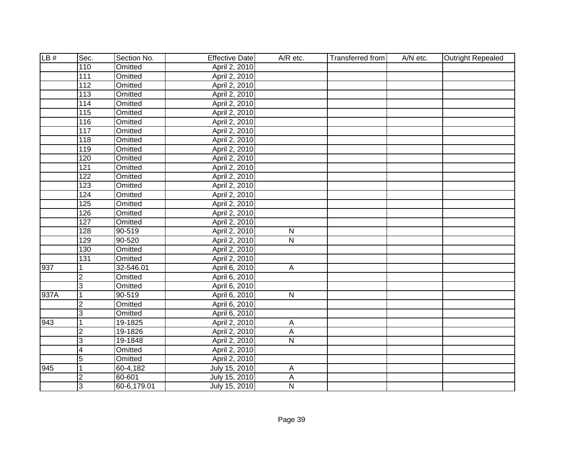| LB#  | Sec.             | Section No.    | <b>Effective Date</b> | A/R etc.                | Transferred from | A/N etc. | <b>Outright Repealed</b> |
|------|------------------|----------------|-----------------------|-------------------------|------------------|----------|--------------------------|
|      | 110              | Omitted        | April 2, 2010         |                         |                  |          |                          |
|      | 111              | Omitted        | April 2, 2010         |                         |                  |          |                          |
|      | 112              | <b>Omitted</b> | April 2, 2010         |                         |                  |          |                          |
|      | 113              | <b>Omitted</b> | April 2, 2010         |                         |                  |          |                          |
|      | 114              | <b>Omitted</b> | April 2, 2010         |                         |                  |          |                          |
|      | 115              | Omitted        | April 2, 2010         |                         |                  |          |                          |
|      | 116              | Omitted        | April 2, 2010         |                         |                  |          |                          |
|      | 117              | Omitted        | April 2, 2010         |                         |                  |          |                          |
|      | 118              | Omitted        | April 2, 2010         |                         |                  |          |                          |
|      | 119              | Omitted        | April 2, 2010         |                         |                  |          |                          |
|      | 120              | Omitted        | April 2, 2010         |                         |                  |          |                          |
|      | 121              | Omitted        | April 2, 2010         |                         |                  |          |                          |
|      | 122              | Omitted        | April 2, 2010         |                         |                  |          |                          |
|      | 123              | Omitted        | April 2, 2010         |                         |                  |          |                          |
|      | 124              | Omitted        | April 2, 2010         |                         |                  |          |                          |
|      | 125              | Omitted        | April 2, 2010         |                         |                  |          |                          |
|      | 126              | Omitted        | April 2, 2010         |                         |                  |          |                          |
|      | $\overline{127}$ | Omitted        | April 2, 2010         |                         |                  |          |                          |
|      | 128              | 90-519         | April 2, 2010         | $\mathsf{N}$            |                  |          |                          |
|      | 129              | 90-520         | April 2, 2010         | $\mathsf{N}$            |                  |          |                          |
|      | 130              | Omitted        | April 2, 2010         |                         |                  |          |                          |
|      | 131              | Omitted        | April 2, 2010         |                         |                  |          |                          |
| 937  | 1                | 32-546.01      | April 6, 2010         | A                       |                  |          |                          |
|      | $\overline{2}$   | Omitted        | April 6, 2010         |                         |                  |          |                          |
|      | $\overline{3}$   | Omitted        | April 6, 2010         |                         |                  |          |                          |
| 937A | 1                | 90-519         | April 6, 2010         | $\overline{N}$          |                  |          |                          |
|      | $\overline{2}$   | Omitted        | April 6, 2010         |                         |                  |          |                          |
|      | 3                | Omitted        | April 6, 2010         |                         |                  |          |                          |
| 943  | 1                | 19-1825        | April 2, 2010         | Α                       |                  |          |                          |
|      | $\overline{2}$   | 19-1826        | April 2, 2010         | $\overline{A}$          |                  |          |                          |
|      | 3                | 19-1848        | April 2, 2010         | $\overline{\mathsf{N}}$ |                  |          |                          |
|      | $\overline{4}$   | Omitted        | April 2, 2010         |                         |                  |          |                          |
|      | $\overline{5}$   | Omitted        | April 2, 2010         |                         |                  |          |                          |
| 945  | $\mathbf 1$      | 60-4,182       | July 15, 2010         | А                       |                  |          |                          |
|      | $\overline{c}$   | 60-601         | July 15, 2010         | A                       |                  |          |                          |
|      | 3                | 60-6,179.01    | July 15, 2010         | $\mathsf{N}$            |                  |          |                          |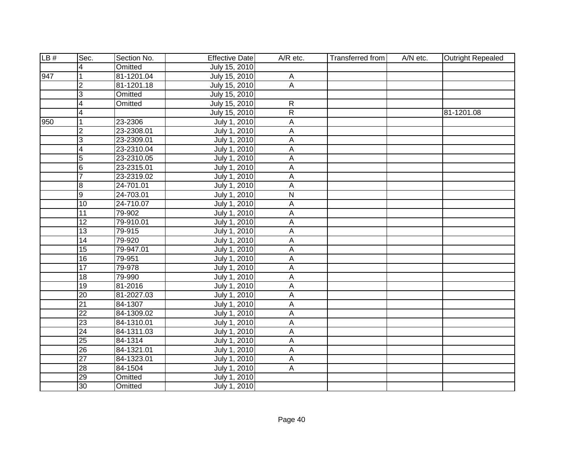| LB# | Sec.            | Section No. | <b>Effective Date</b> | $A/R$ etc.              | Transferred from | A/N etc. | Outright Repealed |
|-----|-----------------|-------------|-----------------------|-------------------------|------------------|----------|-------------------|
|     | 4               | Omitted     | July 15, 2010         |                         |                  |          |                   |
| 947 | 1               | 81-1201.04  | July 15, 2010         | A                       |                  |          |                   |
|     | $\overline{2}$  | 81-1201.18  | July 15, 2010         | $\overline{A}$          |                  |          |                   |
|     | 3               | Omitted     | July 15, 2010         |                         |                  |          |                   |
|     | 4               | Omitted     | July 15, 2010         | $\overline{R}$          |                  |          |                   |
|     | 4               |             | July 15, 2010         | R                       |                  |          | 81-1201.08        |
| 950 | 1               | 23-2306     | July 1, 2010          | A                       |                  |          |                   |
|     | $\overline{2}$  | 23-2308.01  | July 1, 2010          | A                       |                  |          |                   |
|     | $\overline{3}$  | 23-2309.01  | July 1, 2010          | A                       |                  |          |                   |
|     | 4               | 23-2310.04  | July 1, 2010          | А                       |                  |          |                   |
|     | 5               | 23-2310.05  | July 1, 2010          | A                       |                  |          |                   |
|     | $6\phantom{.}6$ | 23-2315.01  | July 1, 2010          | А                       |                  |          |                   |
|     | $\overline{7}$  | 23-2319.02  | July 1, 2010          | A                       |                  |          |                   |
|     | $\overline{8}$  | 24-701.01   | July 1, 2010          | A                       |                  |          |                   |
|     | g               | 24-703.01   | July 1, 2010          | $\overline{\mathsf{N}}$ |                  |          |                   |
|     | 10              | 24-710.07   | July 1, 2010          | А                       |                  |          |                   |
|     | $\overline{11}$ | 79-902      | July 1, 2010          | A                       |                  |          |                   |
|     | 12              | 79-910.01   | July 1, 2010          | A                       |                  |          |                   |
|     | 13              | 79-915      | July 1, 2010          | Α                       |                  |          |                   |
|     | 14              | 79-920      | July 1, 2010          | A                       |                  |          |                   |
|     | $\overline{15}$ | 79-947.01   | July 1, 2010          | А                       |                  |          |                   |
|     | $\overline{16}$ | 79-951      | July 1, 2010          | A                       |                  |          |                   |
|     | $\overline{17}$ | 79-978      | July 1, 2010          | A                       |                  |          |                   |
|     | 18              | 79-990      | July 1, 2010          | A                       |                  |          |                   |
|     | $\overline{19}$ | 81-2016     | July 1, 2010          | A                       |                  |          |                   |
|     | $\overline{20}$ | 81-2027.03  | July 1, 2010          | A                       |                  |          |                   |
|     | $\overline{21}$ | 84-1307     | July 1, 2010          | Α                       |                  |          |                   |
|     | $\overline{22}$ | 84-1309.02  | July 1, 2010          | A                       |                  |          |                   |
|     | $\overline{23}$ | 84-1310.01  | July 1, 2010          | A                       |                  |          |                   |
|     | $\overline{24}$ | 84-1311.03  | July 1, 2010          | $\overline{A}$          |                  |          |                   |
|     | $\overline{25}$ | 84-1314     | July 1, 2010          | $\overline{A}$          |                  |          |                   |
|     | $\overline{26}$ | 84-1321.01  | July 1, 2010          | A                       |                  |          |                   |
|     | $\overline{27}$ | 84-1323.01  | July 1, 2010          | A                       |                  |          |                   |
|     | 28              | 84-1504     | July 1, 2010          | A                       |                  |          |                   |
|     | $\overline{29}$ | Omitted     | July 1, 2010          |                         |                  |          |                   |
|     | 30              | Omitted     | July 1, 2010          |                         |                  |          |                   |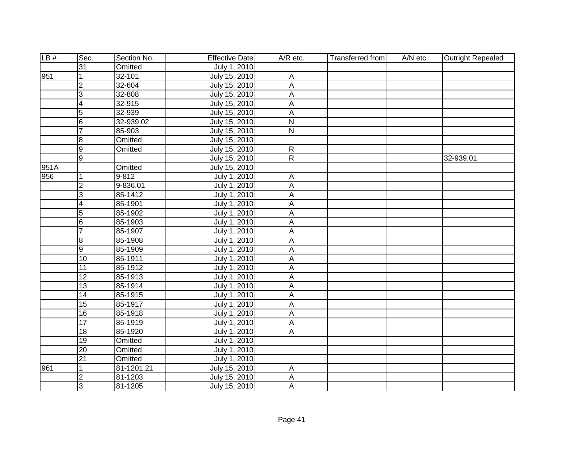| LB#  | Sec.                    | Section No. | <b>Effective Date</b> | $A/R$ etc.              | Transferred from | A/N etc. | <b>Outright Repealed</b> |
|------|-------------------------|-------------|-----------------------|-------------------------|------------------|----------|--------------------------|
|      | 31                      | Omitted     | July 1, 2010          |                         |                  |          |                          |
| 951  | 1                       | $32 - 101$  | July 15, 2010         | Α                       |                  |          |                          |
|      | $\overline{2}$          | 32-604      | July 15, 2010         | $\overline{A}$          |                  |          |                          |
|      | 3                       | 32-808      | July 15, 2010         | А                       |                  |          |                          |
|      | 4                       | 32-915      | July 15, 2010         | A                       |                  |          |                          |
|      | $\overline{5}$          | 32-939      | July 15, 2010         | $\overline{A}$          |                  |          |                          |
|      | $6\overline{6}$         | 32-939.02   | July 15, 2010         | $\overline{\mathsf{N}}$ |                  |          |                          |
|      | $\overline{7}$          | 85-903      | July 15, 2010         | ${\sf N}$               |                  |          |                          |
|      | ø                       | Omitted     | July 15, 2010         |                         |                  |          |                          |
|      | ОD                      | Omitted     | July 15, 2010         | $\mathsf{R}$            |                  |          |                          |
|      | $\overline{9}$          |             | July 15, 2010         | $\overline{R}$          |                  |          | 32-939.01                |
| 951A |                         | Omitted     | July 15, 2010         |                         |                  |          |                          |
| 956  | 1                       | 9-812       | July 1, 2010          | Α                       |                  |          |                          |
|      | $\overline{2}$          | 9-836.01    | July 1, 2010          | A                       |                  |          |                          |
|      | $\overline{3}$          | 85-1412     | July 1, 2010          | A                       |                  |          |                          |
|      | 4                       | 85-1901     | July 1, 2010          | А                       |                  |          |                          |
|      | $\overline{5}$          | 85-1902     | July 1, 2010          | А                       |                  |          |                          |
|      | $6\overline{6}$         | 85-1903     | July 1, 2010          | A                       |                  |          |                          |
|      | $\overline{7}$          | 85-1907     | July 1, 2010          | A                       |                  |          |                          |
|      | 8                       | 85-1908     | July 1, 2010          | A                       |                  |          |                          |
|      | $\overline{9}$          | 85-1909     | July 1, 2010          | Α                       |                  |          |                          |
|      | $\overline{10}$         | 85-1911     | July 1, 2010          | А                       |                  |          |                          |
|      | $\overline{11}$         | 85-1912     | July 1, 2010          | А                       |                  |          |                          |
|      | 12                      | 85-1913     | July 1, 2010          | A                       |                  |          |                          |
|      | 13                      | 85-1914     | July 1, 2010          | А                       |                  |          |                          |
|      | 14                      | 85-1915     | July 1, 2010          | A                       |                  |          |                          |
|      | 15                      | 85-1917     | July 1, 2010          | A                       |                  |          |                          |
|      | $\overline{16}$         | 85-1918     | July 1, 2010          | A                       |                  |          |                          |
|      | $\overline{17}$         | 85-1919     | July 1, 2010          | A                       |                  |          |                          |
|      | $\overline{18}$         | 85-1920     | July 1, 2010          | $\overline{A}$          |                  |          |                          |
|      | $\overline{19}$         | Omitted     | July 1, 2010          |                         |                  |          |                          |
|      | 20                      | Omitted     | July 1, 2010          |                         |                  |          |                          |
|      | 21                      | Omitted     | July 1, 2010          |                         |                  |          |                          |
| 961  | 1                       | 81-1201.21  | July 15, 2010         | A                       |                  |          |                          |
|      | $\overline{\mathbf{c}}$ | 81-1203     | July 15, 2010         | A                       |                  |          |                          |
|      | 3                       | 81-1205     | July 15, 2010         | A                       |                  |          |                          |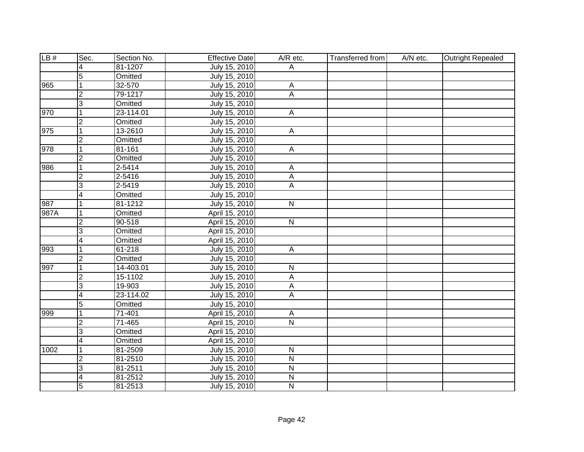| LB#  | Sec.                    | Section No. | <b>Effective Date</b> | A/R etc.                  | <b>Transferred from</b> | A/N etc. | <b>Outright Repealed</b> |
|------|-------------------------|-------------|-----------------------|---------------------------|-------------------------|----------|--------------------------|
|      | 4                       | 81-1207     | July 15, 2010         | A                         |                         |          |                          |
|      | $\overline{5}$          | Omitted     | July 15, 2010         |                           |                         |          |                          |
| 965  | $\overline{1}$          | 32-570      | July 15, 2010         | $\overline{A}$            |                         |          |                          |
|      | $\overline{2}$          | 79-1217     | July 15, 2010         | $\overline{A}$            |                         |          |                          |
|      | 3                       | Omitted     | July 15, 2010         |                           |                         |          |                          |
| 970  | $\mathbf{1}$            | 23-114.01   | July 15, 2010         | $\overline{A}$            |                         |          |                          |
|      | $\overline{2}$          | Omitted     | July 15, 2010         |                           |                         |          |                          |
| 975  | $\mathbf{1}$            | 13-2610     | July 15, 2010         | $\boldsymbol{\mathsf{A}}$ |                         |          |                          |
|      | $\overline{2}$          | Omitted     | July 15, 2010         |                           |                         |          |                          |
| 978  | $\mathbf{1}$            | 81-161      | July 15, 2010         | A                         |                         |          |                          |
|      | $\overline{2}$          | Omitted     | July 15, 2010         |                           |                         |          |                          |
| 986  | $\overline{1}$          | 2-5414      | July 15, 2010         | $\overline{A}$            |                         |          |                          |
|      | $\overline{2}$          | 2-5416      | July 15, 2010         | $\boldsymbol{\mathsf{A}}$ |                         |          |                          |
|      | $\overline{3}$          | 2-5419      | July 15, 2010         | A                         |                         |          |                          |
|      | 4                       | Omitted     | July 15, 2010         |                           |                         |          |                          |
| 987  | $\mathbf{1}$            | 81-1212     | July 15, 2010         | $\mathsf{N}$              |                         |          |                          |
| 987A | 1                       | Omitted     | April 15, 2010        |                           |                         |          |                          |
|      | $\overline{2}$          | 90-518      | April 15, 2010        | ${\sf N}$                 |                         |          |                          |
|      | 3                       | Omitted     | April 15, 2010        |                           |                         |          |                          |
|      | $\overline{4}$          | Omitted     | April 15, 2010        |                           |                         |          |                          |
| 993  | $\overline{1}$          | 61-218      | July 15, 2010         | $\overline{A}$            |                         |          |                          |
|      | $\overline{2}$          | Omitted     | July 15, 2010         |                           |                         |          |                          |
| 997  | $\overline{1}$          | 14-403.01   | July 15, 2010         | $\mathsf{N}$              |                         |          |                          |
|      | $\overline{2}$          | 15-1102     | July 15, 2010         | $\overline{A}$            |                         |          |                          |
|      | $\overline{3}$          | 19-903      | July 15, 2010         | $\mathsf{A}$              |                         |          |                          |
|      | $\overline{\mathbf{4}}$ | 23-114.02   | July 15, 2010         | A                         |                         |          |                          |
|      | $\overline{5}$          | Omitted     | July 15, 2010         |                           |                         |          |                          |
| 999  | $\mathbf{1}$            | $71 - 401$  | April 15, 2010        | $\overline{A}$            |                         |          |                          |
|      | $\overline{2}$          | 71-465      | April 15, 2010        | $\overline{N}$            |                         |          |                          |
|      | 3                       | Omitted     | April 15, 2010        |                           |                         |          |                          |
|      | $\overline{4}$          | Omitted     | April 15, 2010        |                           |                         |          |                          |
| 1002 | $\vert$ 1               | 81-2509     | July 15, 2010         | $\overline{\mathsf{N}}$   |                         |          |                          |
|      | $\overline{c}$          | 81-2510     | July 15, 2010         | $\overline{\mathsf{N}}$   |                         |          |                          |
|      | 3                       | 81-2511     | July 15, 2010         | $\overline{\mathsf{N}}$   |                         |          |                          |
|      | 4                       | 81-2512     | July 15, 2010         | $\overline{\mathsf{N}}$   |                         |          |                          |
|      | 5                       | 81-2513     | July 15, 2010         | $\mathsf{N}$              |                         |          |                          |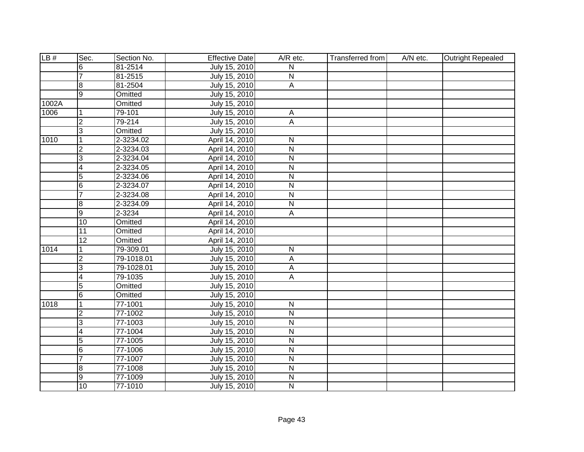| LB#   | Sec.                    | Section No. | <b>Effective Date</b> | $A/R$ etc.              | Transferred from | A/N etc. | <b>Outright Repealed</b> |
|-------|-------------------------|-------------|-----------------------|-------------------------|------------------|----------|--------------------------|
|       | 6                       | 81-2514     | July 15, 2010         | N                       |                  |          |                          |
|       | $\overline{7}$          | 81-2515     | July 15, 2010         | $\overline{N}$          |                  |          |                          |
|       | œ                       | 81-2504     | July 15, 2010         | $\overline{A}$          |                  |          |                          |
|       | g                       | Omitted     | July 15, 2010         |                         |                  |          |                          |
| 1002A |                         | Omitted     | July 15, 2010         |                         |                  |          |                          |
| 1006  | $\mathbf 1$             | 79-101      | July 15, 2010         | $\overline{A}$          |                  |          |                          |
|       | S.                      | 79-214      | July 15, 2010         | Α                       |                  |          |                          |
|       | $\overline{3}$          | Omitted     | July 15, 2010         |                         |                  |          |                          |
| 1010  | 1                       | 2-3234.02   | April 14, 2010        | N                       |                  |          |                          |
|       | $\overline{\mathbf{c}}$ | 2-3234.03   | April 14, 2010        | ${\sf N}$               |                  |          |                          |
|       | ဇာ                      | 2-3234.04   | April 14, 2010        | $\overline{\mathsf{N}}$ |                  |          |                          |
|       | $\overline{4}$          | 2-3234.05   | April 14, 2010        | ${\sf N}$               |                  |          |                          |
|       | 5                       | 2-3234.06   | April 14, 2010        | $\overline{\mathsf{N}}$ |                  |          |                          |
|       | 6                       | 2-3234.07   | April 14, 2010        | $\mathsf{N}$            |                  |          |                          |
|       | $\overline{7}$          | 2-3234.08   | April 14, 2010        | $\overline{\mathsf{N}}$ |                  |          |                          |
|       | ø                       | 2-3234.09   | April 14, 2010        | $\mathsf{N}$            |                  |          |                          |
|       | $\overline{9}$          | 2-3234      | April 14, 2010        | A                       |                  |          |                          |
|       | 10                      | Omitted     | April 14, 2010        |                         |                  |          |                          |
|       | 11                      | Omitted     | April 14, 2010        |                         |                  |          |                          |
|       | $\overline{12}$         | Omitted     | April 14, 2010        |                         |                  |          |                          |
| 1014  | 1                       | 79-309.01   | July 15, 2010         | $\mathsf{N}$            |                  |          |                          |
|       | $\overline{2}$          | 79-1018.01  | July 15, 2010         | A                       |                  |          |                          |
|       | 3                       | 79-1028.01  | July 15, 2010         | A                       |                  |          |                          |
|       | $\overline{\mathbf{4}}$ | 79-1035     | July 15, 2010         | A                       |                  |          |                          |
|       | $\overline{5}$          | Omitted     | July 15, 2010         |                         |                  |          |                          |
|       | 6                       | Omitted     | July 15, 2010         |                         |                  |          |                          |
| 1018  | $\mathbf{1}$            | 77-1001     | July 15, 2010         | $\mathsf{N}$            |                  |          |                          |
|       | $\overline{2}$          | 77-1002     | July 15, 2010         | $\overline{N}$          |                  |          |                          |
|       | 3                       | 77-1003     | July 15, 2010         | $\overline{\mathsf{N}}$ |                  |          |                          |
|       | $\overline{4}$          | 77-1004     | July 15, 2010         | $\overline{\mathsf{N}}$ |                  |          |                          |
|       | $\overline{5}$          | 77-1005     | July 15, 2010         | $\overline{\mathsf{N}}$ |                  |          |                          |
|       | 6                       | 77-1006     | July 15, 2010         | $\overline{\mathsf{N}}$ |                  |          |                          |
|       | $\overline{7}$          | 77-1007     | July 15, 2010         | $\overline{\mathsf{N}}$ |                  |          |                          |
|       | $\overline{8}$          | 77-1008     | July 15, 2010         | N                       |                  |          |                          |
|       | $\overline{9}$          | 77-1009     | July 15, 2010         | $\overline{\mathsf{N}}$ |                  |          |                          |
|       | 10                      | 77-1010     | July 15, 2010         | $\mathsf{N}$            |                  |          |                          |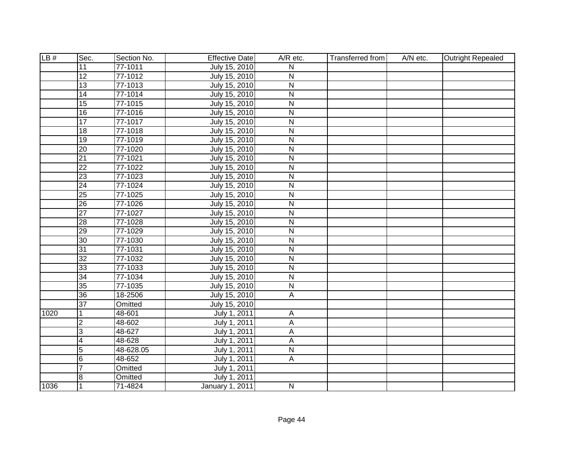| LB#  | Sec.            | Section No. | <b>Effective Date</b> | A/R etc.                | <b>Transferred from</b> | A/N etc. | <b>Outright Repealed</b> |
|------|-----------------|-------------|-----------------------|-------------------------|-------------------------|----------|--------------------------|
|      | 11              | 77-1011     | July 15, 2010         | N                       |                         |          |                          |
|      | $\overline{12}$ | 77-1012     | July 15, 2010         | $\overline{\mathsf{N}}$ |                         |          |                          |
|      | 13              | 77-1013     | July 15, 2010         | $\overline{\mathsf{N}}$ |                         |          |                          |
|      | 14              | 77-1014     | July 15, 2010         | $\overline{\mathsf{N}}$ |                         |          |                          |
|      | 15              | 77-1015     | July 15, 2010         | $\overline{\mathsf{N}}$ |                         |          |                          |
|      | 16              | 77-1016     | July 15, 2010         | $\overline{\mathsf{N}}$ |                         |          |                          |
|      | 17              | 77-1017     | July 15, 2010         | $\overline{N}$          |                         |          |                          |
|      | $\overline{18}$ | 77-1018     | July 15, 2010         | $\overline{\mathsf{N}}$ |                         |          |                          |
|      | 19              | 77-1019     | July 15, 2010         | ${\sf N}$               |                         |          |                          |
|      | $\overline{20}$ | 77-1020     | July 15, 2010         | $\overline{N}$          |                         |          |                          |
|      | $\overline{21}$ | 77-1021     | July 15, 2010         | $\overline{\mathsf{N}}$ |                         |          |                          |
|      | $\overline{22}$ | 77-1022     | July 15, 2010         | $\overline{\mathsf{N}}$ |                         |          |                          |
|      | 23              | 77-1023     | July 15, 2010         | $\overline{\mathsf{N}}$ |                         |          |                          |
|      | $\overline{24}$ | 77-1024     | July 15, 2010         | $\overline{N}$          |                         |          |                          |
|      | $\overline{25}$ | 77-1025     | July 15, 2010         | ${\sf N}$               |                         |          |                          |
|      | $\overline{26}$ | 77-1026     | July 15, 2010         | $\overline{N}$          |                         |          |                          |
|      | $\overline{27}$ | 77-1027     | July 15, 2010         | ${\sf N}$               |                         |          |                          |
|      | 28              | 77-1028     | July 15, 2010         | ${\sf N}$               |                         |          |                          |
|      | $\overline{29}$ | 77-1029     | July 15, 2010         | $\overline{\mathsf{N}}$ |                         |          |                          |
|      | $\overline{30}$ | 77-1030     | July 15, 2010         | ${\sf N}$               |                         |          |                          |
|      | 31              | 77-1031     | July 15, 2010         | ${\sf N}$               |                         |          |                          |
|      | $\overline{32}$ | 77-1032     | July 15, 2010         | N                       |                         |          |                          |
|      | 33              | 77-1033     | July 15, 2010         | N                       |                         |          |                          |
|      | $\overline{34}$ | 77-1034     | July 15, 2010         | N                       |                         |          |                          |
|      | $\overline{35}$ | 77-1035     | July 15, 2010         | $\overline{\mathsf{N}}$ |                         |          |                          |
|      | $\overline{36}$ | 18-2506     | July 15, 2010         | A                       |                         |          |                          |
|      | 37              | Omitted     | July 15, 2010         |                         |                         |          |                          |
| 1020 | 1               | 48-601      | July 1, 2011          | A                       |                         |          |                          |
|      | $\overline{2}$  | 48-602      | July 1, 2011          | A                       |                         |          |                          |
|      | 3               | 48-627      | July 1, 2011          | A                       |                         |          |                          |
|      | $\overline{4}$  | 48-628      | July 1, 2011          | A                       |                         |          |                          |
|      | $\overline{5}$  | 48-628.05   | July 1, 2011          | $\overline{\mathsf{N}}$ |                         |          |                          |
|      | $6\phantom{.}6$ | 48-652      | July 1, 2011          | $\mathsf{A}$            |                         |          |                          |
|      | $\overline{7}$  | Omitted     | July 1, 2011          |                         |                         |          |                          |
|      | 8               | Omitted     | July 1, 2011          |                         |                         |          |                          |
| 1036 | 1               | 71-4824     | January 1, 2011       | N                       |                         |          |                          |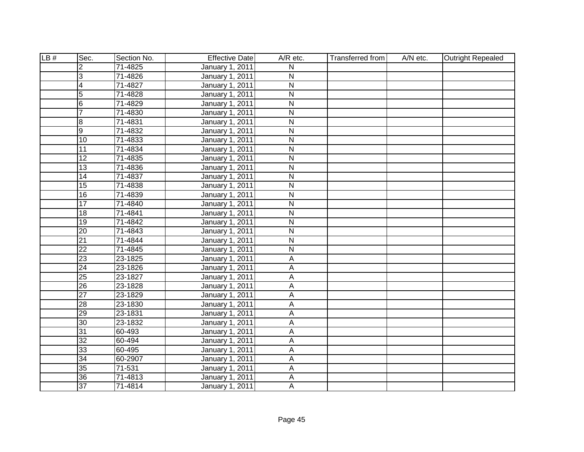| LB# | Sec.            | Section No. | <b>Effective Date</b>  | A/R etc.                | <b>Transferred from</b> | A/N etc. | <b>Outright Repealed</b> |
|-----|-----------------|-------------|------------------------|-------------------------|-------------------------|----------|--------------------------|
|     | $\overline{2}$  | 71-4825     | January 1, 2011        | N                       |                         |          |                          |
|     | 3               | 71-4826     | January 1, 2011        | $\overline{\mathsf{N}}$ |                         |          |                          |
|     | 4               | 71-4827     | January 1, 2011        | $\overline{\mathsf{N}}$ |                         |          |                          |
|     | $\overline{5}$  | 71-4828     | <b>January 1, 2011</b> | $\overline{\mathsf{N}}$ |                         |          |                          |
|     | $\overline{6}$  | 71-4829     | January 1, 2011        | $\overline{\mathsf{N}}$ |                         |          |                          |
|     | $\overline{7}$  | 71-4830     | January 1, 2011        | $\overline{\mathsf{N}}$ |                         |          |                          |
|     | 8               | 71-4831     | January 1, 2011        | $\overline{\mathsf{N}}$ |                         |          |                          |
|     | 9               | 71-4832     | January 1, 2011        | ${\sf N}$               |                         |          |                          |
|     | $\overline{10}$ | 71-4833     | January 1, 2011        | $\overline{\mathsf{N}}$ |                         |          |                          |
|     | 11              | 71-4834     | January 1, 2011        | $\overline{\mathsf{N}}$ |                         |          |                          |
|     | $\overline{12}$ | 71-4835     | January 1, 2011        | $\overline{\mathsf{N}}$ |                         |          |                          |
|     | 13              | 71-4836     | January 1, 2011        | $\overline{\mathsf{N}}$ |                         |          |                          |
|     | $\overline{14}$ | 71-4837     | January 1, 2011        | $\overline{N}$          |                         |          |                          |
|     | $\overline{15}$ | 71-4838     | January 1, 2011        | ${\sf N}$               |                         |          |                          |
|     | $\overline{16}$ | 71-4839     | January 1, 2011        | $\overline{\mathsf{N}}$ |                         |          |                          |
|     | $\overline{17}$ | 71-4840     | January 1, 2011        | ${\sf N}$               |                         |          |                          |
|     | 18              | 71-4841     | January 1, 2011        | ${\sf N}$               |                         |          |                          |
|     | 19              | 71-4842     | January 1, 2011        | $\overline{\mathsf{N}}$ |                         |          |                          |
|     | 20              | 71-4843     | January 1, 2011        | ${\sf N}$               |                         |          |                          |
|     | $\overline{21}$ | 71-4844     | January 1, 2011        | ${\sf N}$               |                         |          |                          |
|     | $\overline{22}$ | 71-4845     | January 1, 2011        | $\overline{\mathsf{N}}$ |                         |          |                          |
|     | $\overline{23}$ | 23-1825     | January 1, 2011        | Α                       |                         |          |                          |
|     | $\overline{24}$ | 23-1826     | January 1, 2011        | A                       |                         |          |                          |
|     | $\overline{25}$ | 23-1827     | January 1, 2011        | A                       |                         |          |                          |
|     | 26              | 23-1828     | January 1, 2011        | A                       |                         |          |                          |
|     | $\overline{27}$ | 23-1829     | January 1, 2011        | A                       |                         |          |                          |
|     | $\overline{28}$ | 23-1830     | January 1, 2011        | Α                       |                         |          |                          |
|     | $\overline{29}$ | 23-1831     | January 1, 2011        | A                       |                         |          |                          |
|     | 30              | 23-1832     | <b>January 1, 2011</b> | $\overline{\mathsf{A}}$ |                         |          |                          |
|     | 31              | 60-493      | January 1, 2011        | Α                       |                         |          |                          |
|     | 32              | 60-494      | January 1, 2011        | A                       |                         |          |                          |
|     | 33              | 60-495      | <b>January 1, 2011</b> | $\overline{\mathsf{A}}$ |                         |          |                          |
|     | $\overline{34}$ | 60-2907     | January 1, 2011        | A                       |                         |          |                          |
|     | 35              | 71-531      | January 1, 2011        | A                       |                         |          |                          |
|     | 36              | 71-4813     | January 1, 2011        | A                       |                         |          |                          |
|     | $\overline{37}$ | 71-4814     | January 1, 2011        | $\overline{A}$          |                         |          |                          |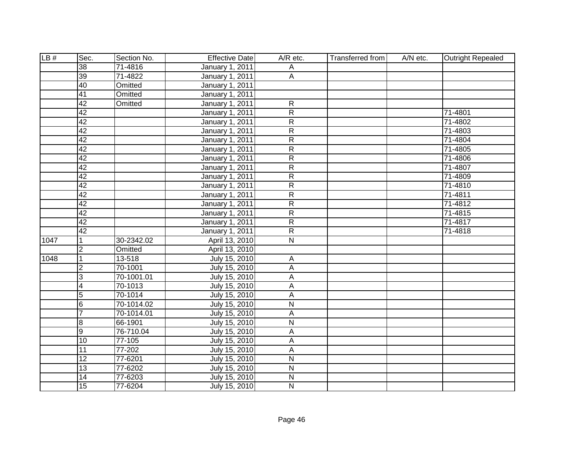| LB#  | Sec.                    | Section No. | <b>Effective Date</b>  | A/R etc.                | Transferred from | A/N etc. | <b>Outright Repealed</b> |
|------|-------------------------|-------------|------------------------|-------------------------|------------------|----------|--------------------------|
|      | 38                      | 71-4816     | January 1, 2011        | А                       |                  |          |                          |
|      | 39                      | 71-4822     | <b>January 1, 2011</b> | A                       |                  |          |                          |
|      | 40                      | Omitted     | <b>January 1, 2011</b> |                         |                  |          |                          |
|      | 41                      | Omitted     | January 1, 2011        |                         |                  |          |                          |
|      | 42                      | Omitted     | January 1, 2011        | $\overline{R}$          |                  |          |                          |
|      | 42                      |             | <b>January 1, 2011</b> | $\overline{R}$          |                  |          | 71-4801                  |
|      | 42                      |             | January 1, 2011        | $\overline{R}$          |                  |          | 71-4802                  |
|      | 42                      |             | January 1, 2011        | $\overline{R}$          |                  |          | 71-4803                  |
|      | 42                      |             | January 1, 2011        | $\overline{R}$          |                  |          | 71-4804                  |
|      | 42                      |             | January 1, 2011        | $\overline{R}$          |                  |          | 71-4805                  |
|      | 42                      |             | January 1, 2011        | $\overline{R}$          |                  |          | 71-4806                  |
|      | 42                      |             | January 1, 2011        | $\overline{R}$          |                  |          | 71-4807                  |
|      | 42                      |             | January 1, 2011        | $\overline{R}$          |                  |          | 71-4809                  |
|      | 42                      |             | January 1, 2011        | $\overline{R}$          |                  |          | 71-4810                  |
|      | 42                      |             | January 1, 2011        | $\overline{R}$          |                  |          | 71-4811                  |
|      | 42                      |             | January 1, 2011        | $\overline{R}$          |                  |          | 71-4812                  |
|      | 42                      |             | January 1, 2011        | $\overline{R}$          |                  |          | 71-4815                  |
|      | 42                      |             | January 1, 2011        | $\overline{R}$          |                  |          | 71-4817                  |
|      | 42                      |             | January 1, 2011        | $\overline{R}$          |                  |          | 71-4818                  |
| 1047 |                         | 30-2342.02  | April 13, 2010         | $\overline{\mathsf{N}}$ |                  |          |                          |
|      | $\overline{2}$          | Omitted     | April 13, 2010         |                         |                  |          |                          |
| 1048 | $\overline{1}$          | 13-518      | July 15, 2010          | $\overline{A}$          |                  |          |                          |
|      | $\overline{2}$          | 70-1001     | July 15, 2010          | $\mathsf{A}$            |                  |          |                          |
|      | 3                       | 70-1001.01  | July 15, 2010          | A                       |                  |          |                          |
|      | $\overline{\mathbf{4}}$ | 70-1013     | July 15, 2010          | $\mathsf A$             |                  |          |                          |
|      | $\overline{5}$          | 70-1014     | July 15, 2010          | A                       |                  |          |                          |
|      | $6\phantom{.}6$         | 70-1014.02  | July 15, 2010          | N                       |                  |          |                          |
|      | $\overline{7}$          | 70-1014.01  | July 15, 2010          | A                       |                  |          |                          |
|      | œ                       | 66-1901     | July 15, 2010          | $\overline{\mathsf{N}}$ |                  |          |                          |
|      | 9                       | 76-710.04   | July 15, 2010          | A                       |                  |          |                          |
|      | $\overline{10}$         | 77-105      | July 15, 2010          | $\overline{A}$          |                  |          |                          |
|      | 11                      | 77-202      | July 15, 2010          | A                       |                  |          |                          |
|      | 12                      | 77-6201     | July 15, 2010          | N                       |                  |          |                          |
|      | 13                      | 77-6202     | July 15, 2010          | N                       |                  |          |                          |
|      | $\overline{14}$         | 77-6203     | July 15, 2010          | N                       |                  |          |                          |
|      | 15                      | 77-6204     | July 15, 2010          | N                       |                  |          |                          |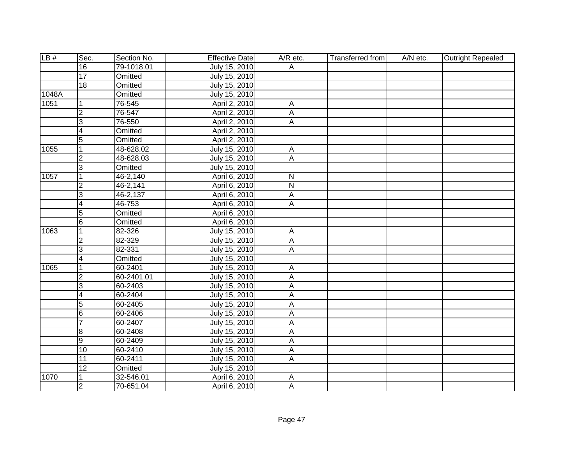| LB#   | Sec.                    | Section No. | <b>Effective Date</b> | A/R etc.                | <b>Transferred from</b> | A/N etc. | <b>Outright Repealed</b> |
|-------|-------------------------|-------------|-----------------------|-------------------------|-------------------------|----------|--------------------------|
|       | 16                      | 79-1018.01  | July 15, 2010         | A                       |                         |          |                          |
|       | $\overline{17}$         | Omitted     | July 15, 2010         |                         |                         |          |                          |
|       | $\overline{18}$         | Omitted     | July 15, 2010         |                         |                         |          |                          |
| 1048A |                         | Omitted     | July 15, 2010         |                         |                         |          |                          |
| 1051  | $\vert$ 1               | 76-545      | April 2, 2010         | A                       |                         |          |                          |
|       | S.                      | 76-547      | April 2, 2010         | A                       |                         |          |                          |
|       | င                       | 76-550      | April 2, 2010         | A                       |                         |          |                          |
|       | $\overline{\mathbf{4}}$ | Omitted     | April 2, 2010         |                         |                         |          |                          |
|       | 5                       | Omitted     | April 2, 2010         |                         |                         |          |                          |
| 1055  | $\overline{1}$          | 48-628.02   | July 15, 2010         | A                       |                         |          |                          |
|       | <u>ر</u>                | 48-628.03   | July 15, 2010         | A                       |                         |          |                          |
|       | င                       | Omitted     | July 15, 2010         |                         |                         |          |                          |
| 1057  | $\vert$ 1               | 46-2,140    | April 6, 2010         | $\mathsf{N}$            |                         |          |                          |
|       | $\overline{2}$          | 46-2,141    | April 6, 2010         | $\overline{\mathsf{N}}$ |                         |          |                          |
|       | 3                       | 46-2,137    | April 6, 2010         | $\mathsf A$             |                         |          |                          |
|       | $\overline{4}$          | 46-753      | April 6, 2010         | $\mathsf A$             |                         |          |                          |
|       | $\overline{5}$          | Omitted     | April 6, 2010         |                         |                         |          |                          |
|       | 6                       | Omitted     | April 6, 2010         |                         |                         |          |                          |
| 1063  | $\overline{1}$          | 82-326      | July 15, 2010         | A                       |                         |          |                          |
|       | $\overline{2}$          | 82-329      | July 15, 2010         | A                       |                         |          |                          |
|       | 3                       | 82-331      | July 15, 2010         | А                       |                         |          |                          |
|       | $\overline{\mathbf{4}}$ | Omitted     | July 15, 2010         |                         |                         |          |                          |
| 1065  | $\overline{1}$          | 60-2401     | July 15, 2010         | A                       |                         |          |                          |
|       | $\overline{2}$          | 60-2401.01  | July 15, 2010         | $\overline{A}$          |                         |          |                          |
|       | င                       | 60-2403     | July 15, 2010         | A                       |                         |          |                          |
|       | $\overline{4}$          | 60-2404     | July 15, 2010         | A                       |                         |          |                          |
|       | 5                       | 60-2405     | July 15, 2010         | A                       |                         |          |                          |
|       | 6                       | 60-2406     | July 15, 2010         | A                       |                         |          |                          |
|       | $\overline{7}$          | 60-2407     | July 15, 2010         | A                       |                         |          |                          |
|       | œ                       | 60-2408     | July 15, 2010         | A                       |                         |          |                          |
|       | Θ                       | 60-2409     | July 15, 2010         | A                       |                         |          |                          |
|       | 10                      | 60-2410     | July 15, 2010         | $\overline{A}$          |                         |          |                          |
|       | 11                      | 60-2411     | July 15, 2010         | $\overline{A}$          |                         |          |                          |
|       | 12                      | Omitted     | July 15, 2010         |                         |                         |          |                          |
| 1070  | 1                       | 32-546.01   | April 6, 2010         | A                       |                         |          |                          |
|       | ا C                     | 70-651.04   | April 6, 2010         | A                       |                         |          |                          |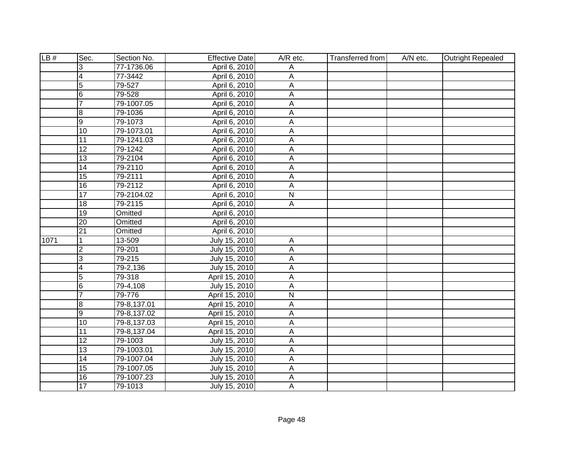| LB#  | Sec.            | Section No. | <b>Effective Date</b> | $A/R$ etc.     | <b>Transferred from</b> | A/N etc. | Outright Repealed |
|------|-----------------|-------------|-----------------------|----------------|-------------------------|----------|-------------------|
|      | 3               | 77-1736.06  | April 6, 2010         | Α              |                         |          |                   |
|      | $\overline{4}$  | 77-3442     | April 6, 2010         | A              |                         |          |                   |
|      | $\overline{5}$  | 79-527      | April 6, 2010         | А              |                         |          |                   |
|      | 6               | 79-528      | April 6, 2010         | А              |                         |          |                   |
|      | $\overline{7}$  | 79-1007.05  | April 6, 2010         | A              |                         |          |                   |
|      | 8               | 79-1036     | April 6, 2010         | $\overline{A}$ |                         |          |                   |
|      | 9               | 79-1073     | April 6, 2010         | A              |                         |          |                   |
|      | 10              | 79-1073.01  | April 6, 2010         | А              |                         |          |                   |
|      | $\overline{11}$ | 79-1241.03  | April 6, 2010         | A              |                         |          |                   |
|      | $\overline{12}$ | 79-1242     | April 6, 2010         | А              |                         |          |                   |
|      | $\overline{13}$ | 79-2104     | April 6, 2010         | А              |                         |          |                   |
|      | $\overline{14}$ | 79-2110     | April 6, 2010         | А              |                         |          |                   |
|      | $\overline{15}$ | 79-2111     | April 6, 2010         | A              |                         |          |                   |
|      | 16              | 79-2112     | April 6, 2010         | A              |                         |          |                   |
|      | 17              | 79-2104.02  | April 6, 2010         | $\mathsf{N}$   |                         |          |                   |
|      | 18              | 79-2115     | April 6, 2010         | A              |                         |          |                   |
|      | $\overline{19}$ | Omitted     | April 6, 2010         |                |                         |          |                   |
|      | $\overline{20}$ | Omitted     | April 6, 2010         |                |                         |          |                   |
|      | 21              | Omitted     | April 6, 2010         |                |                         |          |                   |
| 1071 |                 | 13-509      | July 15, 2010         | Α              |                         |          |                   |
|      | $\overline{c}$  | 79-201      | July 15, 2010         | Α              |                         |          |                   |
|      | 3               | 79-215      | July 15, 2010         | А              |                         |          |                   |
|      | $\overline{4}$  | 79-2,136    | July 15, 2010         | А              |                         |          |                   |
|      | $\overline{5}$  | 79-318      | April 15, 2010        | Α              |                         |          |                   |
|      | 6               | 79-4,108    | July 15, 2010         | А              |                         |          |                   |
|      | $\overline{7}$  | 79-776      | April 15, 2010        | $\mathsf{N}$   |                         |          |                   |
|      | $\overline{8}$  | 79-8,137.01 | April 15, 2010        | A              |                         |          |                   |
|      | $\overline{9}$  | 79-8,137.02 | April 15, 2010        | A              |                         |          |                   |
|      | 10              | 79-8,137.03 | April 15, 2010        | Α              |                         |          |                   |
|      | $\overline{11}$ | 79-8,137.04 | April 15, 2010        | A              |                         |          |                   |
|      | $\overline{12}$ | 79-1003     | July 15, 2010         | A              |                         |          |                   |
|      | $\overline{13}$ | 79-1003.01  | July 15, 2010         | A              |                         |          |                   |
|      | 14              | 79-1007.04  | July 15, 2010         | A              |                         |          |                   |
|      | 15              | 79-1007.05  | July 15, 2010         | Α              |                         |          |                   |
|      | 16              | 79-1007.23  | July 15, 2010         | А              |                         |          |                   |
|      | $\overline{17}$ | 79-1013     | July 15, 2010         | A              |                         |          |                   |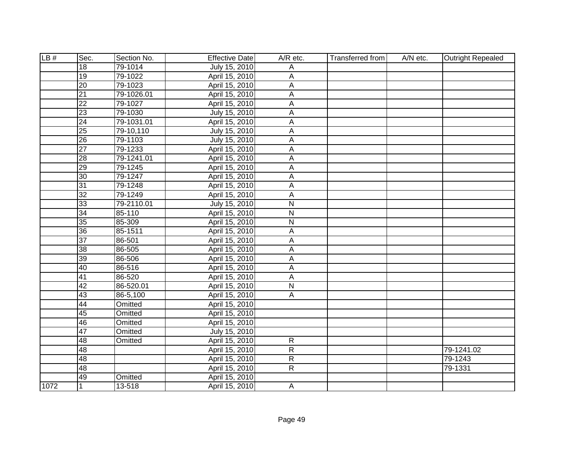| LB#  | Sec.            | Section No. | <b>Effective Date</b> | A/R etc.                  | <b>Transferred from</b> | A/N etc. | <b>Outright Repealed</b> |
|------|-----------------|-------------|-----------------------|---------------------------|-------------------------|----------|--------------------------|
|      | 18              | 79-1014     | July 15, 2010         | Α                         |                         |          |                          |
|      | 19              | 79-1022     | April 15, 2010        | А                         |                         |          |                          |
|      | $\overline{20}$ | 79-1023     | April 15, 2010        | $\overline{\mathsf{A}}$   |                         |          |                          |
|      | 21              | 79-1026.01  | April 15, 2010        | A                         |                         |          |                          |
|      | $\overline{22}$ | 79-1027     | April 15, 2010        | A                         |                         |          |                          |
|      | 23              | 79-1030     | July 15, 2010         | A                         |                         |          |                          |
|      | $\overline{24}$ | 79-1031.01  | April 15, 2010        | $\overline{A}$            |                         |          |                          |
|      | 25              | 79-10,110   | July 15, 2010         | А                         |                         |          |                          |
|      | $\overline{26}$ | 79-1103     | July 15, 2010         | A                         |                         |          |                          |
|      | $\overline{27}$ | 79-1233     | April 15, 2010        | $\boldsymbol{\mathsf{A}}$ |                         |          |                          |
|      | 28              | 79-1241.01  | April 15, 2010        | $\overline{A}$            |                         |          |                          |
|      | $\overline{29}$ | 79-1245     | April 15, 2010        | A                         |                         |          |                          |
|      | 30              | 79-1247     | April 15, 2010        | A                         |                         |          |                          |
|      | 31              | 79-1248     | April 15, 2010        | A                         |                         |          |                          |
|      | $\overline{32}$ | 79-1249     | April 15, 2010        | A                         |                         |          |                          |
|      | 33              | 79-2110.01  | July 15, 2010         | $\mathsf{N}$              |                         |          |                          |
|      | $\overline{34}$ | 85-110      | April 15, 2010        | ${\sf N}$                 |                         |          |                          |
|      | $\overline{35}$ | 85-309      | April 15, 2010        | ${\sf N}$                 |                         |          |                          |
|      | 36              | 85-1511     | April 15, 2010        | Α                         |                         |          |                          |
|      | $\overline{37}$ | 86-501      | April 15, 2010        | Α                         |                         |          |                          |
|      | $\overline{38}$ | 86-505      | April 15, 2010        | A                         |                         |          |                          |
|      | $\overline{39}$ | 86-506      | April 15, 2010        | A                         |                         |          |                          |
|      | 40              | 86-516      | April 15, 2010        | A                         |                         |          |                          |
|      | 41              | 86-520      | April 15, 2010        | A                         |                         |          |                          |
|      | 42              | 86-520.01   | April 15, 2010        | ${\sf N}$                 |                         |          |                          |
|      | 43              | 86-5,100    | April 15, 2010        | A                         |                         |          |                          |
|      | 44              | Omitted     | April 15, 2010        |                           |                         |          |                          |
|      | 45              | Omitted     | April 15, 2010        |                           |                         |          |                          |
|      | 46              | Omitted     | April 15, 2010        |                           |                         |          |                          |
|      | 47              | Omitted     | July 15, 2010         |                           |                         |          |                          |
|      | 48              | Omitted     | April 15, 2010        | $\overline{R}$            |                         |          |                          |
|      | 48              |             | April 15, 2010        | $\overline{R}$            |                         |          | 79-1241.02               |
|      | 48              |             | April 15, 2010        | $\overline{R}$            |                         |          | 79-1243                  |
|      | 48              |             | April 15, 2010        | $\overline{R}$            |                         |          | 79-1331                  |
|      | 49              | Omitted     | April 15, 2010        |                           |                         |          |                          |
| 1072 |                 | 13-518      | April 15, 2010        | A                         |                         |          |                          |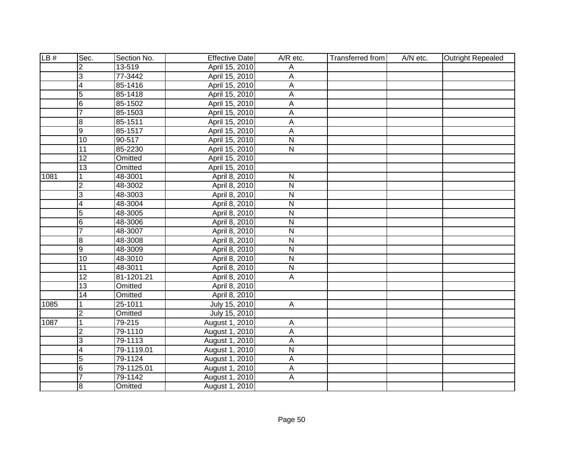| LB#  | Sec.            | Section No. | <b>Effective Date</b> | A/R etc.                | Transferred from | A/N etc. | <b>Outright Repealed</b> |
|------|-----------------|-------------|-----------------------|-------------------------|------------------|----------|--------------------------|
|      | $\overline{2}$  | 13-519      | April 15, 2010        | Α                       |                  |          |                          |
|      | 3               | 77-3442     | April 15, 2010        | Α                       |                  |          |                          |
|      | $\overline{4}$  | 85-1416     | April 15, 2010        | $\overline{A}$          |                  |          |                          |
|      | 5               | 85-1418     | April 15, 2010        | А                       |                  |          |                          |
|      | 6               | 85-1502     | April 15, 2010        | A                       |                  |          |                          |
|      | 7               | 85-1503     | April 15, 2010        | $\overline{A}$          |                  |          |                          |
|      | œ               | 85-1511     | April 15, 2010        | $\overline{A}$          |                  |          |                          |
|      | Θ               | 85-1517     | April 15, 2010        | A                       |                  |          |                          |
|      | $\overline{10}$ | 90-517      | April 15, 2010        | $\overline{\mathsf{N}}$ |                  |          |                          |
|      | $\overline{11}$ | 85-2230     | April 15, 2010        | $\overline{N}$          |                  |          |                          |
|      | 12              | Omitted     | April 15, 2010        |                         |                  |          |                          |
|      | 13              | Omitted     | April 15, 2010        |                         |                  |          |                          |
| 1081 | 1               | 48-3001     | April 8, 2010         | $\mathsf{N}$            |                  |          |                          |
|      | $\overline{2}$  | 48-3002     | April 8, 2010         | ${\sf N}$               |                  |          |                          |
|      | $\overline{3}$  | 48-3003     | April 8, 2010         | ${\sf N}$               |                  |          |                          |
|      | 4               | 48-3004     | April 8, 2010         | ${\sf N}$               |                  |          |                          |
|      | $\overline{5}$  | 48-3005     | April 8, 2010         | ${\sf N}$               |                  |          |                          |
|      | $6\overline{6}$ | 48-3006     | April 8, 2010         | $\mathsf{N}$            |                  |          |                          |
|      | $\overline{7}$  | 48-3007     | April 8, 2010         | $\overline{N}$          |                  |          |                          |
|      | 8               | 48-3008     | April 8, 2010         | $\mathsf{N}$            |                  |          |                          |
|      | $\overline{9}$  | 48-3009     | April 8, 2010         | $\mathsf{N}$            |                  |          |                          |
|      | $\overline{10}$ | 48-3010     | April 8, 2010         | $\overline{N}$          |                  |          |                          |
|      | $\overline{11}$ | 48-3011     | April 8, 2010         | $\overline{\mathsf{N}}$ |                  |          |                          |
|      | $\overline{12}$ | 81-1201.21  | April 8, 2010         | $\overline{A}$          |                  |          |                          |
|      | $\overline{13}$ | Omitted     | April 8, 2010         |                         |                  |          |                          |
|      | 14              | Omitted     | April 8, 2010         |                         |                  |          |                          |
| 1085 | $\mathbf{1}$    | 25-1011     | July 15, 2010         | $\overline{A}$          |                  |          |                          |
|      | $\overline{2}$  | Omitted     | July 15, 2010         |                         |                  |          |                          |
| 1087 | $\overline{1}$  | 79-215      | August 1, 2010        | A                       |                  |          |                          |
|      | $\overline{2}$  | 79-1110     | August 1, 2010        | $\overline{A}$          |                  |          |                          |
|      | 3               | 79-1113     | August 1, 2010        | A                       |                  |          |                          |
|      | $\overline{4}$  | 79-1119.01  | August 1, 2010        | $\overline{N}$          |                  |          |                          |
|      | $\overline{5}$  | 79-1124     | August 1, 2010        | A                       |                  |          |                          |
|      | $6\overline{6}$ | 79-1125.01  | August 1, 2010        | A                       |                  |          |                          |
|      | $\overline{7}$  | 79-1142     | August 1, 2010        | A                       |                  |          |                          |
|      | $\overline{8}$  | Omitted     | August 1, 2010        |                         |                  |          |                          |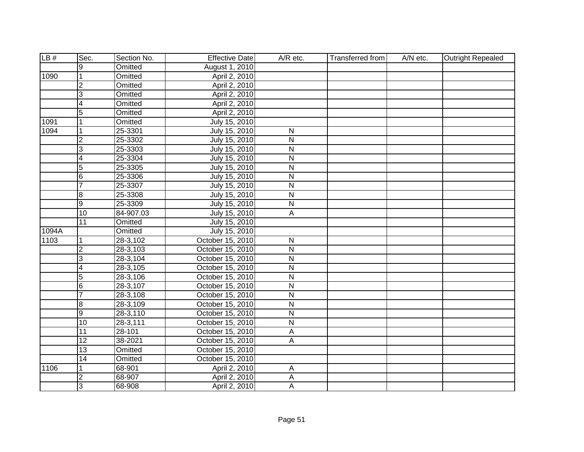| LB#   | Sec.                    | Section No.    | <b>Effective Date</b> | A/R etc.                | Transferred from | A/N etc. | <b>Outright Repealed</b> |
|-------|-------------------------|----------------|-----------------------|-------------------------|------------------|----------|--------------------------|
|       | 9                       | Omitted        | August 1, 2010        |                         |                  |          |                          |
| 1090  | $\overline{1}$          | Omitted        | April 2, 2010         |                         |                  |          |                          |
|       | $\overline{2}$          | <b>Omitted</b> | April 2, 2010         |                         |                  |          |                          |
|       | $\overline{3}$          | Omitted        | April 2, 2010         |                         |                  |          |                          |
|       | 4                       | <b>Omitted</b> | April 2, 2010         |                         |                  |          |                          |
|       | $\overline{5}$          | <b>Omitted</b> | April 2, 2010         |                         |                  |          |                          |
| 1091  | 1                       | <b>Omitted</b> | July 15, 2010         |                         |                  |          |                          |
| 1094  | 1                       | 25-3301        | July 15, 2010         | ${\sf N}$               |                  |          |                          |
|       | $\overline{2}$          | 25-3302        | July 15, 2010         | $\overline{\mathsf{N}}$ |                  |          |                          |
|       | $\overline{3}$          | 25-3303        | July 15, 2010         | $\mathsf{N}$            |                  |          |                          |
|       | $\overline{4}$          | 25-3304        | July 15, 2010         | $\overline{\mathsf{N}}$ |                  |          |                          |
|       | $\overline{5}$          | 25-3305        | July 15, 2010         | $\overline{\mathsf{N}}$ |                  |          |                          |
|       | $6\phantom{.}6$         | 25-3306        | July 15, 2010         | ${\sf N}$               |                  |          |                          |
|       | $\overline{7}$          | 25-3307        | July 15, 2010         | $\overline{\mathsf{N}}$ |                  |          |                          |
|       | $\overline{8}$          | 25-3308        | July 15, 2010         | $\mathsf{N}$            |                  |          |                          |
|       | g                       | 25-3309        | July 15, 2010         | ${\sf N}$               |                  |          |                          |
|       | $\overline{10}$         | 84-907.03      | July 15, 2010         | A                       |                  |          |                          |
|       | $\overline{11}$         | Omitted        | July 15, 2010         |                         |                  |          |                          |
| 1094A |                         | Omitted        | July 15, 2010         |                         |                  |          |                          |
| 1103  | 1                       | 28-3,102       | October 15, 2010      | $\mathsf{N}$            |                  |          |                          |
|       | $\overline{c}$          | 28-3,103       | October 15, 2010      | $\mathsf{N}$            |                  |          |                          |
|       | 3                       | 28-3,104       | October 15, 2010      | $\overline{N}$          |                  |          |                          |
|       | $\overline{4}$          | 28-3,105       | October 15, 2010      | $\overline{N}$          |                  |          |                          |
|       | $\overline{5}$          | 28-3,106       | October 15, 2010      | $\overline{N}$          |                  |          |                          |
|       | $6\overline{6}$         | 28-3,107       | October 15, 2010      | $\overline{N}$          |                  |          |                          |
|       | $\overline{7}$          | 28-3,108       | October 15, 2010      | $\mathsf{N}$            |                  |          |                          |
|       | œ                       | 28-3,109       | October 15, 2010      | $\overline{\mathsf{N}}$ |                  |          |                          |
|       | Θ                       | $28 - 3,110$   | October 15, 2010      | $\overline{N}$          |                  |          |                          |
|       | $\overline{10}$         | 28-3,111       | October 15, 2010      | $\overline{N}$          |                  |          |                          |
|       | 11                      | $28 - 101$     | October 15, 2010      | A                       |                  |          |                          |
|       | $\overline{12}$         | 38-2021        | October 15, 2010      | $\overline{A}$          |                  |          |                          |
|       | 13                      | Omitted        | October 15, 2010      |                         |                  |          |                          |
|       | $\overline{14}$         | Omitted        | October 15, 2010      |                         |                  |          |                          |
| 1106  | 1                       | 68-901         | April 2, 2010         | A                       |                  |          |                          |
|       | $\overline{\mathbf{c}}$ | 68-907         | April 2, 2010         | А                       |                  |          |                          |
|       | 3                       | 68-908         | April 2, 2010         | $\overline{A}$          |                  |          |                          |